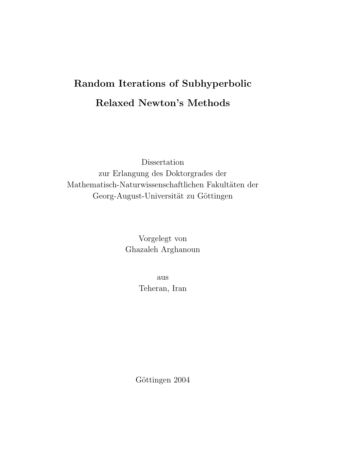# Random Iterations of Subhyperbolic Relaxed Newton's Methods

Dissertation zur Erlangung des Doktorgrades der Mathematisch-Naturwissenschaftlichen Fakultäten der Georg-August-Universität zu Göttingen

> Vorgelegt von Ghazaleh Arghanoun

> > aus Teheran, Iran

Göttingen 2004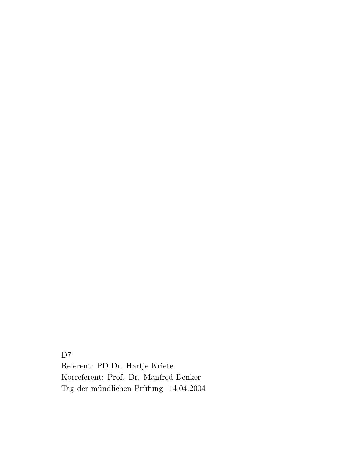D<sub>7</sub> Referent: PD Dr. Hartje Kriete Korreferent: Prof. Dr. Manfred Denker Tag der mündlichen Prüfung:  $14.04.2004$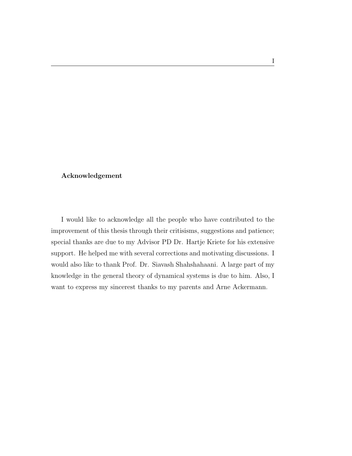#### Acknowledgement

I would like to acknowledge all the people who have contributed to the improvement of this thesis through their critisisms, suggestions and patience; special thanks are due to my Advisor PD Dr. Hartje Kriete for his extensive support. He helped me with several corrections and motivating discussions. I would also like to thank Prof. Dr. Siavash Shahshahaani. A large part of my knowledge in the general theory of dynamical systems is due to him. Also, I want to express my sincerest thanks to my parents and Arne Ackermann.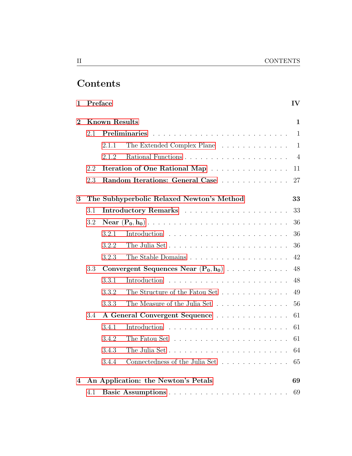# Contents

| 1              |                      | Preface |                                                                                 | $\mathbf{IV}$  |  |
|----------------|----------------------|---------|---------------------------------------------------------------------------------|----------------|--|
| $\overline{2}$ | <b>Known Results</b> |         |                                                                                 |                |  |
|                | 2.1                  |         |                                                                                 | $\mathbf{1}$   |  |
|                |                      | 2.1.1   | The Extended Complex Plane                                                      | $\mathbf{1}$   |  |
|                |                      | 2.1.2   |                                                                                 | $\overline{4}$ |  |
|                | 2.2                  |         | Iteration of One Rational Map                                                   | 11             |  |
|                | 2.3                  |         | Random Iterations: General Case                                                 | 27             |  |
| 3              |                      |         | The Subhyperbolic Relaxed Newton's Method                                       | 33             |  |
|                | 3.1                  |         |                                                                                 | 33             |  |
|                | 3.2                  |         |                                                                                 | 36             |  |
|                |                      | 3.2.1   |                                                                                 | 36             |  |
|                |                      | 3.2.2   |                                                                                 | 36             |  |
|                |                      | 3.2.3   |                                                                                 | 42             |  |
|                | 3.3                  |         | Convergent Sequences Near $(P_0, h_0)$                                          | 48             |  |
|                |                      | 3.3.1   | Introduction                                                                    | 48             |  |
|                |                      | 3.3.2   | The Structure of the Fatou Set                                                  | 49             |  |
|                |                      | 3.3.3   | The Measure of the Julia Set                                                    | 56             |  |
|                | 3.4                  |         | A General Convergent Sequence                                                   | 61             |  |
|                |                      | 3.4.1   |                                                                                 | 61             |  |
|                |                      | 3.4.2   |                                                                                 | 61             |  |
|                |                      | 3.4.3   | The Julia Set                                                                   | 64             |  |
|                |                      | 3.4.4   | Connectedness of the Julia Set $\;\ldots\; \ldots\; \ldots\; \ldots\; \ldots\;$ | 65             |  |
| 4              |                      |         | An Application: the Newton's Petals                                             | 69             |  |
|                | 4.1                  |         |                                                                                 | 69             |  |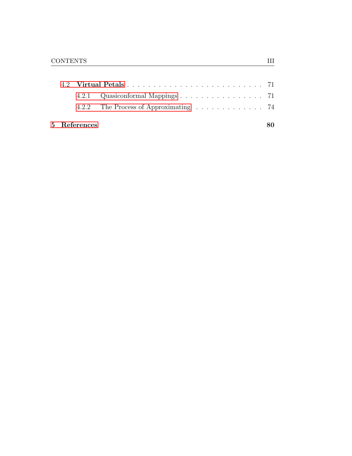|              | 4.2.1 Quasiconformal Mappings 71 |  |
|--------------|----------------------------------|--|
|              |                                  |  |
| 5 References |                                  |  |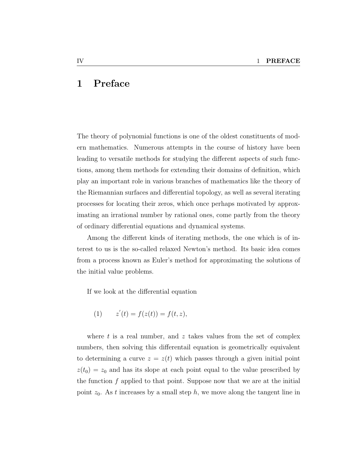# <span id="page-5-0"></span>1 Preface

The theory of polynomial functions is one of the oldest constituents of modern mathematics. Numerous attempts in the course of history have been leading to versatile methods for studying the different aspects of such functions, among them methods for extending their domains of definition, which play an important role in various branches of mathematics like the theory of the Riemannian surfaces and differential topology, as well as several iterating processes for locating their zeros, which once perhaps motivated by approximating an irrational number by rational ones, come partly from the theory of ordinary differential equations and dynamical systems.

Among the different kinds of iterating methods, the one which is of interest to us is the so-called relaxed Newton's method. Its basic idea comes from a process known as Euler's method for approximating the solutions of the initial value problems.

If we look at the differential equation

(1) 
$$
z'(t) = f(z(t)) = f(t, z),
$$

where t is a real number, and  $z$  takes values from the set of complex numbers, then solving this differentail equation is geometrically equivalent to determining a curve  $z = z(t)$  which passes through a given initial point  $z(t_0) = z_0$  and has its slope at each point equal to the value prescribed by the function  $f$  applied to that point. Suppose now that we are at the initial point  $z_0$ . As t increases by a small step h, we move along the tangent line in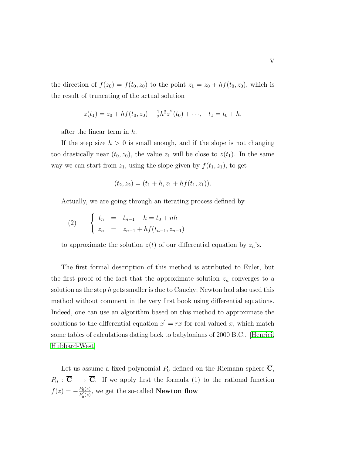the direction of  $f(z_0) = f(t_0, z_0)$  to the point  $z_1 = z_0 + hf(t_0, z_0)$ , which is the result of truncating of the actual solution

$$
z(t_1) = z_0 + h f(t_0, z_0) + \frac{1}{2} h^2 z''(t_0) + \cdots, \quad t_1 = t_0 + h,
$$

after the linear term in h.

If the step size  $h > 0$  is small enough, and if the slope is not changing too drastically near  $(t_0, z_0)$ , the value  $z_1$  will be close to  $z(t_1)$ . In the same way we can start from  $z_1$ , using the slope given by  $f(t_1, z_1)$ , to get

$$
(t_2, z_2) = (t_1 + h, z_1 + h f(t_1, z_1)).
$$

Actually, we are going through an iterating process defined by

(2) 
$$
\begin{cases} t_n = t_{n-1} + h = t_0 + nh \\ z_n = z_{n-1} + h f(t_{n-1}, z_{n-1}) \end{cases}
$$

to approximate the solution  $z(t)$  of our differential equation by  $z_n$ 's.

The first formal description of this method is attributed to Euler, but the first proof of the fact that the approximate solution  $z_n$  converges to a solution as the step h gets smaller is due to Cauchy; Newton had also used this method without comment in the very first book using differential equations. Indeed, one can use an algorithm based on this method to approximate the solutions to the differential equation  $x' = rx$  for real valued x, which match some tables of calculations dating back to babylonians of 2000 B.C.. [\[Henrici,](#page-90-1) [Hubbard-West\]](#page-91-0)

Let us assume a fixed polynomial  $P_0$  defined on the Riemann sphere  $\overline{C}$ ,  $P_0 : \overline{\mathbf{C}} \longrightarrow \overline{\mathbf{C}}$ . If we apply first the formula (1) to the rational function  $f(z) = -\frac{P_0(z)}{P_0'(z)}$  $\frac{P_0(z)}{P_0'(z)}$ , we get the so-called **Newton flow**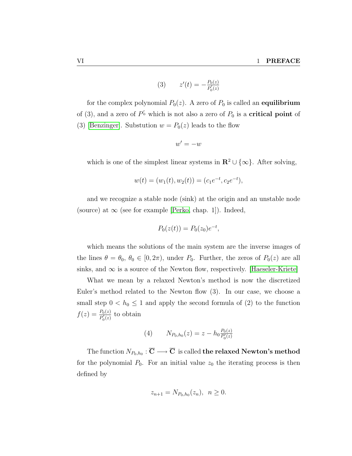(3) 
$$
z'(t) = -\frac{P_0(z)}{P'_0(z)}
$$

for the complex polynomial  $P_0(z)$ . A zero of  $P_0$  is called an **equilibrium** of (3), and a zero of  $P'_{0}$  which is not also a zero of  $P_{0}$  is a **critical point** of (3) [\[Benzinger\]](#page-90-2). Substution  $w = P_0(z)$  leads to the flow

$$
w' = -w
$$

which is one of the simplest linear systems in  $\mathbb{R}^2 \cup \{\infty\}$ . After solving,

$$
w(t) = (w_1(t), w_2(t)) = (c_1e^{-t}, c_2e^{-t}),
$$

and we recognize a stable node (sink) at the origin and an unstable node (source) at  $\infty$  (see for example [\[Perko,](#page-91-1) chap. 1]). Indeed,

$$
P_0(z(t)) = P_0(z_0)e^{-t},
$$

which means the solutions of the main system are the inverse images of the lines  $\theta = \theta_0, \theta_0 \in [0, 2\pi)$ , under  $P_0$ . Further, the zeros of  $P_0(z)$  are all sinks, and  $\infty$  is a source of the Newton flow, respectively. [\[Haeseler-Kriete\]](#page-90-3)

What we mean by a relaxed Newton's method is now the discretized Euler's method related to the Newton flow (3). In our case, we choose a small step  $0 < h_0 \leq 1$  and apply the second formula of (2) to the function  $f(z) = \frac{P_0(z)}{P'_0(z)}$  to obtain

(4) 
$$
N_{P_0,h_0}(z) = z - h_0 \frac{P_0(z)}{P'_0(z)}
$$

The function  $N_{P_0,h_0}:\overline{{\bf C}}\longrightarrow \overline{{\bf C}}\,$  is called **the relaxed Newton's method** for the polynomial  $P_0$ . For an initial value  $z_0$  the iterating process is then defined by

$$
z_{n+1} = N_{P_0, h_0}(z_n), \ \ n \ge 0.
$$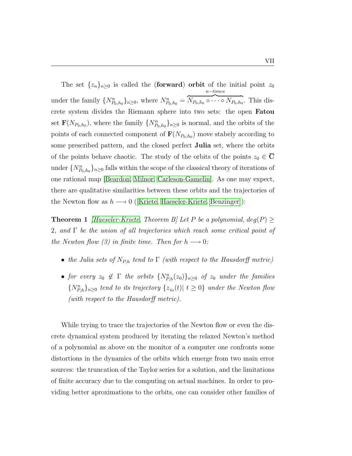The set  $\{z_n\}_{n\geq 0}$  is called the (**forward**) **orbit** of the initial point  $z_0$ under the family  $\{N_{P_0,h_0}^n\}_{n\geq 0}$ , where  $N_{P_0,h_0}^n =$ n−times  $\overline{N_{P_0,h_0}\circ\cdots\circ N_{P_0,h_0}}$ . This discrete system divides the Riemann sphere into two sets: the open Fatou set  $\mathbf{F}(N_{P_0,h_0})$ , where the family  $\{N_{P_0,h_0}^n\}_{n\geq 0}$  is normal, and the orbits of the points of each connected component of  $\mathbf{F}(N_{P_0,h_0})$  move stabely according to some prescribed pattern, and the closed perfect Julia set, where the orbits of the points behave chaotic. The study of the orbits of the points  $z_0 \in \mathbb{C}$ under  $\{N_{P_0,h_0}^n\}_{n\geq 0}$  falls within the scope of the classical theory of iterations of one rational map [\[Beardon,](#page-90-4) [Milnor,](#page-91-2) [Carleson-Gamelin\]](#page-90-5). As one may expect, there are qualitative similarities between these orbits and the trajectories of theNewton flow as  $h \longrightarrow 0$  ([\[Kriete,](#page-91-3) [Haeseler-Kriete,](#page-90-3) [Benzinger\]](#page-90-2)):

**Theorem 1** [\[Haeseler-Kriete,](#page-90-3) Theorem B] Let P be a polynomial,  $deg(P)$  > 2, and  $\Gamma$  be the union of all trajectories which reach some critical point of the Newton flow (3) in finite time. Then for  $h \longrightarrow 0$ :

- the Julia sets of  $N_{P,h}$  tend to  $\Gamma$  (with respect to the Hausdorff metric)
- for every  $z_0 \notin \Gamma$  the orbits  $\{N_{P,h}^n(z_0)\}_{n\geq 0}$  of  $z_0$  under the families  ${N_{P,h}^n}_{n \geq 0}$  tend to its trajectory  ${z_{z_0}(t) | t \geq 0}$  under the Newton flow (with respect to the Hausdorff metric).

While trying to trace the trajectories of the Newton flow or even the discrete dynamical system produced by iterating the relaxed Newton's method of a polynomial as above on the monitor of a computer one confronts some distortions in the dynamics of the orbits which emerge from two main error sources: the truncation of the Taylor series for a solution, and the limitations of finite accuracy due to the computing on actual machines. In order to providing better aproximations to the orbits, one can consider other families of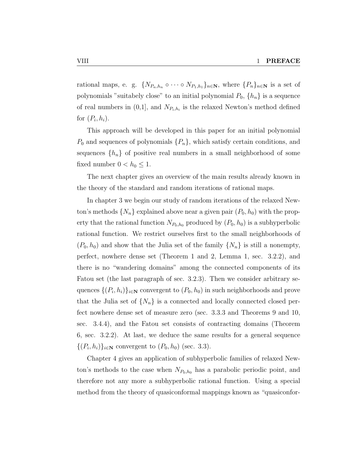rational maps, e. g.  $\{N_{P_n,h_n} \circ \cdots \circ N_{P_1,h_1}\}_{n \in \mathbb{N}}$ , where  $\{P_n\}_{n \in \mathbb{N}}$  is a set of polynomials "suitabely close" to an initial polynomial  $P_0$ ,  $\{h_n\}$  is a sequence of real numbers in  $(0,1]$ , and  $N_{P_i,h_i}$  is the relaxed Newton's method defined for  $(P_i, h_i)$ .

This approach will be developed in this paper for an initial polynomial  $P_0$  and sequences of polynomials  $\{P_n\}$ , which satisfy certain conditions, and sequences  $\{h_n\}$  of positive real numbers in a small neighborhood of some fixed number  $0 < h_0 \leq 1$ .

The next chapter gives an overview of the main results already known in the theory of the standard and random iterations of rational maps.

In chapter 3 we begin our study of random iterations of the relaxed Newton's methods  $\{N_n\}$  explained above near a given pair  $(P_0, h_0)$  with the property that the rational function  $N_{P_0,h_0}$  produced by  $(P_0,h_0)$  is a subhyperbolic rational function. We restrict ourselves first to the small neighborhoods of  $(P_0, h_0)$  and show that the Julia set of the family  $\{N_n\}$  is still a nonempty, perfect, nowhere dense set (Theorem 1 and 2, Lemma 1, sec. 3.2.2), and there is no "wandering domains" among the connected components of its Fatou set (the last paragraph of sec. 3.2.3). Then we consider arbitrary sequences  $\{(P_i, h_i)\}_{i \in \mathbb{N}}$  convergent to  $(P_0, h_0)$  in such neighborhoods and prove that the Julia set of  $\{N_n\}$  is a connected and locally connected closed perfect nowhere dense set of measure zero (sec. 3.3.3 and Theorems 9 and 10, sec. 3.4.4), and the Fatou set consists of contracting domains (Theorem 6, sec. 3.2.2). At last, we deduce the same results for a general sequence  $\{(P_i, h_i)\}_{i \in \mathbb{N}}$  convergent to  $(P_0, h_0)$  (sec. 3.3).

Chapter 4 gives an application of subhyperbolic families of relaxed Newton's methods to the case when  $N_{P_0,h_0}$  has a parabolic periodic point, and therefore not any more a subhyperbolic rational function. Using a special method from the theory of quasiconformal mappings known as "quasiconfor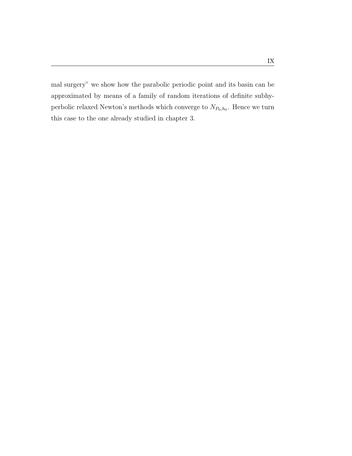mal surgery" we show how the parabolic periodic point and its basin can be approximated by means of a family of random iterations of definite subhyperbolic relaxed Newton's methods which converge to  $N_{P_0,h_0}$ . Hence we turn this case to the one already studied in chapter 3.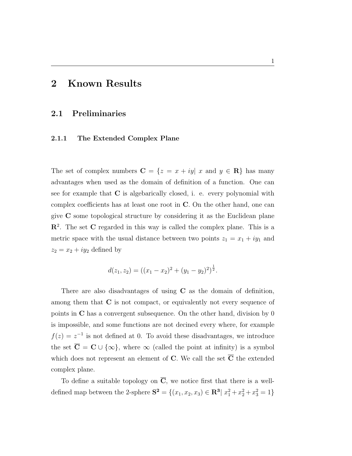## <span id="page-11-0"></span>2 Known Results

### <span id="page-11-1"></span>2.1 Preliminaries

#### <span id="page-11-2"></span>2.1.1 The Extended Complex Plane

The set of complex numbers  $C = \{z = x + iy | x \text{ and } y \in \mathbb{R}\}\)$  has many advantages when used as the domain of definition of a function. One can see for example that  $C$  is algebarically closed, i. e. every polynomial with complex coefficients has at least one root in C. On the other hand, one can give C some topological structure by considering it as the Euclidean plane  $\mathbb{R}^2$ . The set C regarded in this way is called the complex plane. This is a metric space with the usual distance between two points  $z_1 = x_1 + iy_1$  and  $z_2 = x_2 + iy_2$  defined by

$$
d(z_1, z_2) = ((x_1 - x_2)^2 + (y_1 - y_2)^2)^{\frac{1}{2}}.
$$

There are also disadvantages of using C as the domain of definition, among them that  $C$  is not compact, or equivalently not every sequence of points in C has a convergent subsequence. On the other hand, division by 0 is impossible, and some functions are not decined every where, for example  $f(z) = z^{-1}$  is not defined at 0. To avoid these disadvantages, we introduce the set  $\overline{\mathbf{C}} = \mathbf{C} \cup \{\infty\}$ , where  $\infty$  (called the point at infinity) is a symbol which does not represent an element of  $C$ . We call the set  $\overline{C}$  the extended complex plane.

To define a suitable topology on  $\overline{C}$ , we notice first that there is a welldefined map between the 2-sphere  $S^2 = \{(x_1, x_2, x_3) \in \mathbb{R}^3 | x_1^2 + x_2^2 + x_3^2 = 1\}$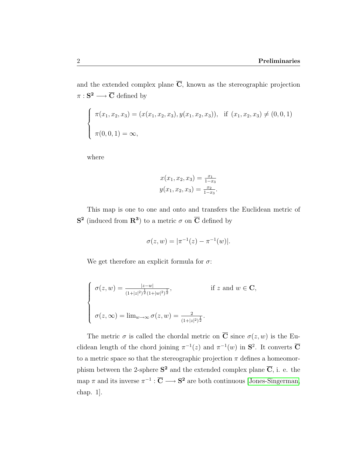and the extended complex plane  $\overline{C}$ , known as the stereographic projection  $\pi : \mathbf{S}^2 \longrightarrow \overline{\mathbf{C}}$  defined by

$$
\begin{cases}\n\pi(x_1, x_2, x_3) = (x(x_1, x_2, x_3), y(x_1, x_2, x_3)), & \text{if } (x_1, x_2, x_3) \neq (0, 0, 1) \\
\pi(0, 0, 1) = \infty,\n\end{cases}
$$

where

$$
x(x_1, x_2, x_3) = \frac{x_1}{1 - x_3}
$$
  

$$
y(x_1, x_2, x_3) = \frac{x_2}{1 - x_3}.
$$

This map is one to one and onto and transfers the Euclidean metric of  $S^2$  (induced from  $\mathbb{R}^3$ ) to a metric  $\sigma$  on  $\overline{\mathbb{C}}$  defined by

$$
\sigma(z, w) = |\pi^{-1}(z) - \pi^{-1}(w)|.
$$

We get therefore an explicit formula for  $\sigma$ :

$$
\begin{cases}\n\sigma(z, w) = \frac{|z-w|}{(1+|z|^2)^{\frac{1}{2}}(1+|w|^2)^{\frac{1}{2}}}, & \text{if } z \text{ and } w \in \mathbf{C}, \\
\sigma(z, \infty) = \lim_{w \to \infty} \sigma(z, w) = \frac{2}{(1+|z|^2)^{\frac{1}{2}}}.\n\end{cases}
$$

The metric  $\sigma$  is called the chordal metric on  $\overline{C}$  since  $\sigma(z, w)$  is the Euclidean length of the chord joining  $\pi^{-1}(z)$  and  $\pi^{-1}(w)$  in  $S^2$ . It converts  $\overline{C}$ to a metric space so that the stereographic projection  $\pi$  defines a homeomorphism between the 2-sphere  $S^2$  and the extended complex plane  $\overline{C}$ , i. e. the map  $\pi$  and its inverse  $\pi^{-1} : \overline{C} \longrightarrow S^2$  are both continuous [\[Jones-Singerman,](#page-91-4) chap. 1].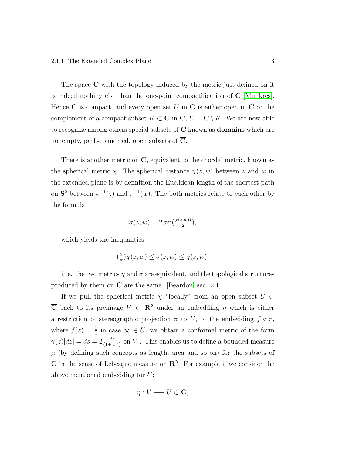The space  $\overline{C}$  with the topology induced by the metric just defined on it is indeed nothing else than the one-point compactification of C [\[Munkres\]](#page-91-5). Hence  $\overline{C}$  is compact, and every open set U in  $\overline{C}$  is either open in C or the complement of a compact subset  $K \subset \mathbf{C}$  in  $\overline{\mathbf{C}}$ ,  $U = \overline{\mathbf{C}} \setminus K$ . We are now able to recognize among others special subsets of  $\overline{C}$  known as **domains** which are nonempty, path-connected, open subsets of  $\overline{C}$ .

There is another metric on  $\overline{C}$ , equivalent to the chordal metric, known as the spherical metric  $\chi$ . The spherical distance  $\chi(z, w)$  between z and w in the extended plane is by definition the Euclidean length of the shortest path on  $S^2$  between  $\pi^{-1}(z)$  and  $\pi^{-1}(w)$ . The both metrics relate to each other by the formula

$$
\sigma(z, w) = 2\sin(\frac{\chi(z, w))}{2}),
$$

which yields the inequalities

$$
\left(\frac{2}{\pi}\right)\chi(z,w) \le \sigma(z,w) \le \chi(z,w),
$$

i. e. the two metrics  $\chi$  and  $\sigma$  are equivalent, and the topological structures produced by them on  $\overline{C}$  are the same. [\[Beardon,](#page-90-4) sec. 2.1]

If we pull the spherical metric  $\chi$  "locally" from an open subset  $U \subset$  $\overline{C}$  back to its preimage  $V \subset \mathbb{R}^2$  under an embedding  $\eta$  which is either a restriction of stereographic projection  $\pi$  to U, or the embedding  $f \circ \pi$ , where  $f(z) = \frac{1}{z}$  in case  $\infty \in U$ , we obtain a conformal metric of the form  $\gamma(z)|dz| = ds = 2\frac{|dz|}{(1+|z|^2)}$  on V. This enables us to define a bounded measure  $\mu$  (by defining such concepts as length, area and so on) for the subsets of  $\overline{C}$  in the sense of Lebesgue measure on  $\mathbb{R}^2$ . For example if we consider the above mentioned embedding for U:

$$
\eta: V \longrightarrow U \subset \overline{\mathbf{C}},
$$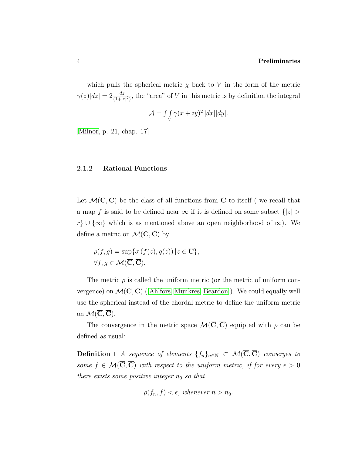which pulls the spherical metric  $\chi$  back to V in the form of the metric  $\gamma(z)|dz| = 2\frac{|dz|}{(1+|z|^2)}$ , the "area" of V in this metric is by definition the integral

$$
\mathcal{A} = \int\int\limits_V \gamma(x+iy)^2 |dx||dy|.
$$

[\[Milnor,](#page-91-2) p. 21, chap. 17]

#### <span id="page-14-0"></span>2.1.2 Rational Functions

Let  $\mathcal{M}(\overline{C}, \overline{C})$  be the class of all functions from  $\overline{C}$  to itself (we recall that a map f is said to be defined near  $\infty$  if it is defined on some subset  $\{|z|>$  $r\} \cup \{\infty\}$  which is as mentioned above an open neighborhood of  $\infty$ ). We define a metric on  $\mathcal{M}(\overline{C}, \overline{C})$  by

$$
\rho(f,g) = \sup \{ \sigma(f(z), g(z)) \mid z \in \overline{\mathbf{C}} \},\
$$
  

$$
\forall f, g \in \mathcal{M}(\overline{\mathbf{C}}, \overline{\mathbf{C}}).
$$

The metric  $\rho$  is called the uniform metric (or the metric of uniform convergence)on  $\mathcal{M}(\overline{\mathbf{C}},\overline{\mathbf{C}})$  ([\[Ahlfors,](#page-90-6) [Munkres,](#page-91-5) [Beardon\]](#page-90-4)). We could equally well use the spherical instead of the chordal metric to define the uniform metric on  $\mathcal{M}(\overline{\mathbf{C}}, \overline{\mathbf{C}})$ .

The convergence in the metric space  $\mathcal{M}(\overline{C}, \overline{C})$  equipted with  $\rho$  can be defined as usual:

**Definition 1** A sequence of elements  $\{f_n\}_{n\in\mathbb{N}}$  ⊂  $\mathcal{M}(\overline{C}, \overline{C})$  converges to some  $f \in \mathcal{M}(\overline{C}, \overline{C})$  with respect to the uniform metric, if for every  $\epsilon > 0$ there exists some positive integer  $n_0$  so that

$$
\rho(f_n, f) < \epsilon, \text{ whenever } n > n_0.
$$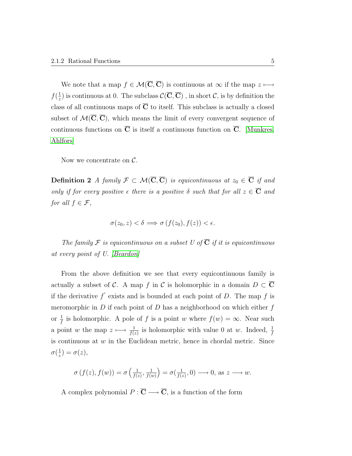We note that a map  $f \in \mathcal{M}(\overline{C}, \overline{C})$  is continuous at  $\infty$  if the map  $z \longmapsto$  $f(\frac{1}{\tau})$  $\frac{1}{z}$ ) is continuous at 0. The subclass  $\mathcal{C}(\overline{C}, \overline{C})$ , in short  $\mathcal{C}$ , is by definition the class of all continuous maps of  $\overline{C}$  to itself. This subclass is actually a closed subset of  $\mathcal{M}(\overline{C}, \overline{C})$ , which means the limit of every convergent sequence of continuous functions on  $\overline{C}$  is itself a continuous function on  $\overline{C}$ . [\[Munkres,](#page-91-5) [Ahlfors\]](#page-90-6)

Now we concentrate on  $\mathcal{C}$ .

Definition 2 A family  $\mathcal{F} \subset \mathcal{M}(\overline{C}, \overline{C})$  is equicontinuous at  $z_0 \in \overline{C}$  if and only if for every positive  $\epsilon$  there is a positive  $\delta$  such that for all  $z \in \overline{\mathbf{C}}$  and for all  $f \in \mathcal{F}$ ,

$$
\sigma(z_0, z) < \delta \implies \sigma\left(f(z_0), f(z)\right) < \epsilon.
$$

The family F is equicontinuous on a subset U of  $\overline{C}$  if it is equicontinuous at every point of U. [\[Beardon\]](#page-90-4)

From the above definition we see that every equicontinuous family is actually a subset of C. A map f in C is holomorphic in a domain  $D \subset \overline{C}$ if the derivative  $f'$  exists and is bounded at each point of D. The map f is meromorphic in  $D$  if each point of  $D$  has a neighborhood on which either  $f$ or  $\frac{1}{f}$  is holomorphic. A pole of f is a point w where  $f(w) = \infty$ . Near such a point w the map  $z \mapsto \frac{1}{f(z)}$  is holomorphic with value 0 at w. Indeed,  $\frac{1}{f}$ is continuous at  $w$  in the Euclidean metric, hence in chordal metric. Since  $\sigma(\frac{1}{z}$  $(\frac{1}{z}) = \sigma(z),$ 

$$
\sigma(f(z), f(w)) = \sigma\left(\frac{1}{f(z)}, \frac{1}{f(w)}\right) = \sigma(\frac{1}{f(z)}, 0) \longrightarrow 0, \text{ as } z \longrightarrow w.
$$

A complex polynomial  $P: \overline{\mathbf{C}} \longrightarrow \overline{\mathbf{C}}$ , is a function of the form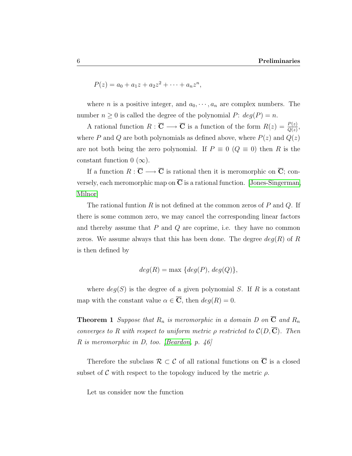$$
P(z) = a_0 + a_1 z + a_2 z^2 + \dots + a_n z^n,
$$

where *n* is a positive integer, and  $a_0, \dots, a_n$  are complex numbers. The number  $n \geq 0$  is called the degree of the polynomial P:  $deg(P) = n$ .

A rational function  $R: \overline{\mathbf{C}} \longrightarrow \overline{\mathbf{C}}$  is a function of the form  $R(z) = \frac{P(z)}{Q(z)}$ , where P and Q are both polynomials as defined above, where  $P(z)$  and  $Q(z)$ are not both being the zero polynomial. If  $P \equiv 0 \ (Q \equiv 0)$  then R is the constant function  $0 (\infty)$ .

If a function  $R : \overline{\mathbf{C}} \longrightarrow \overline{\mathbf{C}}$  is rational then it is meromorphic on  $\overline{\mathbf{C}}$ ; conversely, each meromorphic map on  $\overline{C}$  is a rational function. [\[Jones-Singerman,](#page-91-4) [Milnor\]](#page-91-2)

The rational funtion  $R$  is not defined at the common zeros of  $P$  and  $Q$ . If there is some common zero, we may cancel the corresponding linear factors and thereby assume that  $P$  and  $Q$  are coprime, i.e. they have no common zeros. We assume always that this has been done. The degree  $deg(R)$  of R is then defined by

$$
deg(R) = \max \{deg(P), deg(Q)\},\
$$

where  $deg(S)$  is the degree of a given polynomial S. If R is a constant map with the constant value  $\alpha \in \overline{\mathbf{C}}$ , then  $deg(R) = 0$ .

**Theorem 1** Suppose that  $R_n$  is meromorphic in a domain D on  $\overline{C}$  and  $R_n$ converges to R with respect to uniform metric  $\rho$  restricted to  $\mathcal{C}(D,\overline{\mathbf{C}})$ . Then  $R$  is meromorphic in  $D$ , too. [\[Beardon,](#page-90-4) p. 46]

Therefore the subclass  $\mathcal{R} \subset \mathcal{C}$  of all rational functions on  $\overline{C}$  is a closed subset of C with respect to the topology induced by the metric  $\rho$ .

Let us consider now the function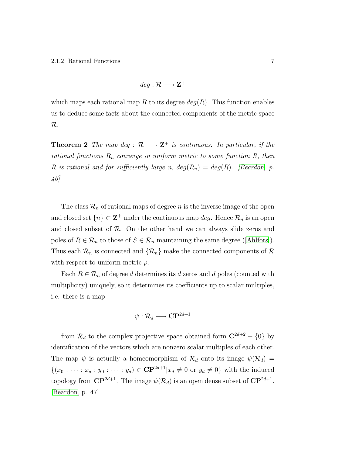$$
deg: \mathcal{R} \longrightarrow \mathbf{Z}^+
$$

which maps each rational map R to its degree  $deg(R)$ . This function enables us to deduce some facts about the connected components of the metric space R.

**Theorem 2** The map deg :  $\mathcal{R} \longrightarrow \mathbf{Z}^+$  is continuous. In particular, if the rational functions  $R_n$  converge in uniform metric to some function  $R$ , then R is rational and for sufficiently large n,  $deg(R_n) = deg(R)$ . [\[Beardon,](#page-90-4) p. 46]

The class  $\mathcal{R}_n$  of rational maps of degree n is the inverse image of the open and closed set  $\{n\} \subset \mathbf{Z}^+$  under the continuous map  $deg$ . Hence  $\mathcal{R}_n$  is an open and closed subset of  $R$ . On the other hand we can always slide zeros and polesof  $R \in \mathcal{R}_n$  to those of  $S \in \mathcal{R}_n$  maintaining the same degree ([\[Ahlfors\]](#page-90-6)). Thus each  $\mathcal{R}_n$  is connected and  $\{\mathcal{R}_n\}$  make the connected components of  $\mathcal{R}$ with respect to uniform metric  $\rho$ .

Each  $R \in \mathcal{R}_n$  of degree d determines its d zeros and d poles (counted with multiplicity) uniquely, so it determines its coefficients up to scalar multiples, i.e. there is a map

$$
\psi: \mathcal{R}_d \longrightarrow \mathbf{CP}^{2d+1}
$$

from  $\mathcal{R}_d$  to the complex projective space obtained form  $\mathbb{C}^{2d+2} - \{0\}$  by identification of the vectors which are nonzero scalar multiples of each other. The map  $\psi$  is actually a homeomorphism of  $\mathcal{R}_d$  onto its image  $\psi(\mathcal{R}_d)$  =  $\{(x_0 : \cdots : x_d : y_0 : \cdots : y_d) \in \mathbf{CP}^{2d+1} | x_d \neq 0 \text{ or } y_d \neq 0\}$  with the induced topology from  $\mathbf{CP}^{2d+1}$ . The image  $\psi(\mathcal{R}_d)$  is an open dense subset of  $\mathbf{CP}^{2d+1}$ . [\[Beardon,](#page-90-4) p. 47]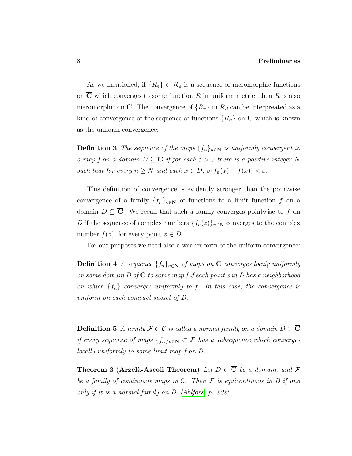As we mentioned, if  $\{R_n\} \subset \mathcal{R}_d$  is a sequence of meromorphic functions on  $\overline{C}$  which converges to some function R in uniform metric, then R is also meromorphic on  $\overline{C}$ . The convergence of  $\{R_n\}$  in  $\mathcal{R}_d$  can be interpreated as a kind of convergence of the sequence of functions  $\{R_n\}$  on  $\overline{C}$  which is known as the uniform convergence:

**Definition 3** The sequence of the maps  $\{f_n\}_{n\in\mathbb{N}}$  is uniformly convergent to a map f on a domain  $D \subseteq \overline{C}$  if for each  $\varepsilon > 0$  there is a positive integer N such that for every  $n \geq N$  and each  $x \in D$ ,  $\sigma(f_n(x) - f(x)) < \varepsilon$ .

This definition of convergence is evidently stronger than the pointwise convergence of a family  $\{f_n\}_{n\in\mathbb{N}}$  of functions to a limit function f on a domain  $D \subseteq \overline{C}$ . We recall that such a family converges pointwise to f on D if the sequence of complex numbers  $\{f_n(z)\}_{n\in\mathbb{N}}$  converges to the complex number  $f(z)$ , for every point  $z \in D$ .

For our purposes we need also a weaker form of the uniform convergence:

**Definition 4** A sequence  $\{f_n\}_{n\in\mathbb{N}}$  of maps on  $\overline{C}$  converges localy uniformly on some domain D of  $\overline{C}$  to some map f if each point x in D has a neighborhood on which  $\{f_n\}$  converges uniformly to f. In this case, the convergence is uniform on each compact subset of D.

**Definition 5** A family  $\mathcal{F} \subset \mathcal{C}$  is called a normal family on a domain  $D \subset \overline{\mathbf{C}}$ if every sequence of maps  $\{f_n\}_{n\in\mathbb{N}}\subset\mathcal{F}$  has a subsequence which converges locally uniformly to some limit map f on D.

Theorem 3 (Arzelà-Ascoli Theorem) Let  $D \in \overline{C}$  be a domain, and  $\mathcal F$ be a family of continuous maps in  $\mathcal C$ . Then  $\mathcal F$  is equicontinous in  $D$  if and only if it is a normal family on D. [\[Ahlfors,](#page-90-6) p. 222]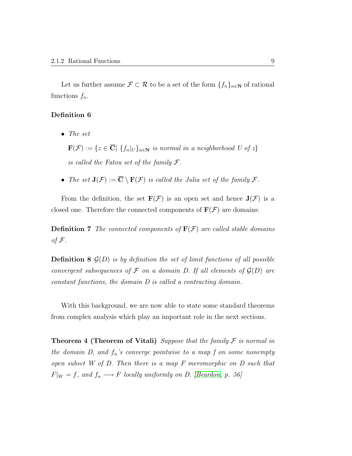Let us further assume  $\mathcal{F} \subset \mathcal{R}$  to be a set of the form  $\{f_n\}_{n\in\mathbb{N}}$  of rational functions  $f_n$ .

#### Definition 6

• The set

 $\mathbf{F}(\mathcal{F}) := \{z \in \overline{\mathbf{C}} \mid \{f_n|_U\}_{n \in \mathbb{N}} \text{ is normal in a neighborhood } U \text{ of } z\}$ is called the Fatou set of the family  $\mathcal{F}.$ 

• The set  $J(\mathcal{F}) := \overline{C} \setminus F(\mathcal{F})$  is called the Julia set of the family  $\mathcal{F}$ .

From the definition, the set  $\mathbf{F}(\mathcal{F})$  is an open set and hence  $\mathbf{J}(\mathcal{F})$  is a closed one. Therefore the connected components of  $\mathbf{F}(\mathcal{F})$  are domains:

**Definition 7** The connected components of  $F(\mathcal{F})$  are called stable domains of  $\mathcal F$ .

**Definition 8**  $\mathcal{G}(D)$  is by definition the set of limit functions of all possible convergent subsequences of  $\mathcal F$  on a domain D. If all elements of  $\mathcal G(D)$  are constant functions, the domain D is called a contracting domain.

With this background, we are now able to state some standard theorems from complex analysis which play an important role in the next sections.

**Theorem 4 (Theorem of Vitali)** Suppose that the family  $\mathcal F$  is normal in the domain  $D$ , and  $f_n$ 's converge pointwise to a map  $f$  on some nonempty open subset W of D. Then there is a map F meromorphic on D such that  $F|_W = f$ , and  $f_n \longrightarrow F$  locally uniformly on D. [\[Beardon,](#page-90-4) p. 56]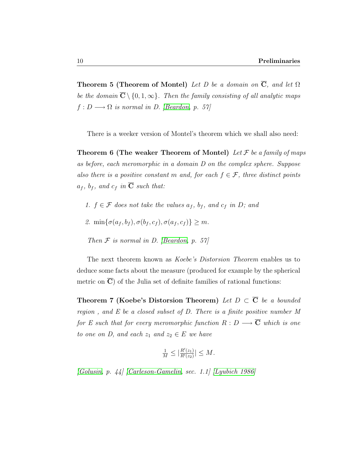**Theorem 5 (Theorem of Montel)** Let D be a domain on  $\overline{C}$ , and let  $\Omega$ be the domain  $\overline{C} \setminus \{0, 1, \infty\}$ . Then the family consisting of all analytic maps  $f: D \longrightarrow \Omega$  is normal in D. [\[Beardon,](#page-90-4) p. 57]

There is a weeker version of Montel's theorem which we shall also need:

Theorem 6 (The weaker Theorem of Montel) Let  $\mathcal F$  be a family of maps as before, each meromorphic in a domain D on the complex sphere. Suppose also there is a positive constant m and, for each  $f \in \mathcal{F}$ , three distinct points  $a_f$ ,  $b_f$ , and  $c_f$  in  $\overline{C}$  such that:

- 1.  $f \in \mathcal{F}$  does not take the values  $a_f$ ,  $b_f$ , and  $c_f$  in D; and
- 2.  $\min\{\sigma(a_f, b_f), \sigma(b_f, c_f), \sigma(a_f, c_f)\} \geq m$ .
- Then  $F$  is normal in D. [\[Beardon,](#page-90-4) p. 57]

The next theorem known as Koebe's Distorsion Theorem enables us to deduce some facts about the measure (produced for example by the spherical metric on  $\overline{C}$ ) of the Julia set of definite families of rational functions:

Theorem 7 (Koebe's Distorsion Theorem) Let  $D \subset \overline{C}$  be a bounded region, and  $E$  be a closed subset of  $D$ . There is a finite positive number  $M$ for E such that for every meromorphic function  $R : D \longrightarrow \overline{C}$  which is one to one on D, and each  $z_1$  and  $z_2 \in E$  we have

$$
\frac{1}{M} \leq \left| \frac{R'(z_1)}{R'(z_2)} \right| \leq M.
$$

[\[Golusin,](#page-90-7) p. 44] [\[Carleson-Gamelin,](#page-90-5) sec. 1.1] [\[Lyubich 1986\]](#page-91-6)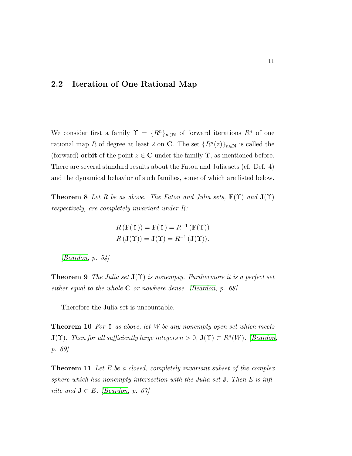### <span id="page-21-0"></span>2.2 Iteration of One Rational Map

We consider first a family  $\Upsilon = \{R^n\}_{n\in\mathbb{N}}$  of forward iterations  $R^n$  of one rational map R of degree at least 2 on  $\overline{C}$ . The set  $\{R^n(z)\}_{n\in\mathbb{N}}$  is called the (forward) **orbit** of the point  $z \in \overline{C}$  under the family  $\Upsilon$ , as mentioned before. There are several standard results about the Fatou and Julia sets (cf. Def. 4) and the dynamical behavior of such families, some of which are listed below.

**Theorem 8** Let R be as above. The Fatou and Julia sets,  $\mathbf{F}(\Upsilon)$  and  $\mathbf{J}(\Upsilon)$ respectively, are completely invariant under R:

$$
R(\mathbf{F}(\Upsilon)) = \mathbf{F}(\Upsilon) = R^{-1}(\mathbf{F}(\Upsilon))
$$

$$
R(\mathbf{J}(\Upsilon)) = \mathbf{J}(\Upsilon) = R^{-1}(\mathbf{J}(\Upsilon)).
$$

 $\left| \text{Beardon}, p. 54 \right|$ 

**Theorem 9** The Julia set  $J(\Upsilon)$  is nonempty. Furthermore it is a perfect set either equal to the whole  $\overline{C}$  or nowhere dense. [\[Beardon,](#page-90-4) p. 68]

Therefore the Julia set is uncountable.

**Theorem 10** For  $\Upsilon$  as above, let W be any nonempty open set which meets  $\mathbf{J}(\Upsilon)$ . Then for all sufficiently large integers  $n > 0$ ,  $\mathbf{J}(\Upsilon) \subset R^n(W)$ . [\[Beardon,](#page-90-4) p. 69]

**Theorem 11** Let E be a closed, completely invariant subset of the complex sphere which has nonempty intersection with the Julia set  $J$ . Then  $E$  is infinite and  $\mathbf{J} \subset E$ . [\[Beardon,](#page-90-4) p. 67]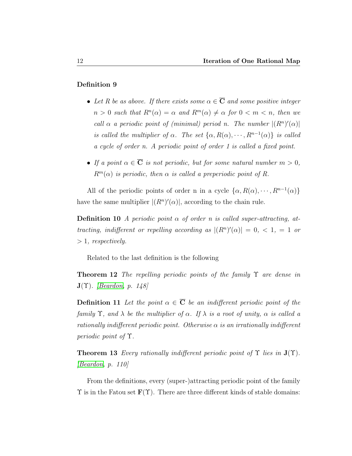#### Definition 9

- Let R be as above. If there exists some  $\alpha \in \overline{C}$  and some positive integer  $n > 0$  such that  $R^{n}(\alpha) = \alpha$  and  $R^{m}(\alpha) \neq \alpha$  for  $0 < m < n$ , then we call  $\alpha$  a periodic point of (minimal) period n. The number  $|(R^n)'(\alpha)|$ is called the multiplier of  $\alpha$ . The set  $\{\alpha, R(\alpha), \cdots, R^{n-1}(\alpha)\}\$ is called a cycle of order n. A periodic point of order 1 is called a fixed point.
- If a point  $\alpha \in \overline{\mathbf{C}}$  is not periodic, but for some natural number  $m > 0$ ,  $R^m(\alpha)$  is periodic, then  $\alpha$  is called a preperiodic point of R.

All of the periodic points of order n in a cycle  $\{\alpha, R(\alpha), \cdots, R^{n-1}(\alpha)\}\$ have the same multiplier  $|(R^n)'(\alpha)|$ , according to the chain rule.

**Definition 10** A periodic point  $\alpha$  of order n is called super-attracting, attracting, indifferent or repelling according as  $|(R^n)'(\alpha)| = 0, \, \langle 1, 1 \rangle = 1$  $> 1$ , respectively.

Related to the last definition is the following

**Theorem 12** The repelling periodic points of the family  $\Upsilon$  are dense in  $\mathbf{J}(\Upsilon)$ . *[\[Beardon,](#page-90-4) p. 148]* 

**Definition 11** Let the point  $\alpha \in \overline{C}$  be an indifferent periodic point of the family  $\Upsilon$ , and  $\lambda$  be the multiplier of  $\alpha$ . If  $\lambda$  is a root of unity,  $\alpha$  is called a rationally indifferent periodic point. Otherwise  $\alpha$  is an irrationally indifferent periodic point of Υ.

**Theorem 13** Every rationally indifferent periodic point of  $\Upsilon$  lies in  $J(\Upsilon)$ . [\[Beardon,](#page-90-4) p. 110]

From the definitions, every (super-)attracting periodic point of the family  $\Upsilon$  is in the Fatou set  $\mathbf{F}(\Upsilon)$ . There are three different kinds of stable domains: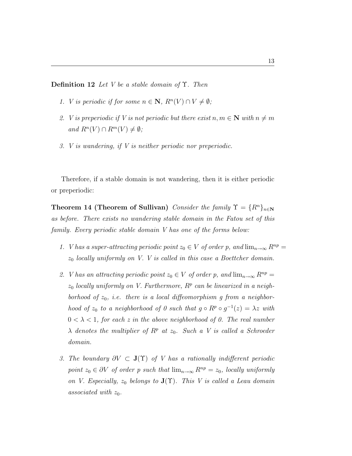**Definition 12** Let V be a stable domain of  $\Upsilon$ . Then

- 1. *V* is periodic if for some  $n \in \mathbb{N}$ ,  $R^{n}(V) \cap V \neq \emptyset$ ;
- 2. V is preperiodic if V is not periodic but there exist  $n, m \in \mathbb{N}$  with  $n \neq m$ and  $R^n(V) \cap R^m(V) \neq \emptyset$ ;
- 3. V is wandering, if V is neither periodic nor preperiodic.

Therefore, if a stable domain is not wandering, then it is either periodic or preperiodic:

**Theorem 14 (Theorem of Sullivan)** Consider the family  $\Upsilon = \{R^n\}_{n\in\mathbb{N}}$ as before. There exists no wandering stable domain in the Fatou set of this family. Every periodic stable domain V has one of the forms below:

- 1. *V* has a super-attracting periodic point  $z_0 \in V$  of order p, and  $\lim_{n\to\infty} R^{np} =$  $z_0$  locally uniformly on V. V is called in this case a Boettcher domain.
- 2. *V* has an attracting periodic point  $z_0 \in V$  of order p, and  $\lim_{n\to\infty} R^{np} =$  $z_0$  locally uniformly on V. Furthermore,  $R^p$  can be linearized in a neighborhood of  $z_0$ , i.e. there is a local diffeomorphism g from a neighborhood of  $z_0$  to a neighborhood of 0 such that  $g \circ R^p \circ g^{-1}(z) = \lambda z$  with  $0 < \lambda < 1$ , for each z in the above neighborhood of 0. The real number  $\lambda$  denotes the multiplier of  $R^p$  at  $z_0$ . Such a V is called a Schroeder domain.
- 3. The boundary  $\partial V \subset \mathbf{J}(\Upsilon)$  of V has a rationally indifferent periodic point  $z_0 \in \partial V$  of order p such that  $\lim_{n\to\infty} R^{np} = z_0$ , locally uniformly on V. Especially,  $z_0$  belongs to  $\mathbf{J}(\Upsilon)$ . This V is called a Leau domain associated with  $z_0$ .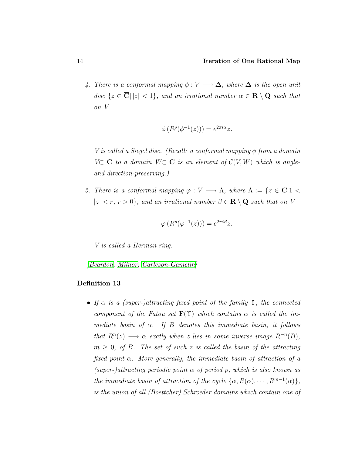4. There is a conformal mapping  $\phi: V \longrightarrow \Delta$ , where  $\Delta$  is the open unit disc  $\{z \in \overline{\mathbf{C}} \mid |z| < 1\}$ , and an irrational number  $\alpha \in \mathbf{R} \setminus \mathbf{Q}$  such that on V

$$
\phi(R^p(\phi^{-1}(z))) = e^{2\pi i \alpha} z.
$$

V is called a Siegel disc. (Recall: a conformal mapping  $\phi$  from a domain  $V\subset \overline{C}$  to a domain  $W\subset \overline{C}$  is an element of  $\mathcal{C}(V, W)$  which is angleand direction-preserving.)

5. There is a conformal mapping  $\varphi: V \longrightarrow \Lambda$ , where  $\Lambda := \{z \in \mathbf{C} | 1 \leq z \leq \Lambda\}$  $|z| < r, r > 0$ , and an irrational number  $\beta \in \mathbf{R} \setminus \mathbf{Q}$  such that on V

$$
\varphi(R^p(\varphi^{-1}(z))) = e^{2\pi i \beta} z.
$$

V is called a Herman ring.

[\[Beardon,](#page-90-4) [Milnor,](#page-91-2) [Carleson-Gamelin\]](#page-90-5)

#### Definition 13

• If  $\alpha$  is a (super-)attracting fixed point of the family  $\Upsilon$ , the connected component of the Fatou set  $\mathbf{F}(\Upsilon)$  which contains  $\alpha$  is called the immediate basin of  $\alpha$ . If B denotes this immediate basin, it follows that  $R^{n}(z) \longrightarrow \alpha$  exatly when z lies in some inverse image  $R^{-n}(B)$ ,  $m \geq 0$ , of B. The set of such z is called the basin of the attracting fixed point  $\alpha$ . More generally, the immediate basin of attraction of a (super-)attracting periodic point  $\alpha$  of period p, which is also known as the immediate basin of attraction of the cycle  $\{\alpha, R(\alpha), \cdots, R^{m-1}(\alpha)\}\,$ is the union of all (Boettcher) Schroeder domains which contain one of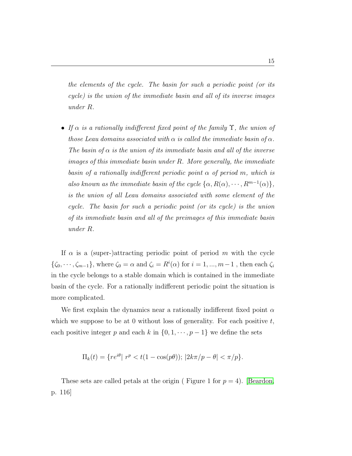the elements of the cycle. The basin for such a periodic point (or its cycle) is the union of the immediate basin and all of its inverse images under R.

• If  $\alpha$  is a rationally indifferent fixed point of the family  $\Upsilon$ , the union of those Leau domains associated with  $\alpha$  is called the immediate basin of  $\alpha$ . The basin of  $\alpha$  is the union of its immediate basin and all of the inverse images of this immediate basin under R. More generally, the immediate basin of a rationally indifferent periodic point  $\alpha$  of period m, which is also known as the immediate basin of the cycle  $\{\alpha, R(\alpha), \cdots, R^{m-1}(\alpha)\}\,$ , is the union of all Leau domains associated with some element of the cycle. The basin for such a periodic point (or its cycle) is the union of its immediate basin and all of the preimages of this immediate basin under R.

If  $\alpha$  is a (super-)attracting periodic point of period m with the cycle  $\{\zeta_0, \dots, \zeta_{m-1}\},\$  where  $\zeta_0 = \alpha$  and  $\zeta_i = R^i(\alpha)$  for  $i = 1, ..., m-1$ , then each  $\zeta_i$ in the cycle belongs to a stable domain which is contained in the immediate basin of the cycle. For a rationally indifferent periodic point the situation is more complicated.

We first explain the dynamics near a rationally indifferent fixed point  $\alpha$ which we suppose to be at 0 without loss of generality. For each positive  $t$ , each positive integer p and each k in  $\{0, 1, \dots, p-1\}$  we define the sets

$$
\Pi_k(t) = \{ re^{i\theta} | r^p < t(1 - \cos(p\theta)); \, |2k\pi/p - \theta| < \pi/p \}.
$$

These sets are called petals at the origin (Figure 1 for  $p = 4$ ). [\[Beardon,](#page-90-4) p. 116]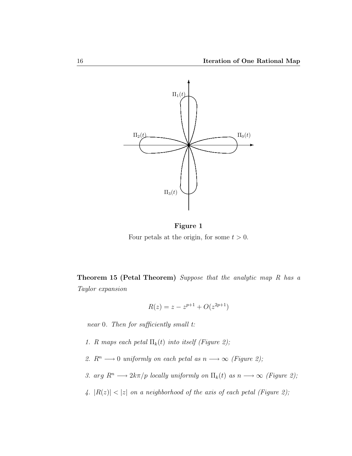

Figure 1 Four petals at the origin, for some  $t > 0$ .

Theorem 15 (Petal Theorem) Suppose that the analytic map R has a Taylor expansion

$$
R(z) = z - z^{p+1} + O(z^{2p+1})
$$

near 0. Then for sufficiently small t:

- 1. R maps each petal  $\Pi_k(t)$  into itself (Figure 2);
- 2.  $R^n \longrightarrow 0$  uniformly on each petal as  $n \longrightarrow \infty$  (Figure 2);
- 3. arg  $R^n \longrightarrow 2k\pi/p$  locally uniformly on  $\Pi_k(t)$  as  $n \longrightarrow \infty$  (Figure 2);
- 4.  $|R(z)| < |z|$  on a neighborhood of the axis of each petal (Figure 2);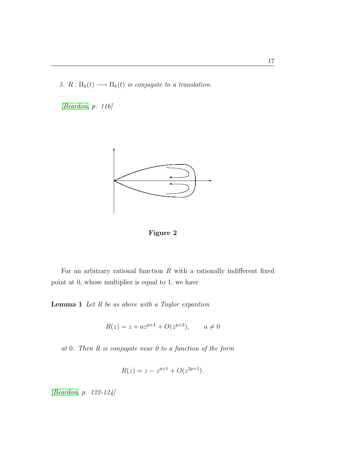5.  $R: \Pi_k(t) \longrightarrow \Pi_k(t)$  is conjugate to a translation.

[\[Beardon,](#page-90-4) p. 116]



Figure 2

For an arbitrary rational function  $R$  with a rationally indifferent fixed point at 0, whose multiplier is equal to 1, we have

**Lemma 1** Let  $R$  be as above with a Taylor expantion

$$
R(z) = z + az^{p+1} + O(z^{p+2}), \qquad a \neq 0
$$

at 0. Then R is conjugate near 0 to a function of the form

$$
R(z) = z - z^{p+1} + O(z^{2p+1}).
$$

[\[Beardon,](#page-90-4) p. 122-124]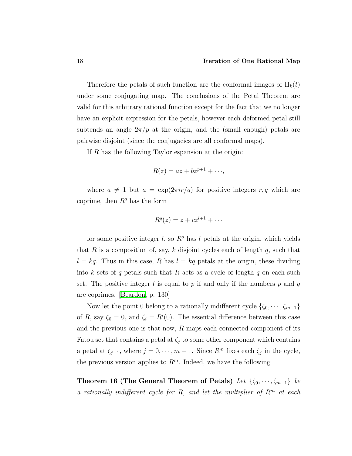Therefore the petals of such function are the conformal images of  $\Pi_k(t)$ under some conjugating map. The conclusions of the Petal Theorem are valid for this arbitrary rational function except for the fact that we no longer have an explicit expression for the petals, however each deformed petal still subtends an angle  $2\pi/p$  at the origin, and the (small enough) petals are pairwise disjoint (since the conjugacies are all conformal maps).

If R has the following Taylor espansion at the origin:

$$
R(z) = az + bz^{p+1} + \cdots,
$$

where  $a \neq 1$  but  $a = \exp(2\pi i r/q)$  for positive integers r, q which are coprime, then  $R<sup>q</sup>$  has the form

$$
R^q(z) = z + cz^{l+1} + \cdots
$$

for some positive integer l, so  $R<sup>q</sup>$  has l petals at the origin, which yields that R is a composition of, say, k disjoint cycles each of length q, such that  $l = kq$ . Thus in this case, R has  $l = kq$  petals at the origin, these dividing into k sets of q petals such that R acts as a cycle of length q on each such set. The positive integer l is equal to p if and only if the numbers p and q are coprimes. [\[Beardon,](#page-90-4) p. 130]

Now let the point 0 belong to a rationally indifferent cycle  $\{\zeta_0, \dots, \zeta_{m-1}\}$ of R, say  $\zeta_0 = 0$ , and  $\zeta_i = R^i(0)$ . The essential difference between this case and the previous one is that now,  $R$  maps each connected component of its Fatou set that contains a petal at  $\zeta_j$  to some other component which contains a petal at  $\zeta_{j+1}$ , where  $j = 0, \dots, m-1$ . Since  $R^m$  fixes each  $\zeta_j$  in the cycle, the previous version applies to  $R^m$ . Indeed, we have the following

Theorem 16 (The General Theorem of Petals) Let  $\{\zeta_0, \cdots, \zeta_{m-1}\}$  be a rationally indifferent cycle for R, and let the multiplier of  $R^m$  at each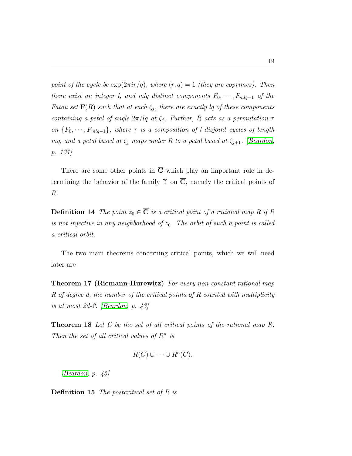point of the cycle be  $\exp(2\pi i r/q)$ , where  $(r, q) = 1$  (they are coprimes). Then there exist an integer l, and mlq distinct components  $F_0, \dots, F_{mlq-1}$  of the Fatou set  $\mathbf{F}(R)$  such that at each  $\zeta_j$ , there are exactly lq of these components containing a petal of angle  $2\pi/lq$  at  $\zeta_j$ . Further, R acts as a permutation  $\tau$ on  ${F_0, \dots, F_{mlq-1}}$ , where  $\tau$  is a composition of l disjoint cycles of length mq, and a petal based at  $\zeta_j$  maps under R to a petal based at  $\zeta_{j+1}$ . [\[Beardon,](#page-90-4) p. 131]

There are some other points in  $\overline{C}$  which play an important role in determining the behavior of the family  $\Upsilon$  on  $\overline{C}$ , namely the critical points of R.

**Definition 14** The point  $z_0 \in \overline{C}$  is a critical point of a rational map R if R is not injective in any neighborhood of  $z_0$ . The orbit of such a point is called a critical orbit.

The two main theorems concerning critical points, which we will need later are

Theorem 17 (Riemann-Hurewitz) For every non-constant rational map R of degree d, the number of the critical points of R counted with multiplicity is at most 2d-2. [\[Beardon,](#page-90-4) p. 43]

**Theorem 18** Let C be the set of all critical points of the rational map R. Then the set of all critical values of  $R^n$  is

$$
R(C) \cup \cdots \cup R^{n}(C).
$$

 $[Beardon, p. 45]$  $[Beardon, p. 45]$ 

**Definition 15** The postcritical set of  $R$  is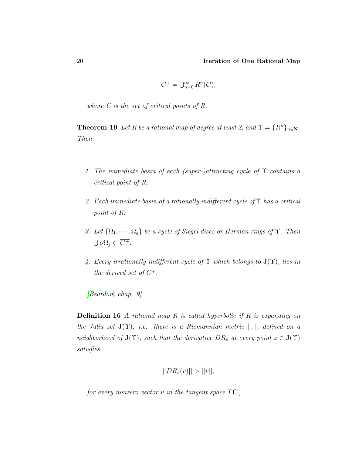$$
C^+ = \bigcup_{n=0}^{\infty} R^n(C),
$$

where C is the set of critical points of R.

**Theorem 19** Let R be a rational map of degree at least 2, and  $\Upsilon = \{R^n\}_{n\in\mathbb{N}}$ . Then

- 1. The immediate basin of each (super-)attracting cycle of  $\Upsilon$  contains a critical point of R;
- 2. Each immediate basin of a rationally indifferent cycle of  $\Upsilon$  has a critical point of R.
- 3. Let  $\{\Omega_1, \cdots, \Omega_q\}$  be a cycle of Siegel discs or Herman rings of  $\Upsilon$ . Then  $\bigcup \partial \Omega_j \subset \overline{C^+}.$
- 4. Every irrationally indifferent cycle of  $\Upsilon$  which belongs to  $J(\Upsilon)$ , lies in the derived set of  $C^+$ .

[\[Beardon,](#page-90-4) chap. 9]

**Definition 16** A rational map R is called hyperbolic if R is expanding on the Julia set  $J(\Upsilon)$ , i.e. there is a Riemannian metric  $||.||$ , defined on a neighborhood of  $\mathbf{J}(\Upsilon)$ , such that the derivative  $DR_z$  at every point  $z \in \mathbf{J}(\Upsilon)$ satisfies

$$
||DR_z(v)|| > ||v||,
$$

for every nonzero vector v in the tangent space  $T\overline{\mathbf{C}}_z$ .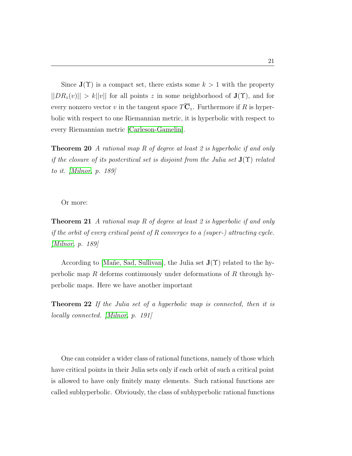Since  $J(\Upsilon)$  is a compact set, there exists some  $k > 1$  with the property  $||DR_z(v)|| > k||v||$  for all points z in some neighborhood of  $J(\Upsilon)$ , and for every nonzero vector v in the tangent space  $T\overline{C}_z$ . Furthermore if R is hyperbolic with respect to one Riemannian metric, it is hyperbolic with respect to every Riemannian metric [\[Carleson-Gamelin\]](#page-90-5).

**Theorem 20** A rational map R of degree at least 2 is hyperbolic if and only if the closure of its postcritical set is disjoint from the Julia set  $J(\Upsilon)$  related to it. [\[Milnor,](#page-91-2) p. 189]

Or more:

Theorem 21 A rational map R of degree at least 2 is hyperbolic if and only if the orbit of every critical point of R converges to a (super-) attracting cycle. [\[Milnor,](#page-91-2) p. 189]

According to [Mañe, Sad, Sullivan], the Julia set  $J(\Upsilon)$  related to the hyperbolic map R deforms continuously under deformations of R through hyperbolic maps. Here we have another important

Theorem 22 If the Julia set of a hyperbolic map is connected, then it is locally connected. [\[Milnor,](#page-91-2) p. 191]

One can consider a wider class of rational functions, namely of those which have critical points in their Julia sets only if each orbit of such a critical point is allowed to have only finitely many elements. Such rational functions are called subhyperbolic. Obviously, the class of subhyperbolic rational functions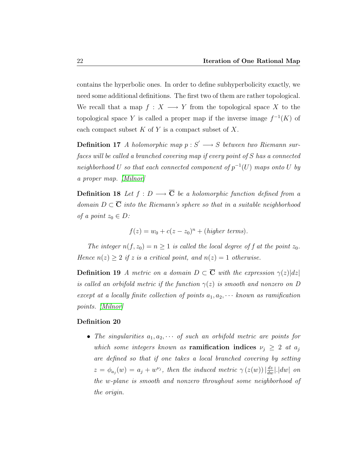contains the hyperbolic ones. In order to define subhyperbolicity exactly, we need some additional definitions. The first two of them are rather topological. We recall that a map  $f: X \longrightarrow Y$  from the topological space X to the topological space Y is called a proper map if the inverse image  $f^{-1}(K)$  of each compact subset  $K$  of  $Y$  is a compact subset of  $X$ .

**Definition 17** A holomorphic map  $p : S' \longrightarrow S$  between two Riemann surfaces will be called a branched covering map if every point of S has a connected neighborhood U so that each connected component of  $p^{-1}(U)$  maps onto U by a proper map. [\[Milnor\]](#page-91-2)

**Definition 18** Let  $f : D \longrightarrow \overline{C}$  be a holomorphic function defined from a domain  $D \subset \overline{C}$  into the Riemann's sphere so that in a suitable neighborhood of a point  $z_0 \in D$ :

$$
f(z) = w_0 + c(z - z_0)^n + (higher \ terms).
$$

The integer  $n(f, z_0) = n \ge 1$  is called the local degree of f at the point  $z_0$ . Hence  $n(z) \geq 2$  if z is a critical point, and  $n(z) = 1$  otherwise.

**Definition 19** A metric on a domain  $D \subset \overline{C}$  with the expression  $\gamma(z)|dz|$ is called an orbifold metric if the function  $\gamma(z)$  is smooth and nonzero on D except at a locally finite collection of points  $a_1, a_2, \cdots$  known as ramification points. [\[Milnor\]](#page-91-2)

#### Definition 20

• The singularities  $a_1, a_2, \cdots$  of such an orbifold metric are points for which some integers known as **ramification indices**  $\nu_i \geq 2$  at  $a_j$ are defined so that if one takes a local branched covering by setting  $z = \phi_{a_j}(w) = a_j + w^{\nu_j}$ , then the induced metric  $\gamma(z(w))\left|\frac{dz}{dw}\right|$ .  $|dw|$  on the w-plane is smooth and nonzero throughout some neighborhood of the origin.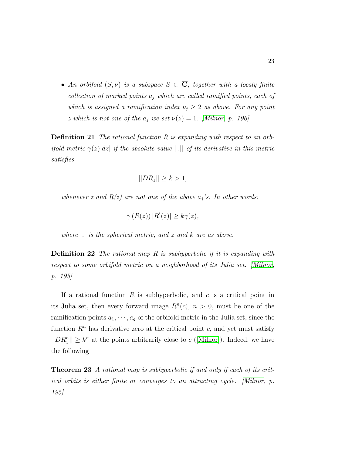• An orbifold  $(S, \nu)$  is a subspace  $S \subset \overline{C}$ , together with a localy finite collection of marked points  $a_i$  which are called ramified points, each of which is assigned a ramification index  $\nu_j \geq 2$  as above. For any point z which is not one of the  $a_j$  we set  $\nu(z) = 1$ . [\[Milnor,](#page-91-2) p. 196]

**Definition 21** The rational function R is expanding with respect to an orbifold metric  $\gamma(z)|dz|$  if the absolute value  $||.||$  of its derivative in this metric satisfies

$$
||DR_z|| \ge k > 1,
$$

whenever z and  $R(z)$  are not one of the above  $a_j$ 's. In other words:

 $\gamma(R(z))$   $|R'(z)| \geq k\gamma(z),$ 

where |.| is the spherical metric, and z and k are as above.

Definition 22 The rational map R is subhyperbolic if it is expanding with respect to some orbifold metric on a neighborhood of its Julia set. [\[Milnor,](#page-91-2) p. 195]

If a rational function  $R$  is subhyperbolic, and  $c$  is a critical point in its Julia set, then every forward image  $R<sup>n</sup>(c)$ ,  $n > 0$ , must be one of the ramification points  $a_1, \dots, a_q$  of the orbifold metric in the Julia set, since the function  $R<sup>n</sup>$  has derivative zero at the critical point c, and yet must satisfy  $||DR_{z}^{n}|| \geq k^{n}$  at the points arbitrarily close to c ([\[Milnor\]](#page-91-2)). Indeed, we have the following

Theorem 23 A rational map is subhyperbolic if and only if each of its critical orbits is either finite or converges to an attracting cycle. [\[Milnor,](#page-91-2) p. 195]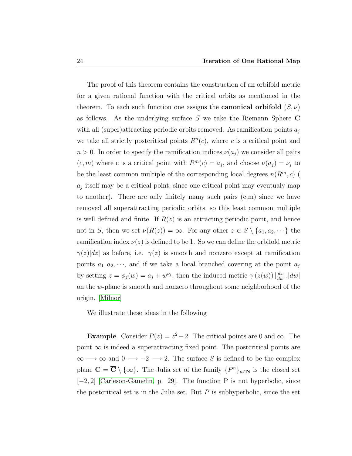The proof of this theorem contains the construction of an orbifold metric for a given rational function with the critical orbits as mentioned in the theorem. To each such function one assigns the **canonical orbifold**  $(S, \nu)$ as follows. As the underlying surface S we take the Riemann Sphere C with all (super)attracting periodic orbits removed. As ramification points  $a_i$ we take all strictly postcritical points  $R<sup>n</sup>(c)$ , where c is a critical point and  $n > 0$ . In order to specify the ramification indices  $\nu(a_i)$  we consider all pairs  $(c, m)$  where c is a critical point with  $R^m(c) = a_j$ , and choose  $\nu(a_j) = \nu_j$  to be the least common multiple of the corresponding local degrees  $n(R^m, c)$  (  $a_j$  itself may be a critical point, since one critical point may eveutualy map to another). There are only finitely many such pairs  $(c,m)$  since we have removed all superattracting periodic orbits, so this least common multiple is well defined and finite. If  $R(z)$  is an attracting periodic point, and hence not in S, then we set  $\nu(R(z)) = \infty$ . For any other  $z \in S \setminus \{a_1, a_2, \dots\}$  the ramification index  $\nu(z)$  is defined to be 1. So we can define the orbifold metric  $\gamma(z)|dz|$  as before, i.e.  $\gamma(z)$  is smooth and nonzero except at ramification points  $a_1, a_2, \dots$ , and if we take a local branched covering at the point  $a_j$ by setting  $z = \phi_j(w) = a_j + w^{\nu_j}$ , then the induced metric  $\gamma(z(w))\left|\frac{dz}{dw}\right|$ .  $|dw|$ on the w-plane is smooth and nonzero throughout some neighborhood of the origin. [\[Milnor\]](#page-91-2)

We illustrate these ideas in the following

**Example.** Consider  $P(z) = z^2 - 2$ . The critical points are 0 and  $\infty$ . The point  $\infty$  is indeed a superattracting fixed point. The postcritical points are  $\infty$  →  $\infty$  and 0 → -2 → 2. The surface S is defined to be the complex plane  $\mathbf{C} = \overline{\mathbf{C}} \setminus \{\infty\}$ . The Julia set of the family  $\{P^n\}_{n \in \mathbf{N}}$  is the closed set [−2, 2] [\[Carleson-Gamelin,](#page-90-5) p. 29]. The function P is not hyperbolic, since the postcritical set is in the Julia set. But  $P$  is subhyperbolic, since the set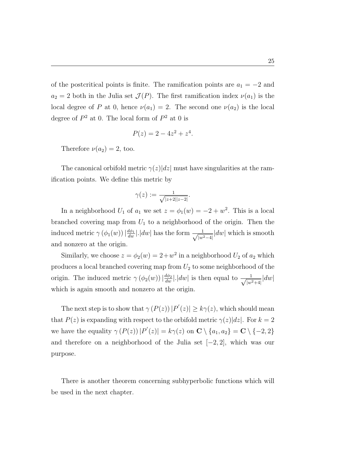of the postcritical points is finite. The ramification points are  $a_1 = -2$  and  $a_2 = 2$  both in the Julia set  $\mathcal{J}(P)$ . The first ramification index  $\nu(a_1)$  is the local degree of P at 0, hence  $\nu(a_1) = 2$ . The second one  $\nu(a_2)$  is the local degree of  $P^2$  at 0. The local form of  $P^2$  at 0 is

$$
P(z) = 2 - 4z^2 + z^4.
$$

Therefore  $\nu(a_2) = 2$ , too.

The canonical orbifold metric  $\gamma(z)|dz|$  must have singularities at the ramification points. We define this metric by

$$
\gamma(z):=\tfrac{1}{\sqrt{|z+2||z-2|}}.
$$

In a neighborhood  $U_1$  of  $a_1$  we set  $z = \phi_1(w) = -2 + w^2$ . This is a local branched covering map from  $U_1$  to a neighborhood of the origin. Then the induced metric  $\gamma (\phi_1(w)) | \frac{d\phi_1}{dw} |$ .  $|dw|$  has the form  $\frac{1}{\sqrt{|w|}}$  $\frac{1}{|w^2-4|}$  dw which is smooth and nonzero at the origin.

Similarly, we choose  $z = \phi_2(w) = 2 + w^2$  in a neighborhood  $U_2$  of  $a_2$  which produces a local branched covering map from  $U_2$  to some neighborhood of the origin. The induced metric  $\gamma (\phi_2(w)) | \frac{d\phi_2}{dw} |$ .  $|dw|$  is then equal to  $\frac{1}{\sqrt{|w|}}$  $\frac{1}{|w^2+4|}|dw|$ which is again smooth and nonzero at the origin.

The next step is to show that  $\gamma(P(z)) |P'(z)| \geq k\gamma(z)$ , which should mean that  $P(z)$  is expanding with respect to the orbifold metric  $\gamma(z)|dz|$ . For  $k=2$ we have the equality  $\gamma(P(z)) |P'(z)| = k\gamma(z)$  on  $\mathbb{C} \setminus \{a_1, a_2\} = \mathbb{C} \setminus \{-2, 2\}$ and therefore on a neighborhood of the Julia set  $[-2, 2]$ , which was our purpose.

There is another theorem concerning subhyperbolic functions which will be used in the next chapter.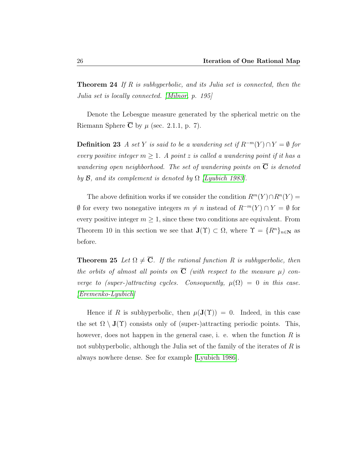**Theorem 24** If R is subhyperbolic, and its Julia set is connected, then the Julia set is locally connected. [\[Milnor,](#page-91-0) p. 195]

Denote the Lebesgue measure generated by the spherical metric on the Riemann Sphere  $\overline{C}$  by  $\mu$  (sec. 2.1.1, p. 7).

**Definition 23** A set Y is said to be a wandering set if  $R^{-m}(Y) ∩ Y = ∅$  for every positive integer  $m \geq 1$ . A point z is called a wandering point if it has a wandering open neighborhood. The set of wandering points on  $\overline{C}$  is denoted by  $\mathcal{B}$ , and its complement is denoted by  $\Omega$  [\[Lyubich 1983\]](#page-91-1).

The above definition works if we consider the condition  $R^m(Y) \cap R^n(Y) =$  $\emptyset$  for every two nonegative integers  $m \neq n$  instead of  $R^{-m}(Y) \cap Y = \emptyset$  for every positive integer  $m \geq 1$ , since these two conditions are equivalent. From Theorem 10 in this section we see that  $J(\Upsilon) \subset \Omega$ , where  $\Upsilon = \{R^n\}_{n \in \mathbb{N}}$  as before.

**Theorem 25** Let  $\Omega \neq \overline{C}$ . If the rational function R is subhyperbolic, then the orbits of almost all points on  $\overline{C}$  (with respect to the measure  $\mu$ ) converge to (super-)attracting cycles. Consequently,  $\mu(\Omega) = 0$  in this case. [\[Eremenko-Lyubich\]](#page-90-0)

Hence if R is subhyperbolic, then  $\mu(\mathbf{J}(\Upsilon)) = 0$ . Indeed, in this case the set  $\Omega \setminus J(\Upsilon)$  consists only of (super-)attracting periodic points. This, however, does not happen in the general case, i. e. when the function  $R$  is not subhyperbolic, although the Julia set of the family of the iterates of  $R$  is always nowhere dense. See for example [\[Lyubich 1986\]](#page-91-2).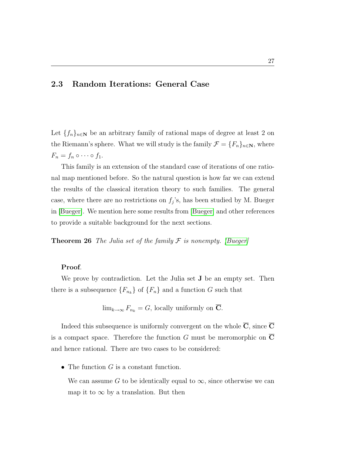# 2.3 Random Iterations: General Case

Let  $\{f_n\}_{n\in\mathbb{N}}$  be an arbitrary family of rational maps of degree at least 2 on the Riemann's sphere. What we will study is the family  $\mathcal{F} = \{F_n\}_{n \in \mathbb{N}}$ , where  $F_n = f_n \circ \cdots \circ f_1.$ 

This family is an extension of the standard case of iterations of one rational map mentioned before. So the natural question is how far we can extend the results of the classical iteration theory to such families. The general case, where there are no restrictions on  $f_j$ 's, has been studied by M. Bueger in [\[Bueger\]](#page-90-1). We mention here some results from [\[Bueger\]](#page-90-1) and other references to provide a suitable background for the next sections.

**Theorem 26** The Julia set of the family  $\mathcal F$  is nonempty. [\[Bueger\]](#page-90-1)

## Proof.

We prove by contradiction. Let the Julia set **J** be an empty set. Then there is a subsequence  ${F_{n_k}}$  of  ${F_n}$  and a function G such that

$$
\lim_{k \to \infty} F_{n_k} = G
$$
, locally uniformly on  $\overline{C}$ .

Indeed this subsequence is uniformly convergent on the whole  $\overline{C}$ , since  $\overline{C}$ is a compact space. Therefore the function  $G$  must be meromorphic on  $\mathbf C$ and hence rational. There are two cases to be considered:

• The function  $G$  is a constant function.

We can assume G to be identically equal to  $\infty$ , since otherwise we can map it to  $\infty$  by a translation. But then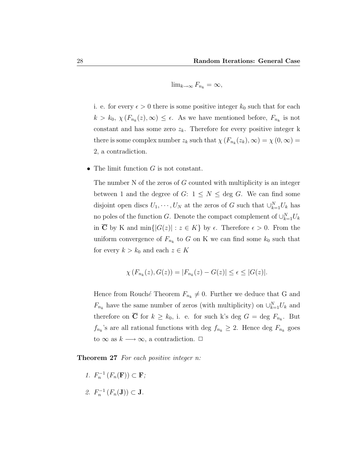$$
\lim_{k\to\infty}F_{n_k}=\infty,
$$

i. e. for every  $\epsilon > 0$  there is some positive integer  $k_0$  such that for each  $k > k_0, \chi(F_{n_k}(z), \infty) \leq \epsilon$ . As we have mentioned before,  $F_{n_k}$  is not constant and has some zero  $z_k$ . Therefore for every positive integer k there is some complex number  $z_k$  such that  $\chi(F_{n_k}(z_k), \infty) = \chi(0, \infty) =$ 2, a contradiction.

• The limit function  $G$  is not constant.

The number N of the zeros of G counted with multiplicity is an integer between 1 and the degree of  $G: 1 \leq N \leq$  deg G. We can find some disjoint open discs  $U_1, \dots, U_N$  at the zeros of G such that  $\cup_{k=1}^N U_k$  has no poles of the function G. Denote the compact complement of  $\cup_{k=1}^{N} U_k$ in  $\overline{C}$  by K and min $\{|G(z)| : z \in K\}$  by  $\epsilon$ . Therefore  $\epsilon > 0$ . From the uniform convergence of  $F_{n_k}$  to G on K we can find some  $k_0$  such that for every  $k > k_0$  and each  $z \in K$ 

$$
\chi(F_{n_k}(z), G(z)) = |F_{n_k}(z) - G(z)| \le \epsilon \le |G(z)|.
$$

Hence from Rouché Theorem  $F_{n_k} \neq 0$ . Further we deduce that G and  $F_{n_k}$  have the same number of zeros (with multiplicity) on  $\cup_{k=1}^N U_k$  and therefore on  $\overline{C}$  for  $k \geq k_0$ , i. e. for such k's deg  $G = \deg F_{n_k}$ . But  $f_{n_k}$ 's are all rational functions with deg  $f_{n_k} \geq 2$ . Hence deg  $F_{n_k}$  goes to  $\infty$  as  $k \longrightarrow \infty$ , a contradiction.  $\Box$ 

**Theorem 27** For each positive integer  $n$ :

- 1.  $F_n^{-1}(F_n(\mathbf{F})) \subset \mathbf{F}$ ;
- 2.  $F_n^{-1}(F_n(\mathbf{J})) \subset \mathbf{J}$ .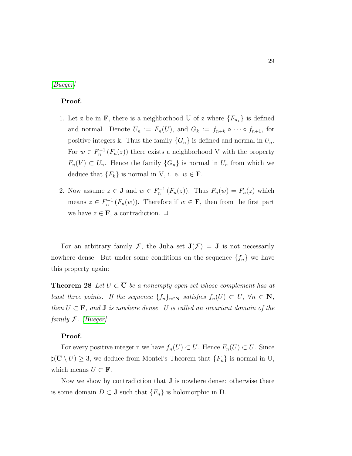# [\[Bueger\]](#page-90-1)

# Proof.

- 1. Let z be in **F**, there is a neighborhood U of z where  ${F_{n_k}}$  is defined and normal. Denote  $U_n := F_n(U)$ , and  $G_k := f_{n+k} \circ \cdots \circ f_{n+1}$ , for positive integers k. Thus the family  $\{G_n\}$  is defined and normal in  $U_n$ . For  $w \in F_n^{-1}(F_n(z))$  there exists a neighborhood V with the property  $F_n(V) \subset U_n$ . Hence the family  $\{G_n\}$  is normal in  $U_n$  from which we deduce that  ${F_k}$  is normal in V, i. e.  $w \in \mathbf{F}$ .
- 2. Now assume  $z \in \mathbf{J}$  and  $w \in F_n^{-1}(F_n(z))$ . Thus  $F_n(w) = F_n(z)$  which means  $z \in F_n^{-1}(F_n(w))$ . Therefore if  $w \in \mathbf{F}$ , then from the first part we have  $z \in \mathbf{F}$ , a contradiction.  $\Box$

For an arbitrary family F, the Julia set  $J(\mathcal{F}) = J$  is not necessarily nowhere dense. But under some conditions on the sequence  $\{f_n\}$  we have this property again:

**Theorem 28** Let  $U \subset \overline{C}$  be a nonempty open set whose complement has at least three points. If the sequence  $\{f_n\}_{n\in\mathbb{N}}$  satisfies  $f_n(U) \subset U$ ,  $\forall n \in \mathbb{N}$ , then  $U \subset \mathbf{F}$ , and **J** is nowhere dense. U is called an invariant domain of the family  $F.$  [\[Bueger\]](#page-90-1)

# Proof.

For every positive integer n we have  $f_n(U) \subset U$ . Hence  $F_n(U) \subset U$ . Since  $\sharp(\overline{\mathbf{C}} \setminus U) \geq 3$ , we deduce from Montel's Theorem that  $\{F_n\}$  is normal in U, which means  $U \subset \mathbf{F}$ .

Now we show by contradiction that  $J$  is nowhere dense: otherwise there is some domain  $D \subset J$  such that  $\{F_n\}$  is holomorphic in D.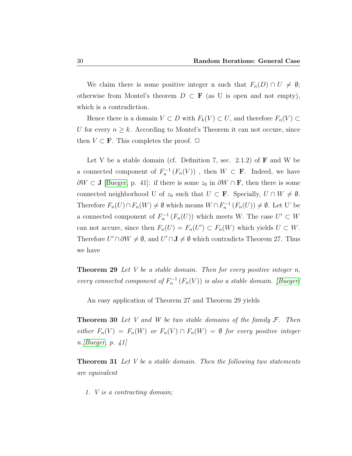We claim there is some positive integer n such that  $F_n(D) \cap U \neq \emptyset$ ; otherwise from Montel's theorem  $D \subset \mathbf{F}$  (as U is open and not empty), which is a contradiction.

Hence there is a domain  $V \subset D$  with  $F_k(V) \subset U$ , and therefore  $F_n(V) \subset$ U for every  $n \geq k$ . According to Montel's Theorem it can not occure, since then  $V \subset \mathbf{F}$ . This completes the proof.  $\Box$ 

Let V be a stable domain (cf. Definition 7, sec. 2.1.2) of  $\bf{F}$  and W be a connected component of  $F_n^{-1}(F_n(V))$ , then  $W \subset \mathbf{F}$ . Indeed, we have  $\partial W \subset J$  [\[Bueger,](#page-90-1) p. 41]: if there is some  $z_0$  in  $\partial W \cap \mathbf{F}$ , then there is some connected neighborhood U of  $z_0$  such that  $U \subset \mathbf{F}$ . Specially,  $U \cap W \neq \emptyset$ . Therefore  $F_n(U) \cap F_n(W) \neq \emptyset$  which means  $W \cap F_n^{-1}(F_n(U)) \neq \emptyset$ . Let U' be a connected component of  $F_n^{-1}(F_n(U))$  which meets W. The case  $U' \subset W$ can not accure, since then  $F_n(U) = F_n(U') \subset F_n(W)$  which yields  $U \subset W$ . Therefore  $U' \cap \partial W \neq \emptyset$ , and  $U' \cap J \neq \emptyset$  which contradicts Theorem 27. Thus we have

**Theorem 29** Let V be a stable domain. Then for every positive integer n, every connected component of  $F_n^{-1}(F_n(V))$  is also a stable domain. [\[Bueger\]](#page-90-1)

An easy application of Theorem 27 and Theorem 29 yields

**Theorem 30** Let V and W be two stable domains of the family  $\mathcal{F}$ . Then either  $F_n(V) = F_n(W)$  or  $F_n(V) \cap F_n(W) = \emptyset$  for every positive integer n.[\[Bueger,](#page-90-1) p. 41]

**Theorem 31** Let V be a stable domain. Then the following two statements are equivalent

1. V is a contracting domain;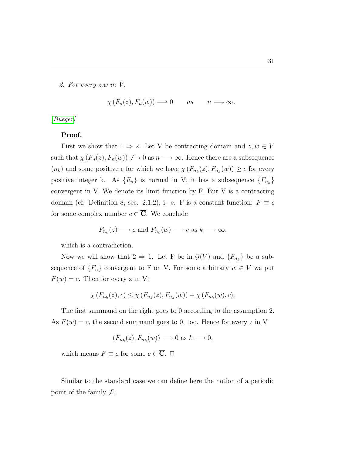2. For every z,w in V,

 $\chi(F_n(z), F_n(w)) \longrightarrow 0$  as  $n \longrightarrow \infty$ .

[\[Bueger\]](#page-90-1)

#### Proof.

First we show that  $1 \Rightarrow 2$ . Let V be contracting domain and  $z, w \in V$ such that  $\chi(F_n(z), F_n(w)) \to 0$  as  $n \to \infty$ . Hence there are a subsequence  $(n_k)$  and some positive  $\epsilon$  for which we have  $\chi(F_{n_k}(z), F_{n_k}(w)) \geq \epsilon$  for every positive integer k. As  $\{F_n\}$  is normal in V, it has a subsequence  $\{F_{n_k}\}$ convergent in V. We denote its limit function by F. But V is a contracting domain (cf. Definition 8, sec. 2.1.2), i. e. F is a constant function:  $F \equiv c$ for some complex number  $c \in \overline{C}$ . We conclude

$$
F_{n_k}(z) \longrightarrow c
$$
 and  $F_{n_k}(w) \longrightarrow c$  as  $k \longrightarrow \infty$ ,

which is a contradiction.

Now we will show that  $2 \Rightarrow 1$ . Let F be in  $\mathcal{G}(V)$  and  $\{F_{n_k}\}\$ be a subsequence of  $\{F_n\}$  convergent to F on V. For some arbitrary  $w \in V$  we put  $F(w) = c$ . Then for every z in V:

$$
\chi(F_{n_k}(z),c) \leq \chi(F_{n_k}(z),F_{n_k}(w)) + \chi(F_{n_k}(w),c).
$$

The first summand on the right goes to 0 according to the assumption 2. As  $F(w) = c$ , the second summand goes to 0, too. Hence for every z in V

$$
(F_{n_k}(z), F_{n_k}(w)) \longrightarrow 0 \text{ as } k \longrightarrow 0,
$$

which means  $F \equiv c$  for some  $c \in \overline{C}$ .  $\Box$ 

Similar to the standard case we can define here the notion of a periodic point of the family  $\mathcal{F}$ :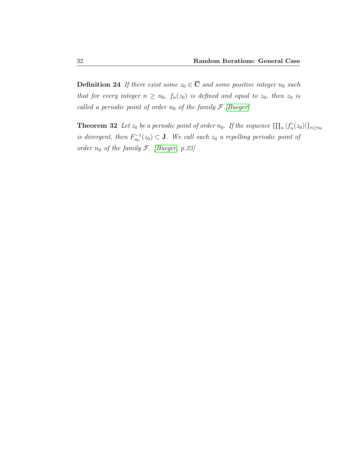**Definition 24** If there exist some  $z_0 \in \overline{C}$  and some positive integer  $n_0$  such that for every integer  $n \geq n_0$ ,  $f_n(z_0)$  is defined and equal to  $z_0$ , then  $z_0$  is called a periodic point of order  $n_0$  of the family  $\mathcal{F}.[Bueger]$  $\mathcal{F}.[Bueger]$ 

**Theorem 32** Let  $z_0$  be a periodic point of order  $n_0$ . If the sequence  $\{\prod_n |f'_n(z_0)|\}_{n\geq n_0}$ is divergent, then  $F_{n_0}^{-1}(z_0) \subset \mathbf{J}$ . We call such  $z_0$  a repelling periodic point of order  $n_0$  of the family  $\mathcal{F}$ . [\[Bueger,](#page-90-1) p.23]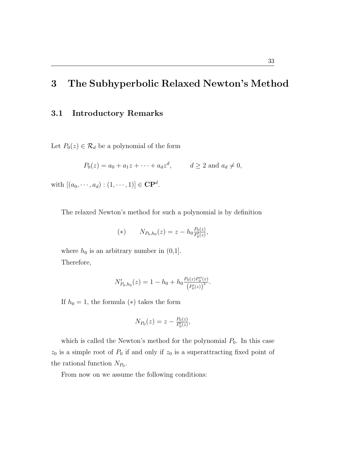# 3 The Subhyperbolic Relaxed Newton's Method

# 3.1 Introductory Remarks

Let  $P_0(z) \in \mathcal{R}_d$  be a polynomial of the form

$$
P_0(z) = a_0 + a_1 z + \dots + a_d z^d
$$
,  $d \ge 2$  and  $a_d \ne 0$ ,

with  $[(a_0, \dots, a_d) : (1, \dots, 1)] \in \mathbf{CP}^d$ .

The relaxed Newton's method for such a polynomial is by definition

(\*) 
$$
N_{P_0,h_0}(z) = z - h_0 \frac{P_0(z)}{P'_0(z)},
$$

where  $h_0$  is an arbitrary number in  $(0,1]$ . Therefore,

$$
N'_{P_0,h_0}(z) = 1 - h_0 + h_0 \frac{P_0(z)P_0''(z)}{(P_0'(z))^2}.
$$

If  $h_0 = 1$ , the formula (\*) takes the form

$$
N_{P_0}(z) = z - \frac{P_0(z)}{P'_0(z)},
$$

which is called the Newton's method for the polynomial  $P_0$ . In this case  $z_0$  is a simple root of  $P_0$  if and only if  $z_0$  is a superattracting fixed point of the rational function  $N_{P_0}$ .

From now on we assume the following conditions: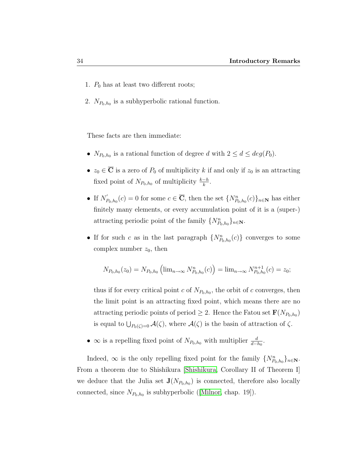- 1.  $P_0$  has at least two different roots;
- 2.  $N_{P_0,h_0}$  is a subhyperbolic rational function.

These facts are then immediate:

- $N_{P_0,h_0}$  is a rational function of degree d with  $2 \leq d \leq deg(P_0)$ .
- $z_0 \in \overline{\mathbf{C}}$  is a zero of  $P_0$  of multiplicity k if and only if  $z_0$  is an attracting fixed point of  $N_{P_0,h_0}$  of multiplicity  $\frac{k-h}{k}$ .
- If  $N'_l$  $P_{(P_0,h_0}(c) = 0$  for some  $c \in \overline{\mathbf{C}}$ , then the set  $\{N_{P_0,h_0}^n(c)\}_{n \in \mathbb{N}}$  has either finitely many elements, or every accumulation point of it is a (super-) attracting periodic point of the family  $\{N_{P_0,h_0}^n\}_{n\in\mathbb{N}}$ .
- If for such c as in the last paragraph  $\{N_{P_0,h_0}^n(c)\}$  converges to some complex number  $z_0$ , then

$$
N_{P_0,h_0}(z_0) = N_{P_0,h_0} \left( \lim_{n \to \infty} N_{P_0,h_0}^n(c) \right) = \lim_{n \to \infty} N_{P_0,h_0}^{n+1}(c) = z_0;
$$

thus if for every critical point c of  $N_{P_0,h_0}$ , the orbit of c converges, then the limit point is an attracting fixed point, which means there are no attracting periodic points of period  $\geq 2$ . Hence the Fatou set  $\mathbf{F}(N_{P_0,h_0})$ is equal to  $\bigcup_{P_0(\zeta)=0} \mathcal{A}(\zeta)$ , where  $\mathcal{A}(\zeta)$  is the basin of attraction of  $\zeta$ .

•  $\infty$  is a repelling fixed point of  $N_{P_0,h_0}$  with multiplier  $\frac{d}{d-h_0}$ .

Indeed,  $\infty$  is the only repelling fixed point for the family  $\{N_{P_0,h_0}^n\}_{n\in\mathbb{N}}$ . From a theorem due to Shishikura [\[Shishikura,](#page-92-0) Corollary II of Theorem I] we deduce that the Julia set  $J(N_{P_0,h_0})$  is connected, therefore also locally connected,since  $N_{P_0,h_0}$  is subhyperbolic ([\[Milnor,](#page-91-0) chap. 19]).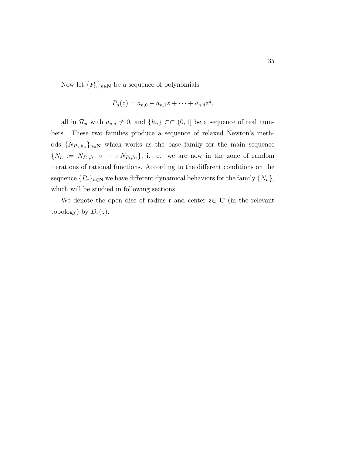Now let  $\{P_n\}_{n\in\mathbb{N}}$  be a sequence of polynomials

$$
P_n(z) = a_{n,0} + a_{n,1}z + \dots + a_{n,d}z^d,
$$

all in  $\mathcal{R}_d$  with  $a_{n,d} \neq 0$ , and  $\{h_n\} \subset\subset (0,1]$  be a sequence of real numbers. These two families produce a sequence of relaxed Newton's methods  $\{N_{P_n,h_n}\}_{n\in\mathbb{N}}$  which works as the base family for the main sequence  $\{N_n := N_{P_n,h_n} \circ \cdots \circ N_{P_1,h_1}\},\ i.\ e.\ we are now in the zone of random$ iterations of rational functions. According to the different conditions on the sequence  $\{P_n\}_{n\in\mathbb{N}}$  we have different dynamical behaviors for the family  $\{N_n\},$ which will be studied in following sections.

We denote the open disc of radius r and center  $z \in \overline{C}$  (in the relevant topology) by  $D_r(z)$ .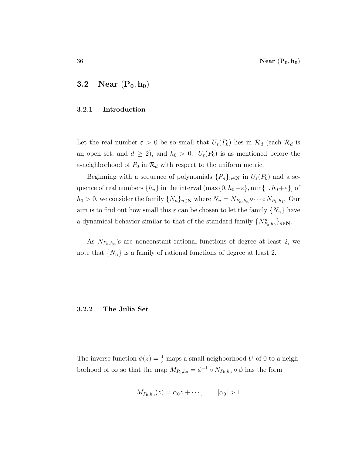# 3.2 Near  $(P_0, h_0)$

## 3.2.1 Introduction

Let the real number  $\varepsilon > 0$  be so small that  $U_{\varepsilon}(P_0)$  lies in  $\mathcal{R}_d$  (each  $\mathcal{R}_d$  is an open set, and  $d \geq 2$ , and  $h_0 > 0$ .  $U_{\varepsilon}(P_0)$  is as mentioned before the  $\varepsilon$ -neighborhood of  $P_0$  in  $\mathcal{R}_d$  with respect to the uniform metric.

Beginning with a sequence of polynomials  $\{P_n\}_{n\in\mathbb{N}}$  in  $U_{\varepsilon}(P_0)$  and a sequence of real numbers  $\{h_n\}$  in the interval  $(\max\{0, h_0-\varepsilon\}, \min\{1, h_0+\varepsilon\}]$  of  $h_0 > 0$ , we consider the family  $\{N_n\}_{n \in \mathbb{N}}$  where  $N_n = N_{P_n,h_n} \circ \cdots \circ N_{P_1,h_1}$ . Our aim is to find out how small this  $\varepsilon$  can be chosen to let the family  $\{N_n\}$  have a dynamical behavior similar to that of the standard family  $\{N_{P_0,h_0}^n\}_{n\in\mathbb{N}}$ .

As  $N_{P_n,h_n}$ 's are nonconstant rational functions of degree at least 2, we note that  $\{N_n\}$  is a family of rational functions of degree at least 2.

#### 3.2.2 The Julia Set

The inverse function  $\phi(z) = \frac{1}{z}$  maps a small neighborhood U of 0 to a neighborhood of  $\infty$  so that the map  $M_{P_0,h_0} = \phi^{-1} \circ N_{P_0,h_0} \circ \phi$  has the form

$$
M_{P_0,h_0}(z) = \alpha_0 z + \cdots, \qquad |\alpha_0| > 1
$$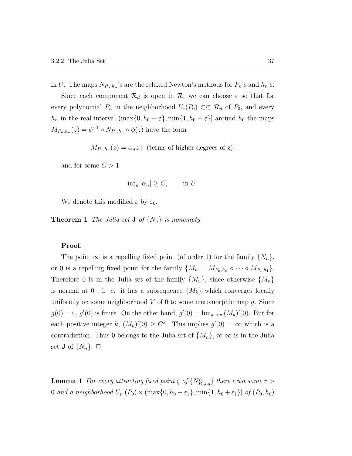Since each component  $\mathcal{R}_d$  is open in  $\mathcal{R}$ , we can choose  $\varepsilon$  so that for every polynomial  $P_n$  in the neighborhood  $U_\varepsilon(P_0) \subset \mathcal{R}_d$  of  $P_0$ , and every  $h_n$  in the real interval  $(\max\{0, h_0 - \varepsilon\}, \min\{1, h_0 + \varepsilon\})$  around  $h_0$  the maps  $M_{P_n,h_n}(z) = \phi^{-1} \circ N_{P_n,h_n} \circ \phi(z)$  have the form

 $M_{P_n,h_n}(z) = \alpha_n z +$  (terms of higher degrees of z),

and for some  $C > 1$ 

$$
\inf_n |\alpha_n| \ge C, \qquad \text{in } U.
$$

We denote this modified  $\varepsilon$  by  $\varepsilon_0$ .

**Theorem 1** The Julia set **J** of  $\{N_n\}$  is nonempty.

## Proof.

The point  $\infty$  is a repelling fixed point (of order 1) for the family  $\{N_n\}$ , or 0 is a repelling fixed point for the family  $\{M_n = M_{P_n,h_n} \circ \cdots \circ M_{P_1,h_1}\}.$ Therefore 0 is in the Julia set of the family  $\{M_n\}$ , since otherwise  $\{M_n\}$ is normal at  $0$ , i. e. it has a subsequence  $\{M_k\}$  which converges locally uniformly on some neighborhood  $V$  of 0 to some meromorphic map  $g$ . Since  $g(0) = 0, g'(0)$  is finite. On the other hand,  $g'(0) = \lim_{k \to \infty} (M_k)'(0)$ . But for each positive integer k,  $(M_k)'(0) \geq C^k$ . This implies  $g'(0) = \infty$  which is a contradiction. Thus 0 belongs to the Julia set of  $\{M_n\}$ , or  $\infty$  is in the Julia set **J** of  $\{N_n\}$ .  $\Box$ 

**Lemma 1** For every attracting fixed point  $\zeta$  of  $\{N_{P_0,h_0}^n\}$  there exist some  $r >$ 0 and a neighborhood  $U_{\varepsilon_1}(P_0) \times (\max\{0, h_0 - \varepsilon_1\}, \min\{1, h_0 + \varepsilon_1\}]$  of  $(P_0, h_0)$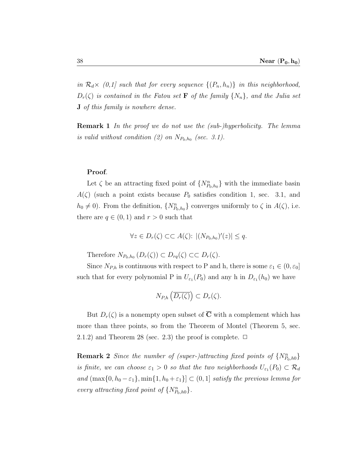in  $\mathcal{R}_d \times (0,1]$  such that for every sequence  $\{(P_n, h_n)\}\$ in this neighborhood,  $D_r(\zeta)$  is contained in the Fatou set **F** of the family  $\{N_n\}$ , and the Julia set J of this family is nowhere dense.

Remark 1 In the proof we do not use the (sub-)hyperbolicity. The lemma is valid without condition (2) on  $N_{P_0,h_0}$  (sec. 3.1).

#### Proof.

Let  $\zeta$  be an attracting fixed point of  $\{N_{P_0,h_0}^n\}$  with the immediate basin  $A(\zeta)$  (such a point exists because  $P_0$  satisfies condition 1, sec. 3.1, and  $h_0 \neq 0$ ). From the definition,  $\{N_{P_0,h_0}^n\}$  converges uniformly to  $\zeta$  in  $A(\zeta)$ , i.e. there are  $q \in (0,1)$  and  $r > 0$  such that

$$
\forall z \in D_r(\zeta) \subset \subset A(\zeta): \ |(N_{P_0,h_0})'(z)| \le q.
$$

Therefore  $N_{P_0,h_0}(D_r(\zeta)) \subset D_{rq}(\zeta) \subset D_r(\zeta)$ .

Since  $N_{P,h}$  is continuous with respect to P and h, there is some  $\varepsilon_1 \in (0, \varepsilon_0]$ such that for every polynomial P in  $U_{\varepsilon_1}(P_0)$  and any h in  $D_{\varepsilon_1}(h_0)$  we have

$$
N_{P,h}\left(\overline{D_r(\zeta)}\right) \subset D_r(\zeta).
$$

But  $D_r(\zeta)$  is a nonempty open subset of  $\overline{C}$  with a complement which has more than three points, so from the Theorem of Montel (Theorem 5, sec. 2.1.2) and Theorem 28 (sec. 2.3) the proof is complete.  $\Box$ 

**Remark 2** Since the number of (super-)attracting fixed points of  $\{N_{P_0,h0}^n\}$ is finite, we can choose  $\varepsilon_1 > 0$  so that the two neighborhoods  $U_{\varepsilon_1}(P_0) \subset \mathcal{R}_d$ and  $(\max\{0, h_0 - \varepsilon_1\}, \min\{1, h_0 + \varepsilon_1\}] \subset (0, 1]$  satisfy the previous lemma for every attracting fixed point of  $\{N_{P_0,h0}^n\}$ .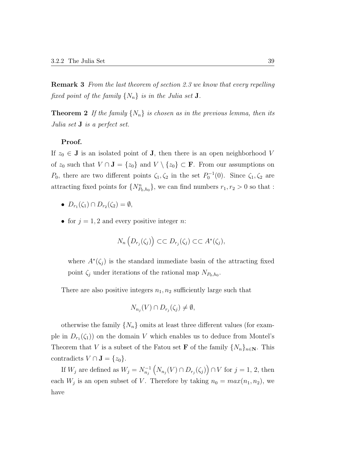Remark 3 From the last theorem of section 2.3 we know that every repelling fixed point of the family  $\{N_n\}$  is in the Julia set **J**.

**Theorem 2** If the family  $\{N_n\}$  is chosen as in the previous lemma, then its Julia set J is a perfect set.

## Proof.

If  $z_0 \in \mathbf{J}$  is an isolated point of  $\mathbf{J}$ , then there is an open neighborhood V of  $z_0$  such that  $V \cap J = \{z_0\}$  and  $V \setminus \{z_0\} \subset F$ . From our assumptions on  $P_0$ , there are two different points  $\zeta_1, \zeta_2$  in the set  $P_0^{-1}(0)$ . Since  $\zeta_1, \zeta_2$  are attracting fixed points for  $\{N_{P_0,h_0}^n\}$ , we can find numbers  $r_1, r_2 > 0$  so that :

- $D_{r_1}(\zeta_1) \cap D_{r_2}(\zeta_2) = \emptyset$ ,
- for  $j = 1, 2$  and every positive integer n:

$$
N_n\left(D_{r_j}(\zeta_j)\right)\subset\subset D_{r_j}(\zeta_j)\subset\subset A^*(\zeta_j),
$$

where  $A^*(\zeta_j)$  is the standard immediate basin of the attracting fixed point  $\zeta_j$  under iterations of the rational map  $N_{P_0,h_0}$ .

There are also positive integers  $n_1, n_2$  sufficiently large such that

$$
N_{n_j}(V) \cap D_{r_j}(\zeta_j) \neq \emptyset,
$$

otherwise the family  $\{N_n\}$  omits at least three different values (for example in  $D_{r_1}(\zeta_1)$  on the domain V which enables us to deduce from Montel's Theorem that V is a subset of the Fatou set **F** of the family  $\{N_n\}_{n\in\mathbb{N}}$ . This contradicts  $V \cap J = \{z_0\}.$ 

If  $W_j$  are defined as  $W_j = N_{n_j}^{-1} (N_{n_j}(V) \cap D_{r_j}(\zeta_j)) \cap V$  for  $j = 1, 2$ , then each  $W_j$  is an open subset of V. Therefore by taking  $n_0 = max(n_1, n_2)$ , we have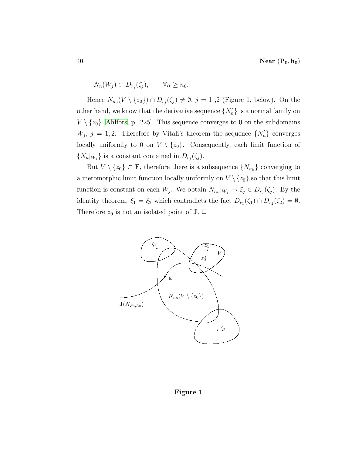$N_n(W_j) \subset D_{r_j}(\zeta_j), \qquad \forall n \geq n_0.$ 

Hence  $N_{n_0}(V \setminus \{z_0\}) \cap D_{r_j}(\zeta_j) \neq \emptyset$ ,  $j = 1, 2$  (Figure 1, below). On the other hand, we know that the derivative sequence  $\{N'_n\}$  is a normal family on  $V \setminus \{z_0\}$  [\[Ahlfors,](#page-90-2) p. 225]. This sequence converges to 0 on the subdomains  $W_j$ ,  $j = 1, 2$ . Therefore by Vitali's theorem the sequence  $\{N'_n\}$  converges locally uniformly to 0 on  $V \setminus \{z_0\}$ . Consequently, each limit function of  $\{N_n|_{W_j}\}\$ is a constant contained in  $D_{r_j}(\zeta_j)$ .

But  $V \setminus \{z_0\} \subset \mathbf{F}$ , therefore there is a subsequence  $\{N_{n_k}\}$  converging to a meromorphic limit function locally uniformly on  $V \setminus \{z_0\}$  so that this limit function is constant on each  $W_j$ . We obtain  $N_{n_k}|_{W_j} \to \xi_j \in D_{r_j}(\zeta_j)$ . By the identity theorem,  $\xi_1 = \xi_2$  which contradicts the fact  $D_{r_1}(\zeta_1) \cap D_{r_2}(\zeta_2) = \emptyset$ . Therefore  $z_0$  is not an isolated point of **J**.  $\Box$ 



#### Figure 1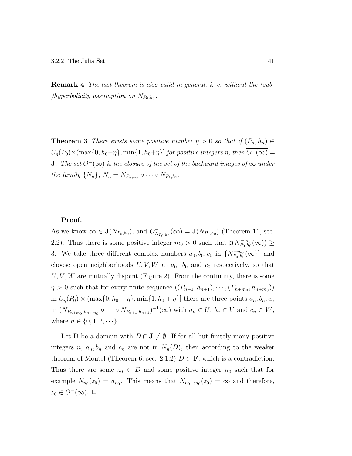Remark 4 The last theorem is also valid in general, i. e. without the (sub*f*)hyperbolicity assumption on  $N_{P_0,h_0}$ .

**Theorem 3** There exists some positive number  $\eta > 0$  so that if  $(P_n, h_n) \in$  $U_{\eta}(P_0)\times(\max\{0, h_0-\eta\}, \min\{1, h_0+\eta\})$  for positive integers n, then  $\overline{O^-(\infty)}=$ **J**. The set  $\overline{O^-(\infty)}$  is the closure of the set of the backward images of  $\infty$  under the family  $\{N_n\}$ ,  $N_n = N_{P_n,h_n} \circ \cdots \circ N_{P_1,h_1}$ .

#### Proof.

As we know  $\in \mathbf{J}(N_{P_0,h_0})$ , and  $\overline{O}_{N_{P_0,h_0}}(\infty) = \mathbf{J}(N_{P_0,h_0})$  (Theorem 11, sec. 2.2). Thus there is some positive integer  $m_0 > 0$  such that  $\sharp(N_{P_0,h_0}^{-m_0})$  $\bar{P}_{P_0,h_0}^{-m_0}(\infty))\geq$ 3. We take three different complex numbers  $a_0, b_0, c_0$  in  $\{N_{P_0,h_0}^{-m_0}\}$  $\{F_{\alpha}^{-m_{0}}(\infty)\}\;$  and choose open neighborhoods  $U, V, W$  at  $a_0$ ,  $b_0$  and  $c_0$  respectively, so that  $\overline{U}, \overline{V}, \overline{W}$  are mutually disjoint (Figure 2). From the continuity, there is some  $\eta > 0$  such that for every finite sequence  $((P_{n+1}, h_{n+1}), \cdots, (P_{n+m_0}, h_{n+m_0}))$ in  $U_{\eta}(P_0) \times (\max\{0, h_0 - \eta\}, \min\{1, h_0 + \eta\})$  there are three points  $a_n, b_n, c_n$ in  $(N_{P_{n+m_0},h_{n+m_0}} \circ \cdots \circ N_{P_{n+1},h_{n+1}})^{-1}(\infty)$  with  $a_n \in U, b_n \in V$  and  $c_n \in W$ , where  $n \in \{0, 1, 2, \dots\}.$ 

Let D be a domain with  $D \cap J \neq \emptyset$ . If for all but finitely many positive integers n,  $a_n, b_n$  and  $c_n$  are not in  $N_n(D)$ , then according to the weaker theorem of Montel (Theorem 6, sec. 2.1.2)  $D \subset \mathbf{F}$ , which is a contradiction. Thus there are some  $z_0 \in D$  and some positive integer  $n_0$  such that for example  $N_{n_0}(z_0) = a_{n_0}$ . This means that  $N_{n_0+m_0}(z_0) = \infty$  and therefore,  $z_0 \in O^{-}(\infty)$ .  $\Box$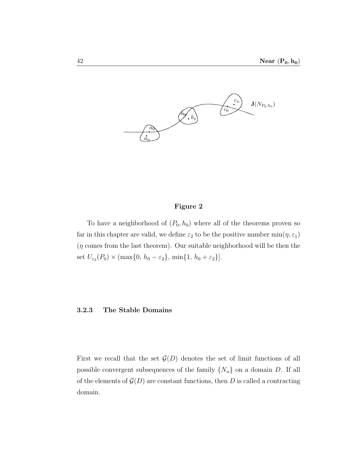

# Figure 2

To have a neighborhood of  $(P_0, h_0)$  where all of the theorems proven so far in this chapter are valid, we define  $\varepsilon_2$  to be the positive number  $\min(\eta, \varepsilon_1)$  $(\eta \text{ comes from the last theorem}).$  Our suitable neighborhood will be then the set  $U_{\varepsilon_2}(P_0) \times (\max\{0, h_0 - \varepsilon_2\}, \min\{1, h_0 + \varepsilon_2\}).$ 

## 3.2.3 The Stable Domains

First we recall that the set  $\mathcal{G}(D)$  denotes the set of limit functions of all possible convergent subsequences of the family  $\{N_n\}$  on a domain D. If all of the elements of  $\mathcal{G}(D)$  are constant functions, then D is called a contracting domain.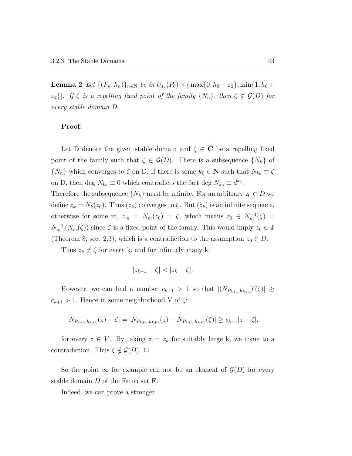**Lemma 2** Let  $\{(P_n, h_n)\}_{n \in \mathbb{N}}$  be in  $U_{\varepsilon_2}(P_0) \times (\max\{0, h_0 - \varepsilon_2\}, \min\{1, h_0 + \varepsilon_2\})$  $\{\varepsilon_2\}$ . If  $\zeta$  is a repelling fixed point of the family  $\{N_n\}$ , then  $\zeta \notin \mathcal{G}(D)$  for every stable domain D.

# Proof.

Let D denote the given stable domain and  $\zeta \in \overline{C}$  be a repelling fixed point of the family such that  $\zeta \in \mathcal{G}(D)$ . There is a subsequence  $\{N_k\}$  of  $\{N_n\}$  which converges to  $\zeta$  on D. If there is some  $k_0 \in \mathbb{N}$  such that  $N_{k_0} \equiv \zeta$ on D, then deg  $N_{k_0} \equiv 0$  which contradicts the fact deg  $N_{k_0} \equiv d^{k_0}$ .

Therefore the subsequence  $\{N_k\}$  must be infinite. For an arbitrary  $z_0 \in D$  we define  $z_k = N_k(z_0)$ . Thus  $(z_k)$  converges to  $\zeta$ . But  $(z_k)$  is an infinite sequence, otherwise for some m,  $z_m = N_m(z_0) = \zeta$ , which means  $z_0 \in N_m^{-1}(\zeta) =$  $N_m^{-1}(N_m(\zeta))$  since  $\zeta$  is a fixed point of the family. This would imply  $z_0 \in \mathbf{J}$ (Theorem 8, sec. 2.3), which is a contradiction to the assumption  $z_0 \in D$ .

Thus  $z_k \neq \zeta$  for every k, and for infinitely many k:

$$
|z_{k+1}-\zeta|<|z_k-\zeta|.
$$

However, we can find a number  $c_{k+1} > 1$  so that  $|(N_{P_{k+1},h_{k+1}})'(\zeta)| \ge$  $c_{k+1} > 1$ . Hence in some neighborhood V of  $\zeta$ :

$$
|N_{P_{k+1},h_{k+1}}(z) - \zeta| = |N_{P_{k+1},h_{k+1}}(z) - N_{P_{k+1},h_{k+1}}(\zeta)| \geq c_{k+1}|z - \zeta|,
$$

for every  $z \in V$ . By taking  $z = z_k$  for suitably large k, we come to a contradiction. Thus  $\zeta \notin \mathcal{G}(D)$ .  $\Box$ 

So the point  $\infty$  for example can not be an element of  $\mathcal{G}(D)$  for every stable domain  $D$  of the Fatou set  $\mathbf F$ .

Indeed, we can prove a stronger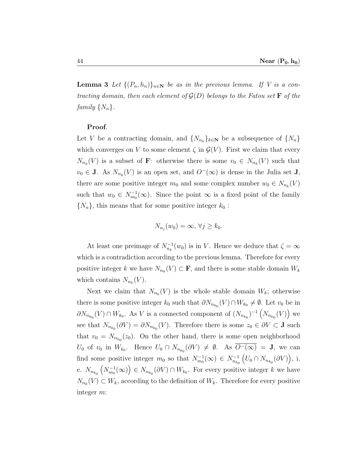**Lemma 3** Let  $\{(P_n, h_n)\}_{n\in\mathbb{N}}$  be as in the previous lemma. If V is a contracting domain, then each element of  $\mathcal{G}(D)$  belongs to the Fatou set **F** of the family  $\{N_n\}$ .

## Proof.

Let V be a contracting domain, and  $\{N_{n_k}\}_{k\in\mathbb{N}}$  be a subsequence of  $\{N_n\}$ which converges on V to some element  $\zeta$  in  $\mathcal{G}(V)$ . First we claim that every  $N_{n_k}(V)$  is a subset of **F**: otherwise there is some  $v_0 \in N_{n_k}(V)$  such that  $v_0 \in \mathbf{J}$ . As  $N_{n_k}(V)$  is an open set, and  $O^-(\infty)$  is dense in the Julia set  $\mathbf{J}$ , there are some positive integer  $m_0$  and some complex number  $w_0 \in N_{n_k}(V)$ such that  $w_0 \in N_{m_0}^{-1}(\infty)$ . Since the point  $\infty$  is a fixed point of the family  $\{N_n\}$ , this means that for some positive integer  $k_0$ :

$$
N_{n_j}(w_0) = \infty, \forall j \ge k_0.
$$

At least one preimage of  $N_{n_k}^{-1}(w_0)$  is in V. Hence we deduce that  $\zeta = \infty$ which is a contradiction according to the previous lemma. Therefore for every positive integer k we have  $N_{n_k}(V) \subset \mathbf{F}$ , and there is some stable domain  $W_k$ which contains  $N_{n_k}(V)$ .

Next we claim that  $N_{n_k}(V)$  is the whole stable domain  $W_k$ ; otherwise there is some positive integer  $k_0$  such that  $\partial N_{n_{k_0}}(V) \cap W_{k_0} \neq \emptyset$ . Let  $v_0$  be in  $\partial N_{n_{k_0}}(V) \cap W_{k_0}$ . As V is a connected component of  $(N_{n_{k_0}})^{-1} \left(N_{n_{k_0}}(V)\right)$  we see that  $N_{n_{k_0}}(\partial V) = \partial N_{n_{k_0}}(V)$ . Therefore there is some  $z_0 \in \partial V \subset \mathbf{J}$  such that  $v_0 = N_{n_{k_0}}(z_0)$ . On the other hand, there is some open neighborhood  $U_0$  of  $v_0$  in  $W_{k_0}$ . Hence  $U_0 \cap N_{n_{k_0}}(\partial V) \neq \emptyset$ . As  $O^-(\infty) = J$ , we can find some positive integer  $m_0$  so that  $N_{m_0}^{-1}(\infty) \in N_{n_{k_0}}^{-1}$  $(U_0 \cap N_{n_{k_0}}(\partial V)),$  i. e.  $N_{n_{k_0}}\left(N_{m_0}^{-1}(\infty)\right) \in N_{n_{k_0}}(\partial V) \cap W_{k_0}$ . For every positive integer k we have  $N_{n_k}(V) \subset W_k$ , according to the definition of  $W_k$ . Therefore for every positive integer m: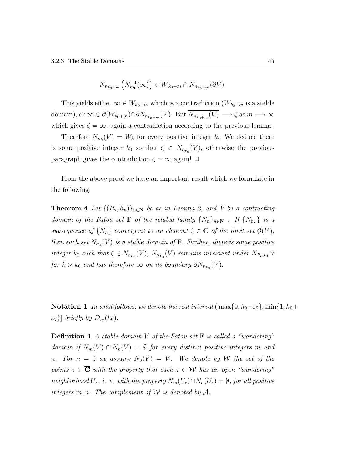$$
N_{n_{k_0+m}}\left(N_{m_0}^{-1}(\infty)\right) \in \overline{W}_{k_0+m} \cap N_{n_{k_0+m}}(\partial V).
$$

This yields either  $\infty \in W_{k_0+m}$  which is a contradiction  $(W_{k_0+m}$  is a stable domain), or  $\infty \in \partial(W_{k_0+m}) \cap \partial N_{n_{k_0+m}}(V)$ . But  $\overline{N_{n_{k_0+m}}(V)} \longrightarrow \zeta$  as  $m \longrightarrow \infty$ which gives  $\zeta = \infty$ , again a contradiction according to the previous lemma.

Therefore  $N_{n_k}(V) = W_k$  for every positive integer k. We deduce there is some positive integer  $k_0$  so that  $\zeta \in N_{n_{k_0}}(V)$ , otherwise the previous paragraph gives the contradiction  $\zeta = \infty$  again!  $\Box$ 

From the above proof we have an important result which we formulate in the following

**Theorem 4** Let  $\{(P_n, h_n)\}_{n\in\mathbb{N}}$  be as in Lemma 2, and V be a contracting domain of the Fatou set **F** of the related family  $\{N_n\}_{n\in\mathbb{N}}$ . If  $\{N_{n_k}\}\$ is a subsequence of  $\{N_n\}$  convergent to an element  $\zeta \in \mathbf{C}$  of the limit set  $\mathcal{G}(V)$ , then each set  $N_{n_k}(V)$  is a stable domain of **F**. Further, there is some positive integer  $k_0$  such that  $\zeta \in N_{n_{k_0}}(V)$ ,  $N_{n_{k_0}}(V)$  remains invariant under  $N_{P_k,h_k}$ 's for  $k > k_0$  and has therefore  $\infty$  on its boundary  $\partial N_{n_{k_0}}(V)$ .

**Notation 1** In what follows, we denote the real interval ( $\max\{0, h_0 - \varepsilon_2\}$ ,  $\min\{1, h_0 +$  $\varepsilon_2$ } briefly by  $D_{\varepsilon_2}(h_0)$ .

**Definition 1** A stable domain V of the Fatou set  $\bf{F}$  is called a "wandering" domain if  $N_m(V) \cap N_n(V) = \emptyset$  for every distinct positive integers m and n. For  $n = 0$  we assume  $N_0(V) = V$ . We denote by W the set of the points  $z \in \overline{C}$  with the property that each  $z \in \mathcal{W}$  has an open "wandering" neighborhood  $U_z$ , i. e. with the property  $N_m(U_z) \cap N_n(U_z) = \emptyset$ , for all positive integers  $m, n$ . The complement of  $\mathcal W$  is denoted by  $\mathcal A$ .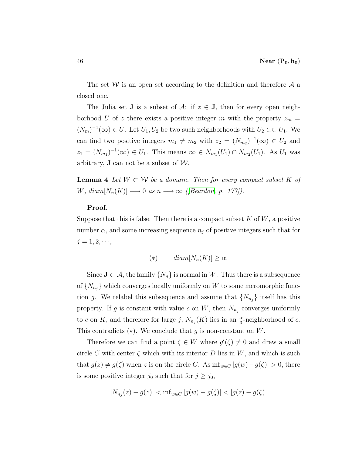The set  $W$  is an open set according to the definition and therefore  $A$  a closed one.

The Julia set **J** is a subset of  $\mathcal{A}$ : if  $z \in J$ , then for every open neighborhood U of z there exists a positive integer m with the property  $z_m =$  $(N_m)^{-1}(\infty) \in U$ . Let  $U_1, U_2$  be two such neighborhoods with  $U_2 \subset \subset U_1$ . We can find two positive integers  $m_1 \neq m_2$  with  $z_2 = (N_{m_2})^{-1}(\infty) \in U_2$  and  $z_1 = (N_{m_1})^{-1}(\infty) \in U_1$ . This means  $\infty \in N_{m_1}(U_1) \cap N_{m_2}(U_1)$ . As  $U_1$  was arbitrary, **J** can not be a subset of  $W$ .

**Lemma 4** Let  $W \subset \mathcal{W}$  be a domain. Then for every compact subset K of W,  $diam[N_n(K)] \longrightarrow 0$  as  $n \longrightarrow \infty$  ([\[Beardon,](#page-90-3) p. 177]).

#### Proof.

Suppose that this is false. Then there is a compact subset  $K$  of  $W$ , a positive number  $\alpha$ , and some increasing sequence  $n_j$  of positive integers such that for  $j = 1, 2, \dots,$ 

$$
(*)\qquad diam[N_n(K)] \ge \alpha.
$$

Since  $J \subset A$ , the family  $\{N_n\}$  is normal in W. Thus there is a subsequence of  $\{N_{n_j}\}\$  which converges locally uniformly on W to some meromorphic function g. We relabel this subsequence and assume that  $\{N_{n_j}\}\$  itself has this property. If g is constant with value c on W, then  $N_{n_j}$  converges uniformly to c on K, and therefore for large j,  $N_{n_j}(K)$  lies in an  $\frac{\alpha}{3}$ -neighborhood of c. This contradicts  $(*)$ . We conclude that g is non-constant on W.

Therefore we can find a point  $\zeta \in W$  where  $g'(\zeta) \neq 0$  and drew a small circle C with center  $\zeta$  which with its interior D lies in W, and which is such that  $g(z) \neq g(\zeta)$  when z is on the circle C. As  $\inf_{w \in C} |g(w)-g(\zeta)| > 0$ , there is some positive integer  $j_0$  such that for  $j \geq j_0$ ,

$$
|N_{n_j}(z) - g(z)| < \inf_{w \in C} |g(w) - g(\zeta)| < |g(z) - g(\zeta)|
$$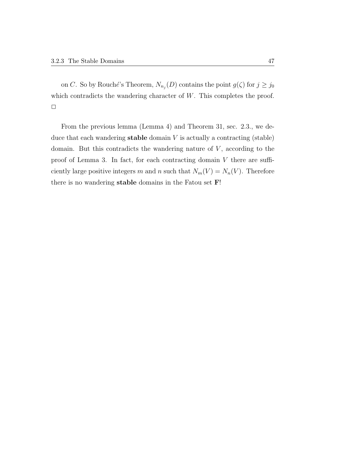on C. So by Rouché's Theorem,  $N_{n_j}(D)$  contains the point  $g(\zeta)$  for  $j \geq j_0$ which contradicts the wandering character of  $W$ . This completes the proof.  $\Box$ 

From the previous lemma (Lemma 4) and Theorem 31, sec. 2.3., we deduce that each wandering **stable** domain  $V$  is actually a contracting (stable) domain. But this contradicts the wandering nature of  $V$ , according to the proof of Lemma 3. In fact, for each contracting domain  $V$  there are sufficiently large positive integers m and n such that  $N_m(V) = N_n(V)$ . Therefore there is no wandering stable domains in the Fatou set F!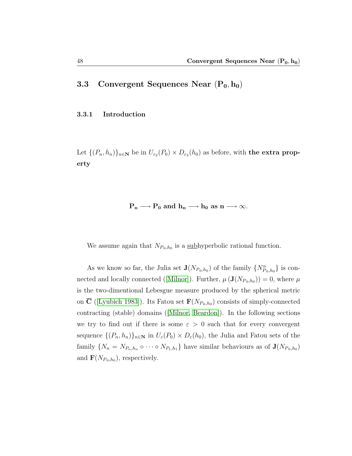# 3.3 Convergent Sequences Near  $(P_0, h_0)$

## 3.3.1 Introduction

Let  $\{(P_n, h_n)\}_{n\in\mathbb{N}}$  be in  $U_{\varepsilon_2}(P_0) \times D_{\varepsilon_2}(h_0)$  as before, with the extra property

# $P_n \longrightarrow P_0$  and  $h_n \longrightarrow h_0$  as  $n \longrightarrow \infty$ .

We assume again that  $N_{P_0,h_0}$  is a subhyperbolic rational function.

As we know so far, the Julia set  $\mathbf{J}(N_{P_0,h_0})$  of the family  $\{N_{P_0,h_0}^n\}$  is con-nectedand locally connected ([\[Milnor\]](#page-91-0)). Further,  $\mu(\mathbf{J}(N_{P_0,h_0}))=0$ , where  $\mu$ is the two-dimentional Lebesgue measure produced by the spherical metric on C ([\[Lyubich 1983\]](#page-91-1)). Its Fatou set  $\mathbf{F}(N_{P_0,h_0})$  consists of simply-connected contracting (stable) domains([\[Milnor,](#page-91-0) [Beardon\]](#page-90-3)). In the following sections we try to find out if there is some  $\varepsilon > 0$  such that for every convergent sequence  $\{(P_n, h_n)\}_{n\in\mathbb{N}}$  in  $U_{\varepsilon}(P_0) \times D_{\varepsilon}(h_0)$ , the Julia and Fatou sets of the family  $\{N_n = N_{P_n,h_n} \circ \cdots \circ N_{P_1,h_1}\}\$  have similar behaviours as of  $\mathbf{J}(N_{P_0,h_0})$ and  $\mathbf{F}(N_{P_0,h_0})$ , respectively.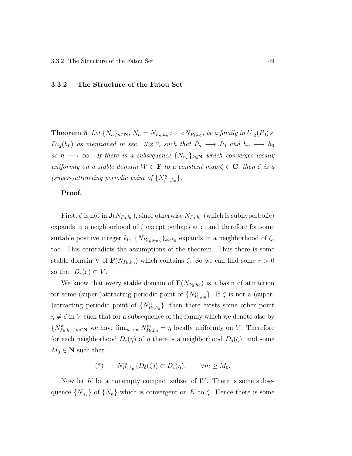#### 3.3.2 The Structure of the Fatou Set

**Theorem 5** Let  $\{N_n\}_{n\in\mathbb{N}}$ ,  $N_n = N_{P_n,h_n} \circ \cdots \circ N_{P_1,h_1}$ , be a family in  $U_{\varepsilon_2}(P_0) \times$  $D_{\varepsilon_2}(h_0)$  as mentioned in sec. 3.2.2, such that  $P_n \longrightarrow P_0$  and  $h_n \longrightarrow h_0$ as  $n \longrightarrow \infty$ . If there is a subsequence  $\{N_{n_k}\}_{k \in \mathbb{N}}$  which converges locally uniformly on a stable domain  $W \in \mathbf{F}$  to a constant map  $\zeta \in \mathbf{C}$ , then  $\zeta$  is a (super-)attracting periodic point of  $\{N_{P_0,h_0}^n\}$ .

#### Proof.

First,  $\zeta$  is not in  $\mathbf{J}(N_{P_0,h_0})$ , since otherwise  $N_{P_0,h_0}$  (which is subhyperbolic) expands in a neighborhood of  $\zeta$  except perhaps at  $\zeta$ , and therefore for some suitable positive integer  $k_0$ ,  $\{N_{P_{n_k},h_{n_k}}\}_{k\geq k_0}$  expands in a neighborhood of  $\zeta$ , too. This contradicts the assumptions of the theorem. Thus there is some stable domain V of  $\mathbf{F}(N_{P_0,h_0})$  which contains  $\zeta$ . So we can find some  $r > 0$ so that  $D_r(\zeta) \subset V$ .

We know that every stable domain of  $\mathbf{F}(N_{P_0,h_0})$  is a basin of attraction for some (super-)attracting periodic point of  $\{N_{P_0,h_0}^n\}$ . If  $\zeta$  is not a (super-)attracting periodic point of  $\{N_{P_0,h_0}^n\}$ , then there exists some other point  $\eta \neq \zeta$  in V such that for a subsequence of the family which we denote also by  ${N_{P_0,h_0}^m}_{n\in\mathbb{N}}$  we have  $\lim_{m\to\infty} N_{P_0,h_0}^m = \eta$  locally uniformly on V. Therefore for each neighborhood  $D_{\varepsilon}(\eta)$  of  $\eta$  there is a neighborhood  $D_{\delta}(\zeta)$ , and some  $M_0 \in \mathbb{N}$  such that

$$
(*)\qquad N_{P_0,h_0}^m\left(D_{\delta}(\zeta)\right)\subset D_{\varepsilon}(\eta),\qquad\forall m\geq M_0.
$$

Now let K be a nonempty compact subset of W. There is some subsequence  $\{N_{n_k}\}\$  of  $\{N_n\}$  which is convergent on K to  $\zeta$ . Hence there is some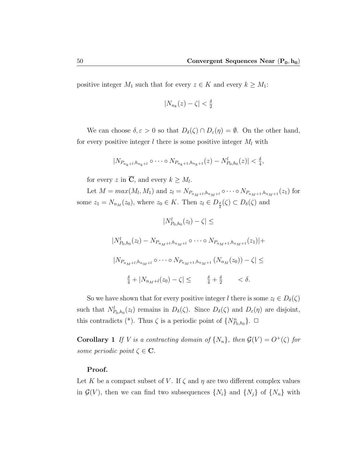positive integer  $M_1$  such that for every  $z \in K$  and every  $k \geq M_1$ :

$$
|N_{n_k}(z) - \zeta| < \frac{\delta}{2}
$$

We can choose  $\delta, \varepsilon > 0$  so that  $D_{\delta}(\zeta) \cap D_{\varepsilon}(\eta) = \emptyset$ . On the other hand, for every positive integer  $l$  there is some positive integer  $M_l$  with

$$
|N_{P_{n_k+l},h_{n_k+l}} \circ \cdots \circ N_{P_{n_k+1},h_{n_k+1}}(z) - N_{P_0,h_0}^l(z)| < \frac{\delta}{4},
$$

for every z in  $\overline{C}$ , and every  $k \geq M_l$ .

Let  $M = max(M_l, M_1)$  and  $z_l = N_{P_{n_M+l}, h_{n_M+l}} \circ \cdots \circ N_{P_{n_M+1}, h_{n_M+1}}(z_1)$  for some  $z_1 = N_{n_M}(z_0)$ , where  $z_0 \in K$ . Then  $z_l \in D_{\frac{\delta}{2}}(\zeta) \subset D_{\delta}(\zeta)$  and

$$
|N_{P_0,h_0}^l(z_l) - \zeta| \le
$$
  
\n
$$
|N_{P_0,h_0}^l(z_l) - N_{P_{n_M+l},h_{n_M+l}} \circ \cdots \circ N_{P_{n_M+1},h_{n_M+1}}(z_1)| +
$$
  
\n
$$
|N_{P_{n_M+l},h_{n_M+l}} \circ \cdots \circ N_{P_{n_M+1},h_{n_M+1}} (N_{n_M}(z_0)) - \zeta| \le
$$
  
\n
$$
\frac{\delta}{4} + |N_{n_M+l}(z_0) - \zeta| \le \frac{\delta}{4} + \frac{\delta}{2} \le \delta.
$$

So we have shown that for every positive integer l there is some  $z_l \in D_{\delta}(\zeta)$ such that  $N_{P_0,h_0}^l(z_l)$  remains in  $D_{\delta}(\zeta)$ . Since  $D_{\delta}(\zeta)$  and  $D_{\varepsilon}(\eta)$  are disjoint, this contradicts (\*). Thus  $\zeta$  is a periodic point of  $\{N_{P_0,h_0}^n\}$ .  $\Box$ 

**Corollary 1** If V is a contracting domain of  $\{N_n\}$ , then  $\mathcal{G}(V) = O^+(\zeta)$  for some periodic point  $\zeta \in \mathbf{C}$ .

#### Proof.

Let K be a compact subset of V. If  $\zeta$  and  $\eta$  are two different complex values in  $\mathcal{G}(V)$ , then we can find two subsequences  $\{N_i\}$  and  $\{N_j\}$  of  $\{N_n\}$  with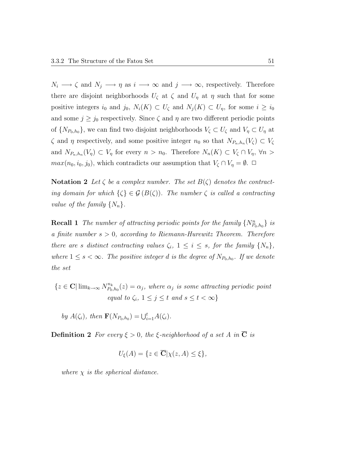$N_i \longrightarrow \zeta$  and  $N_j \longrightarrow \eta$  as  $i \longrightarrow \infty$  and  $j \longrightarrow \infty$ , respectively. Therefore there are disjoint neighborhoods  $U_{\zeta}$  at  $\zeta$  and  $U_{\eta}$  at  $\eta$  such that for some positive integers  $i_0$  and  $j_0$ ,  $N_i(K) \subset U_\zeta$  and  $N_j(K) \subset U_\eta$ , for some  $i \geq i_0$ and some  $j \geq j_0$  respectively. Since  $\zeta$  and  $\eta$  are two different periodic points of  $\{N_{P_0,h_0}\}$ , we can find two disjoint neighborhoods  $V_\zeta \subset U_\zeta$  and  $V_\eta \subset U_\eta$  at  $\zeta$  and  $\eta$  respectively, and some positive integer  $n_0$  so that  $N_{P_n,h_n}(V_\zeta) \subset V_\zeta$ and  $N_{P_n,h_n}(V_\eta) \subset V_\eta$  for every  $n > n_0$ . Therefore  $N_n(K) \subset V_\zeta \cap V_\eta$ ,  $\forall n >$  $max(n_0, i_0, j_0)$ , which contradicts our assumption that  $V_\zeta \cap V_\eta = \emptyset$ .

**Notation 2** Let  $\zeta$  be a complex number. The set  $B(\zeta)$  denotes the contracting domain for which  $\{\zeta\} \in \mathcal{G}(B(\zeta))$ . The number  $\zeta$  is called a contracting value of the family  $\{N_n\}$ .

**Recall 1** The number of attracting periodic points for the family  $\{N_{P_0,h_0}^n\}$  is a finite number  $s > 0$ , according to Riemann-Hurewitz Theorem. Therefore there are s distinct contracting values  $\zeta_i$ ,  $1 \leq i \leq s$ , for the family  $\{N_n\}$ , where  $1 \leq s < \infty$ . The positive integer d is the degree of  $N_{P_0,h_0}$ . If we denote the set

 ${z \in \mathbf{C} | \lim_{k \to \infty} N_{P_0}^{n_k}}$  $P_{0,h_0}^{n_k}(z)=\alpha_j,$  where  $\alpha_j$  is some attracting periodic point equal to  $\zeta_i$ ,  $1 \leq j \leq t$  and  $s \leq t < \infty$ }

by  $A(\zeta_i)$ , then  $\mathbf{F}(N_{P_0,h_0}) = \bigcup_{i=1}^t A(\zeta_i)$ .

**Definition 2** For every  $\xi > 0$ , the  $\xi$ -neighborhood of a set A in  $\overline{C}$  is

$$
U_{\xi}(A) = \{ z \in \overline{\mathbf{C}} | \chi(z, A) \le \xi \},
$$

where  $\chi$  is the spherical distance.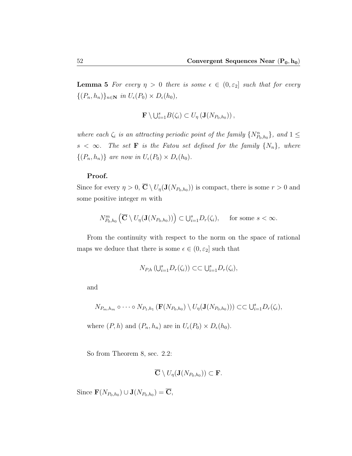**Lemma 5** For every  $\eta > 0$  there is some  $\epsilon \in (0, \epsilon_2]$  such that for every  $\{(P_n, h_n)\}_{n\in\mathbb{N}}$  in  $U_{\epsilon}(P_0) \times D_{\epsilon}(h_0)$ ,

$$
\mathbf{F} \setminus \bigcup_{i=1}^s B(\zeta_i) \subset U_{\eta} \left( \mathbf{J}(N_{P_0,h_0}) \right),
$$

where each  $\zeta_i$  is an attracting periodic point of the family  $\{N_{P_0,h_0}^n\}$ , and  $1 \leq$  $s < \infty$ . The set **F** is the Fatou set defined for the family  $\{N_n\}$ , where  $\{(P_n, h_n)\}\$ are now in  $U_{\epsilon}(P_0) \times D_{\epsilon}(h_0)$ .

#### Proof.

Since for every  $\eta > 0$ ,  $\overline{C} \setminus U_{\eta}(J(N_{P_0,h_0}))$  is compact, there is some  $r > 0$  and some positive integer m with

$$
N_{P_0,h_0}^m\left(\overline{\mathbf{C}}\setminus U_{\eta}(\mathbf{J}(N_{P_0,h_0}))\right) \subset \bigcup_{i=1}^s D_r(\zeta_i), \quad \text{ for some } s < \infty.
$$

From the continuity with respect to the norm on the space of rational maps we deduce that there is some  $\epsilon \in (0, \varepsilon_2]$  such that

$$
N_{P,h}\left(\bigcup_{i=1}^s D_r(\zeta_i)\right) \subset \subset \bigcup_{i=1}^s D_r(\zeta_i),
$$

and

$$
N_{P_m,h_m} \circ \cdots \circ N_{P_1,h_1} \left( \mathbf{F}(N_{P_0,h_0}) \setminus U_{\eta}(\mathbf{J}(N_{P_0,h_0})) \right) \subset \subset \bigcup_{i=1}^s D_r(\zeta_i),
$$

where  $(P, h)$  and  $(P_n, h_n)$  are in  $U_{\epsilon}(P_0) \times D_{\epsilon}(h_0)$ .

So from Theorem 8, sec. 2.2:

$$
\overline{\mathbf{C}}\setminus U_{\eta}(\mathbf{J}(N_{P_0,h_0}))\subset \mathbf{F}.
$$

Since  $\mathbf{F}(N_{P_0,h_0}) \cup \mathbf{J}(N_{P_0,h_0}) = \overline{\mathbf{C}},$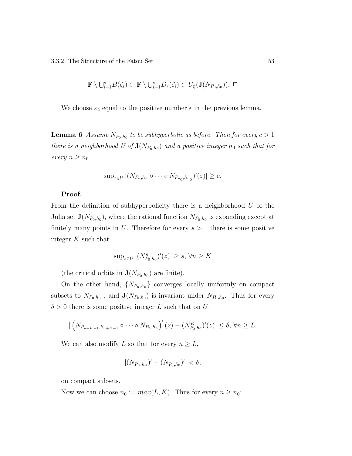$$
\mathbf{F} \setminus \bigcup_{i=1}^s B(\zeta_i) \subset \mathbf{F} \setminus \bigcup_{i=1}^s D_r(\zeta_i) \subset U_{\eta}(\mathbf{J}(N_{P_0,h_0})). \ \ \Box
$$

We choose  $\varepsilon_2$  equal to the positive number  $\epsilon$  in the previous lemma.

**Lemma 6** Assume  $N_{P_0,h_0}$  to be subhyperbolic as before. Then for every  $c > 1$ there is a neighborhood U of  $\mathbf{J}(N_{P_0,h_0})$  and a positive integer  $n_0$  such that for every  $n \geq n_0$ 

$$
\sup_{z\in U} |(N_{P_n,h_n}\circ\cdots\circ N_{P_{n_0},h_{n_0}})'(z)|\geq c.
$$

## Proof.

From the definition of subhyperbolicity there is a neighborhood  $U$  of the Julia set  $\mathbf{J}(N_{P_0,h_0})$ , where the rational function  $N_{P_0,h_0}$  is expanding except at finitely many points in U. Therefore for every  $s > 1$  there is some positive integer K such that

$$
\sup_{z \in U} |(N_{P_0, h_0}^n)'(z)| \ge s, \forall n \ge K
$$

(the critical orbits in  $\mathbf{J}(N_{P_0,h_0})$  are finite).

On the other hand,  $\{N_{P_n,h_n}\}\$  converges locally uniformly on compact subsets to  $N_{P_0,h_0}$ , and  $\mathbf{J}(N_{P_0,h_0})$  is invariant under  $N_{P_0,h_0}$ . Thus for every  $\delta > 0$  there is some positive integer L such that on U:

$$
|\left(N_{P_{n+K-1},h_{n+K-1}}\circ\cdots\circ N_{P_n,h_n}\right)'(z)-\left(N_{P_0,h_0}^K\right)'(z)|\leq \delta,\,\forall n\geq L.
$$

We can also modify L so that for every  $n \geq L$ ,

$$
|(N_{P_n,h_n})'-(N_{P_0,h_0})'|<\delta,
$$

on compact subsets.

Now we can choose  $n_0 := max(L, K)$ . Thus for every  $n \ge n_0$ :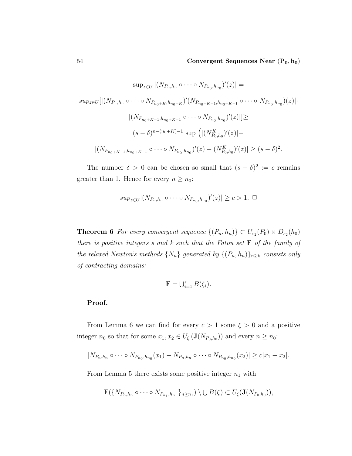$$
\sup_{z \in U} |(N_{P_n,h_n} \circ \cdots \circ N_{P_{n_0},h_{n_0}})'(z)| =
$$
  
\n
$$
\sup_{z \in U} [|(N_{P_n,h_n} \circ \cdots \circ N_{P_{n_0+K},h_{n_0+K}})'(N_{P_{n_0+K-1},h_{n_0+K-1}} \circ \cdots \circ N_{P_{n_0},h_{n_0}})(z)|
$$
  
\n
$$
|(N_{P_{n_0+K-1},h_{n_0+K-1}} \circ \cdots \circ N_{P_{n_0},h_{n_0}})'(z)|] \ge
$$
  
\n
$$
(s-\delta)^{n-(n_0+K)-1} \sup (|(N_{P_0,h_0}^K)'(z)| -
$$
  
\n
$$
|(N_{P_{n_0+K-1},h_{n_0+K-1}} \circ \cdots \circ N_{P_{n_0},h_{n_0}})'(z) - (N_{P_0,h_0}^K)'(z)| \ge (s-\delta)^2.
$$

The number  $\delta > 0$  can be chosen so small that  $(s - \delta)^2 := c$  remains greater than 1. Hence for every  $n \geq n_0$ :

$$
sup_{z \in U} |(N_{P_n, h_n} \circ \cdots \circ N_{P_{n_0}, h_{n_0}})'(z)| \geq c > 1. \ \ \Box
$$

**Theorem 6** For every convergent sequence  $\{(P_n, h_n)\} \subset U_{\varepsilon_2}(P_0) \times D_{\varepsilon_2}(h_0)$ there is positive integers  $s$  and  $k$  such that the Fatou set  $\bf{F}$  of the family of the relaxed Newton's methods  $\{N_n\}$  generated by  $\{(P_n, h_n)\}_{n\geq k}$  consists only of contracting domains:

$$
\mathbf{F} = \bigcup_{i=1}^{s} B(\zeta_i).
$$

## Proof.

From Lemma 6 we can find for every  $c > 1$  some  $\xi > 0$  and a positive integer  $n_0$  so that for some  $x_1, x_2 \in U_{\xi}(\mathbf{J}(N_{P_0,h_0}))$  and every  $n \ge n_0$ :

$$
|N_{P_n,h_n}\circ\cdots\circ N_{P_{n_0},h_{n_0}}(x_1)-N_{P_n,h_n}\circ\cdots\circ N_{P_{n_0},h_{n_0}}(x_2)|\geq c|x_1-x_2|.
$$

From Lemma 5 there exists some positive integer  $n_1$  with

$$
\mathbf{F}(\{N_{P_n,h_n}\circ\cdots\circ N_{P_{n_1},h_{n_1}}\}_{n\geq n_1})\setminus\bigcup B(\zeta)\subset U_{\xi}(\mathbf{J}(N_{P_0,h_0})),
$$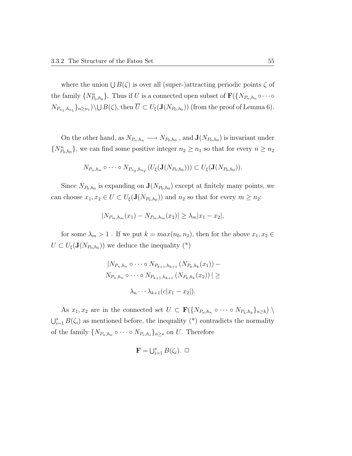where the union  $\bigcup B(\zeta)$  is over all (super-)attracting periodic points  $\zeta$  of the family  $\{N_{P_0,h_0}^n\}$ . Thus if U is a connected open subset of  $\mathbf{F}(\{N_{P_n,h_n}\circ\cdots\circ\}$  $N_{P_{n_1},h_{n_1}}\}_{n\geq n_1}$   $\setminus \cup B(\zeta)$ , then  $\overline{U}\subset U_{\xi}(\mathbf{J}(N_{P_0,h_0}))$  (from the proof of Lemma 6).

On the other hand, as  $N_{P_n,h_n} \longrightarrow N_{P_0,h_0}$ , and  $\mathbf{J}(N_{P_0,h_0})$  is invariant under  $\{N_{P_0,h_0}^n\}$ , we can find some positive integer  $n_2 \geq n_1$  so that for every  $n \geq n_2$ 

$$
N_{P_n,h_n} \circ \cdots \circ N_{P_{n_2},h_{n_2}} (U_{\xi}(\mathbf{J}(N_{P_0,h_0}))) \subset U_{\xi}(\mathbf{J}(N_{P_0,h_0})).
$$

Since  $N_{P_0,h_0}$  is expanding on  $\mathbf{J}(N_{P_0,h_0})$  except at finitely many points, we can choose  $x_1, x_2 \in U \subset U_{\xi}(\mathbf{J}(N_{P_0,h_0}))$  and  $n_2$  so that for every  $m \ge n_2$ :

$$
|N_{P_m,h_m}(x_1) - N_{P_m,h_m}(x_2)| \ge \lambda_m |x_1 - x_2|,
$$

for some  $\lambda_m > 1$ . If we put  $k = max(n_0, n_2)$ , then for the above  $x_1, x_2 \in$  $U \subset U_{\xi}(\mathbf{J}(N_{P_0,h_0}))$  we deduce the inequality  $(*)$ 

$$
|N_{P_n,h_n} \circ \cdots \circ N_{P_{k+1},h_{k+1}} (N_{P_k,h_k}(x_1)) - N_{P_n,h_n} \circ \cdots \circ N_{P_{k+1},h_{k+1}} (N_{P_k,h_k}(x_2))| \ge
$$
  

$$
\lambda_n \cdots \lambda_{k+1} (c|x_1 - x_2|).
$$

As  $x_1, x_2$  are in the connected set  $U \subset \mathbf{F}(\{N_{P_n,h_n} \circ \cdots \circ N_{P_k,h_k}\}_{n \geq k})$  $\bigcup_{i=1}^s B(\zeta_i)$  as mentioned before, the inequality (\*) contradicts the normality of the family  $\{N_{P_n,h_n} \circ \cdots \circ N_{P_s,h_s}\}_{n \geq s}$  on U. Therefore

$$
\mathbf{F}=\bigcup_{i=1}^s B(\zeta_i). \ \Box
$$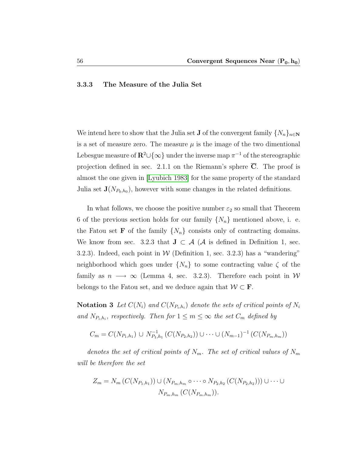#### 3.3.3 The Measure of the Julia Set

We intend here to show that the Julia set **J** of the convergent family  $\{N_n\}_{n\in\mathbb{N}}$ is a set of measure zero. The measure  $\mu$  is the image of the two dimentional Lebesgue measure of  $\mathbb{R}^2 \cup \{\infty\}$  under the inverse map  $\pi^{-1}$  of the stereographic projection defined in sec. 2.1.1 on the Riemann's sphere  $\overline{C}$ . The proof is almost the one given in [\[Lyubich 1983\]](#page-91-1) for the same property of the standard Julia set  $\mathbf{J}(N_{P_0,h_0})$ , however with some changes in the related definitions.

In what follows, we choose the positive number  $\varepsilon_2$  so small that Theorem 6 of the previous section holds for our family  $\{N_n\}$  mentioned above, i. e. the Fatou set **F** of the family  $\{N_n\}$  consists only of contracting domains. We know from sec. 3.2.3 that  $J \subset A$  (A is defined in Definition 1, sec. 3.2.3). Indeed, each point in W (Definition 1, sec. 3.2.3) has a "wandering" neighborhood which goes under  $\{N_n\}$  to some contracting value  $\zeta$  of the family as  $n \longrightarrow \infty$  (Lemma 4, sec. 3.2.3). Therefore each point in W belongs to the Fatou set, and we deduce again that  $W \subset \mathbf{F}$ .

**Notation 3** Let  $C(N_i)$  and  $C(N_{P_i,h_i})$  denote the sets of critical points of  $N_i$ and  $N_{P_i,h_i}$ , respectively. Then for  $1 \leq m \leq \infty$  the set  $C_m$  defined by

$$
C_m = C(N_{P_1,h_1}) \cup N_{P_1,h_1}^{-1} (C(N_{P_2,h_2})) \cup \cdots \cup (N_{m-1})^{-1} (C(N_{P_m,h_m}))
$$

denotes the set of critical points of  $N_m$ . The set of critical values of  $N_m$ will be therefore the set

$$
Z_m = N_m(C(N_{P_1,h_1})) \cup (N_{P_m,h_m} \circ \cdots \circ N_{P_2,h_2}(C(N_{P_2,h_2}))) \cup \cdots \cup N_{P_m,h_m}(C(N_{P_m,h_m})).
$$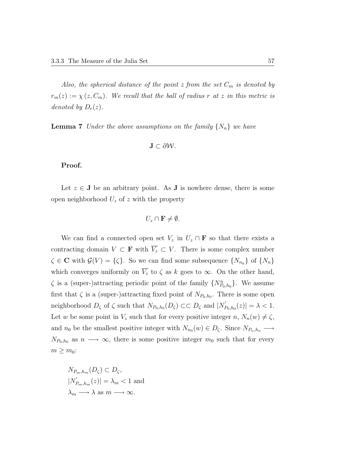Also, the spherical distance of the point z from the set  $C_m$  is denoted by  $r_m(z) := \chi(z, C_m)$ . We recall that the ball of radius r at z in this metric is denoted by  $D_r(z)$ .

**Lemma 7** Under the above assumptions on the family  $\{N_n\}$  we have

$$
\mathbf{J}\subset\partial\mathcal{W}.
$$

## Proof.

Let  $z \in J$  be an arbitrary point. As J is nowhere dense, there is some open neighborhood  $U_z$  of z with the property

$$
U_z \cap \mathbf{F} \neq \emptyset.
$$

We can find a connected open set  $V_z$  in  $U_z \cap \mathbf{F}$  so that there exists a contracting domain  $V \subset \mathbf{F}$  with  $\overline{V_z} \subset V$ . There is some complex number  $\zeta \in \mathbb{C}$  with  $\mathcal{G}(V) = \{\zeta\}$ . So we can find some subsequence  $\{N_{n_k}\}$  of  $\{N_n\}$ which converges uniformly on  $\overline{V_z}$  to  $\zeta$  as k goes to  $\infty$ . On the other hand,  $\zeta$  is a (super-)attracting periodic point of the family  $\{N_{P_0,h_0}^n\}$ . We assume first that  $\zeta$  is a (super-)attracting fixed point of  $N_{P_0,h_0}$ . There is some open neighborhood  $D_{\zeta}$  of  $\zeta$  such that  $N_{P_0,h_0}(D_{\zeta}) \subset\subset D_{\zeta}$  and  $|N_{P_0}^{'}|$  $P_{0,h_0}(z)| = \lambda < 1.$ Let w be some point in  $V_z$  such that for every positive integer  $n, N_n(w) \neq \zeta$ , and  $n_0$  be the smallest positive integer with  $N_{n_0}(w) \in D_{\zeta}$ . Since  $N_{P_n,h_n} \longrightarrow$  $N_{P_0,h_0}$  as  $n \longrightarrow \infty$ , there is some positive integer  $m_0$  such that for every  $m \geq m_0$ :

$$
N_{P_m,h_m}(D_{\zeta}) \subset D_{\zeta},
$$
  
\n
$$
|N'_{P_m,h_m}(z)| = \lambda_m < 1
$$
 and  
\n
$$
\lambda_m \longrightarrow \lambda \text{ as } m \longrightarrow \infty.
$$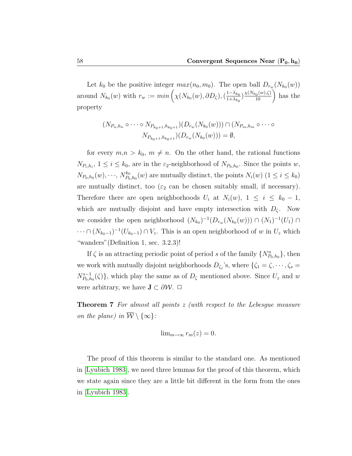Let  $k_0$  be the positive integer  $max(n_0, m_0)$ . The open ball  $D_{r_w}(N_{k_0}(w))$ around  $N_{k_0}(w)$  with  $r_w := min\left(\chi(N_{k_0}(w), \partial D_\zeta), \left(\frac{1-\lambda_{k_0}(w)}{1+\lambda_{k_0}(w)}\right)\right)$  $\frac{1-\lambda_{k_0}}{1+\lambda_{k_0}}$ )  $\frac{\chi(N_{k_0}(w),\zeta)}{10}$  has the property

$$
(N_{P_n,h_n} \circ \cdots \circ N_{P_{k_0+1},h_{k_0+1}})(D_{r_w}(N_{k_0}(w))) \cap (N_{P_m,h_m} \circ \cdots \circ N_{P_{k_0+1},h_{k_0+1}})(D_{r_w}(N_{k_0}(w))) = \emptyset,
$$

for every  $m,n > k_0$ ,  $m \neq n$ . On the other hand, the rational functions  $N_{P_i,h_i}$ ,  $1 \leq i \leq k_0$ , are in the  $\varepsilon_2$ -neighborhood of  $N_{P_0,h_0}$ . Since the points w,  $N_{P_0,h_0}(w),\cdots\!,\,N_{P_0}^{k_0}$  $P_{p_0, h_0}(w)$  are mutually distinct, the points  $N_i(w)$   $(1 \leq i \leq k_0)$ are mutually distinct, too ( $\varepsilon_2$  can be chosen suitably small, if necessary). Therefore there are open neighborhoods  $U_i$  at  $N_i(w)$ ,  $1 \leq i \leq k_0 - 1$ , which are mutually disjoint and have empty intersection with  $D_{\zeta}$ . Now we consider the open neighborhood  $(N_{k_0})^{-1}(D_{r_w}(N_{k_0}(w))) \cap (N_1)^{-1}(U_1) \cap$  $\cdots \cap (N_{k_0-1})^{-1}(U_{k_0-1}) \cap V_z$ . This is an open neighborhood of w in  $U_z$  which "wanders"(Definition 1, sec. 3.2.3)!

If  $\zeta$  is an attracting periodic point of period s of the family  $\{N_{P_0,h_0}^n\}$ , then we work with mutually disjoint neighborhoods  $D_{\zeta_j}$ 's, where  $\{\zeta_1 = \zeta, \dots, \zeta_s =$  $N_{P_0,h}^{s-1}$  $P_{p_0,h_0}^{s-1}(\zeta)$ , which play the same as of  $D_{\zeta}$  mentioned above. Since  $U_z$  and w were arbitrary, we have  $\mathbf{J} \subset \partial \mathcal{W}$ .  $\Box$ 

**Theorem 7** For almost all points z (with respect to the Lebesque measure on the plane) in  $\overline{\mathcal{W}} \setminus \{\infty\}$ :

$$
\lim_{m \to \infty} r_m(z) = 0.
$$

The proof of this theorem is similar to the standard one. As mentioned in [\[Lyubich 1983\]](#page-91-1), we need three lemmas for the proof of this theorem, which we state again since they are a little bit different in the form from the ones in [\[Lyubich 1983\]](#page-91-1).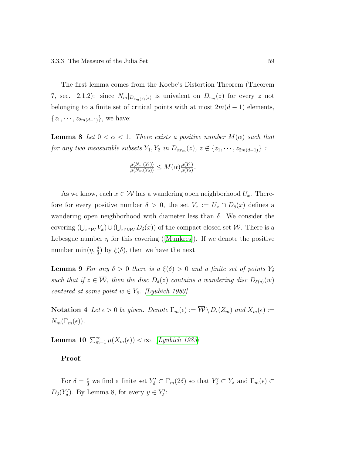The first lemma comes from the Koebe's Distortion Theorem (Theorem 7, sec. 2.1.2): since  $N_m|_{D_{r_m(z)}(z)}$  is univalent on  $D_{r_m}(z)$  for every z not belonging to a finite set of critical points with at most  $2m(d-1)$  elements,  $\{z_1, \cdots, z_{2m(d-1)}\},$  we have:

**Lemma 8** Let  $0 < \alpha < 1$ . There exists a positive number  $M(\alpha)$  such that for any two measurable subsets  $Y_1, Y_2$  in  $D_{\alpha r_m}(z), z \notin \{z_1, \dots, z_{2m(d-1)}\}$ :

$$
\frac{\mu(N_m(Y_1))}{\mu(N_m(Y_2))} \leq M(\alpha) \frac{\mu(Y_1)}{\mu(Y_2)}.
$$

As we know, each  $x \in \mathcal{W}$  has a wandering open neighborhood  $U_x$ . Therefore for every positive number  $\delta > 0$ , the set  $V_x := U_x \cap D_{\delta}(x)$  defines a wandering open neighborhood with diameter less than  $\delta$ . We consider the covering  $(\bigcup_{x\in\mathcal{W}}V_x)\cup(\bigcup_{x\in\partial\mathcal{W}}D_\delta(x))$  of the compact closed set  $\overline{\mathcal{W}}$ . There is a Lebesguenumber  $\eta$  for this covering ([\[Munkres\]](#page-91-3)). If we denote the positive number  $\min(\eta, \frac{\delta}{3})$  by  $\xi(\delta)$ , then we have the next

**Lemma 9** For any  $\delta > 0$  there is a  $\xi(\delta) > 0$  and a finite set of points  $Y_{\delta}$ such that if  $z \in \overline{\mathcal{W}}$ , then the disc  $D_{\delta}(z)$  contains a wandering disc  $D_{\xi(\delta)}(w)$ centered at some point  $w \in Y_\delta$ . [\[Lyubich 1983\]](#page-91-1)

**Notation 4** Let  $\epsilon > 0$  be given. Denote  $\Gamma_m(\epsilon) := \overline{\mathcal{W}} \setminus D_{\epsilon}(Z_m)$  and  $X_m(\epsilon) :=$  $N_m(\Gamma_m(\epsilon)).$ 

Lemma 10  $\sum_{m=1}^{\infty} \mu(X_m(\epsilon)) < \infty$ . [\[Lyubich 1983\]](#page-91-1)

Proof.

For  $\delta = \frac{\epsilon}{3}$  we find a finite set  $Y'_\delta \subset \Gamma_m(2\delta)$  so that  $Y'_\delta \subset Y_\delta$  and  $\Gamma_m(\epsilon) \subset$  $D_{\delta}(Y_{\delta}')$ . By Lemma 8, for every  $y \in Y_{\delta}'$ :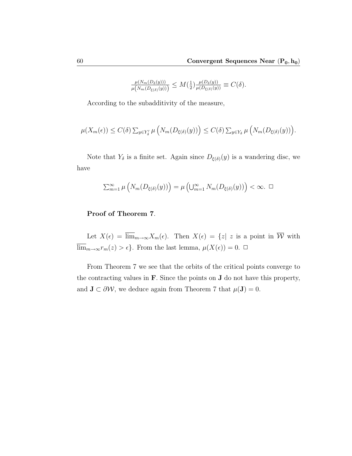$$
\frac{\mu(N_m(D_\delta(y)))}{\mu\big(N_m(D_{\xi(\delta)}(y))\big)} \le M\big(\tfrac{1}{2}\big) \frac{\mu(D_\delta(y))}{\mu(D_{\xi(\delta)}(y))} \equiv C(\delta).
$$

According to the subadditivity of the measure,

$$
\mu(X_m(\epsilon)) \le C(\delta) \sum_{y \in Y'_\delta} \mu\left(N_m(D_{\xi(\delta)}(y))\right) \le C(\delta) \sum_{y \in Y_\delta} \mu\left(N_m(D_{\xi(\delta)}(y))\right).
$$

Note that  $Y_{\delta}$  is a finite set. Again since  $D_{\xi(\delta)}(y)$  is a wandering disc, we have

$$
\sum_{m=1}^{\infty} \mu\left(N_m(D_{\xi(\delta)}(y))\right) = \mu\left(\bigcup_{m=1}^{\infty} N_m(D_{\xi(\delta)}(y))\right) < \infty. \quad \Box
$$

# Proof of Theorem 7.

Let  $X(\epsilon) = \overline{\lim}_{m \to \infty} X_m(\epsilon)$ . Then  $X(\epsilon) = \{z \mid z \text{ is a point in } \overline{\mathcal{W}} \text{ with }$ lim<sub>m→∞</sub> $r_m(z) > \epsilon$ . From the last lemma,  $\mu(X(\epsilon)) = 0$ . □

From Theorem 7 we see that the orbits of the critical points converge to the contracting values in F. Since the points on J do not have this property, and  $J \subset \partial \mathcal{W}$ , we deduce again from Theorem 7 that  $\mu(J) = 0$ .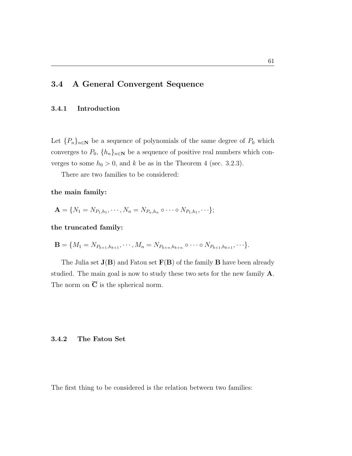# 3.4 A General Convergent Sequence

#### 3.4.1 Introduction

Let  ${P_n}_{n\in\mathbb{N}}$  be a sequence of polynomials of the same degree of  $P_0$  which converges to  $P_0$ ,  $\{h_n\}_{n\in\mathbb{N}}$  be a sequence of positive real numbers which converges to some  $h_0 > 0$ , and k be as in the Theorem 4 (sec. 3.2.3).

There are two families to be considered:

the main family:

$$
\mathbf{A} = \{N_1 = N_{P_1,h_1}, \cdots, N_n = N_{P_n,h_n} \circ \cdots \circ N_{P_1,h_1}, \cdots \};
$$

the truncated family:

$$
\mathbf{B} = \{M_1 = N_{P_{k+1},h_{k+1}}, \cdots, M_n = N_{P_{k+n},h_{k+n}} \circ \cdots \circ N_{P_{k+1},h_{k+1}}, \cdots \}.
$$

The Julia set  $J(B)$  and Fatou set  $F(B)$  of the family B have been already studied. The main goal is now to study these two sets for the new family A. The norm on  $\overline{C}$  is the spherical norm.

#### 3.4.2 The Fatou Set

The first thing to be considered is the relation between two families: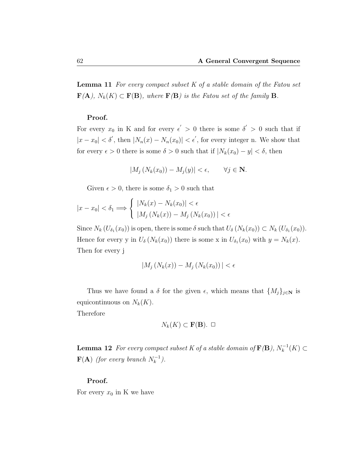**Lemma 11** For every compact subset  $K$  of a stable domain of the Fatou set  $\mathbf{F}(\mathbf{A}), N_k(K) \subset \mathbf{F}(\mathbf{B}),$  where  $\mathbf{F}(\mathbf{B})$  is the Fatou set of the family  $\mathbf{B}.$ 

#### Proof.

For every  $x_0$  in K and for every  $\epsilon' > 0$  there is some  $\delta' > 0$  such that if  $|x-x_0| < \delta'$ , then  $|N_n(x) - N_n(x_0)| < \epsilon'$ , for every integer n. We show that for every  $\epsilon > 0$  there is some  $\delta > 0$  such that if  $|N_k(x_0) - y| < \delta$ , then

$$
|M_j\left(N_k(x_0)\right) - M_j(y)| < \epsilon, \qquad \forall j \in \mathbf{N}.
$$

Given  $\epsilon > 0$ , there is some  $\delta_1 > 0$  such that

$$
|x - x_0| < \delta_1 \Longrightarrow \left\{ \begin{array}{l} |N_k(x) - N_k(x_0)| < \epsilon \\ |M_j\left(N_k(x)\right) - M_j\left(N_k(x_0)\right)| < \epsilon \end{array} \right.
$$

Since  $N_k(U_{\delta_1}(x_0))$  is open, there is some  $\delta$  such that  $U_{\delta}(N_k(x_0)) \subset N_k(U_{\delta_1}(x_0))$ . Hence for every y in  $U_{\delta}(N_k(x_0))$  there is some x in  $U_{\delta_1}(x_0)$  with  $y = N_k(x)$ . Then for every j

$$
|M_j\left(N_k(x)\right) - M_j\left(N_k(x_0)\right)| < \epsilon
$$

Thus we have found a  $\delta$  for the given  $\epsilon$ , which means that  $\{M_j\}_{j\in\mathbb{N}}$  is equicontinuous on  $N_k(K)$ .

Therefore

$$
N_k(K) \subset \mathbf{F}(\mathbf{B}). \ \Box
$$

**Lemma 12** For every compact subset K of a stable domain of  $\mathbf{F}(\mathbf{B})$ ,  $N_k^{-1}(K) \subset$  $\mathbf{F}(\mathbf{A})$  (for every branch  $N_k^{-1}$ ).

#### Proof.

For every  $x_0$  in K we have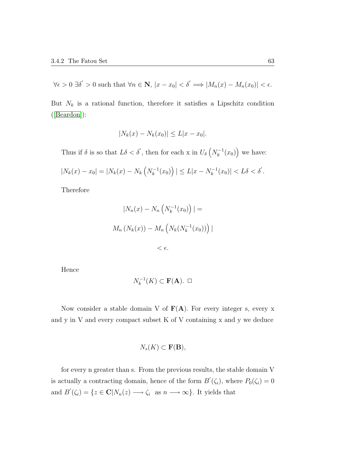$$
\forall \epsilon > 0 \; \exists \delta' > 0 \text{ such that } \forall n \in \mathbf{N}, |x - x_0| < \delta' \Longrightarrow |M_n(x) - M_n(x_0)| < \epsilon.
$$

But  $N_k$  is a rational function, therefore it satisfies a Lipschitz condition ([\[Beardon\]](#page-90-0)):

$$
|N_k(x) - N_k(x_0)| \le L|x - x_0|.
$$

Thus if  $\delta$  is so that  $L\delta < \delta'$ , then for each x in  $U_{\delta}\left(N_k^{-1}(x_0)\right)$  we have:

$$
|N_k(x) - x_0| = |N_k(x) - N_k\left(N_k^{-1}(x_0)\right)| \le L|x - N_k^{-1}(x_0)| < L\delta < \delta'.
$$

Therefore

$$
|N_n(x) - N_n\left(N_k^{-1}(x_0)\right)| =
$$
  

$$
M_n\left(N_k(x)\right) - M_n\left(N_k\left(N_k^{-1}(x_0)\right)\right)|
$$
  

$$
< \epsilon.
$$

Hence

$$
N_k^{-1}(K) \subset \mathbf{F}(\mathbf{A}). \ \Box
$$

Now consider a stable domain V of  $F(A)$ . For every integer s, every x and y in V and every compact subset K of V containing x and y we deduce

$$
N_s(K) \subset \mathbf{F}(\mathbf{B}),
$$

for every n greater than s. From the previous results, the stable domain V is actually a contracting domain, hence of the form  $B'(\zeta_i)$ , where  $P_0(\zeta_i) = 0$ and  $B'(\zeta_i) = \{z \in \mathbb{C} | N_n(z) \longrightarrow \zeta_i \text{ as } n \longrightarrow \infty \}.$  It yields that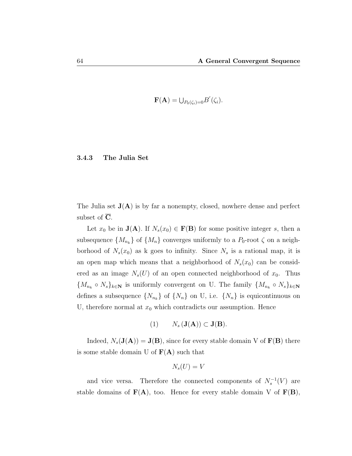$$
\mathbf{F}(\mathbf{A})=\bigcup_{P_0(\zeta_i)=0}B'(\zeta_i).
$$

#### 3.4.3 The Julia Set

The Julia set  $J(A)$  is by far a nonempty, closed, nowhere dense and perfect subset of  $\overline{C}$ .

Let  $x_0$  be in  $\mathbf{J}(\mathbf{A})$ . If  $N_s(x_0) \in \mathbf{F}(\mathbf{B})$  for some positive integer s, then a subsequence  $\{M_{n_k}\}$  of  $\{M_n\}$  converges uniformly to a  $P_0$ -root  $\zeta$  on a neighborhood of  $N_s(x_0)$  as k goes to infinity. Since  $N_s$  is a rational map, it is an open map which means that a neighborhood of  $N_s(x_0)$  can be considered as an image  $N_s(U)$  of an open connected neighborhood of  $x_0$ . Thus  ${M_{n_k} \circ N_s}_{k \in \mathbb{N}}$  is uniformly convergent on U. The family  ${M_{n_k} \circ N_s}_{k \in \mathbb{N}}$ defines a subsequence  $\{N_{n_k}\}\$  of  $\{N_n\}$  on U, i.e.  $\{N_n\}$  is equicontinuous on U, therefore normal at  $x_0$  which contradicts our assumption. Hence

$$
(1) \qquad N_s\left(\mathbf{J}(\mathbf{A})\right) \subset \mathbf{J}(\mathbf{B}).
$$

Indeed,  $N_s(\mathbf{J}(\mathbf{A})) = \mathbf{J}(\mathbf{B})$ , since for every stable domain V of  $\mathbf{F}(\mathbf{B})$  there is some stable domain U of  $\mathbf{F}(\mathbf{A})$  such that

$$
N_s(U)=V
$$

and vice versa. Therefore the connected components of  $N_s^{-1}(V)$  are stable domains of  $F(A)$ , too. Hence for every stable domain V of  $F(B)$ ,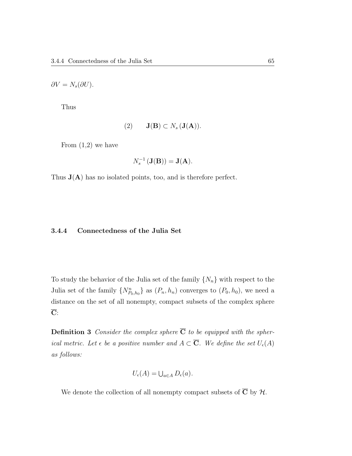$\partial V = N_s(\partial U).$ 

Thus

$$
(2) \qquad \mathbf{J}(\mathbf{B}) \subset N_s(\mathbf{J}(\mathbf{A})).
$$

From  $(1,2)$  we have

$$
N_s^{-1}\left(\mathbf{J}(\mathbf{B})\right) = \mathbf{J}(\mathbf{A}).
$$

Thus  $J(A)$  has no isolated points, too, and is therefore perfect.

### 3.4.4 Connectedness of the Julia Set

To study the behavior of the Julia set of the family  $\{N_n\}$  with respect to the Julia set of the family  $\{N_{P_0,h_0}^n\}$  as  $(P_n,h_n)$  converges to  $(P_0,h_0)$ , we need a distance on the set of all nonempty, compact subsets of the complex sphere C:

**Definition 3** Consider the complex sphere  $\overline{C}$  to be equipped with the spherical metric. Let  $\epsilon$  be a positive number and  $A \subset \overline{\mathbf{C}}$ . We define the set  $U_{\epsilon}(A)$ as follows:

$$
U_{\epsilon}(A) = \bigcup_{a \in A} D_{\epsilon}(a).
$$

We denote the collection of all nonempty compact subsets of  $\overline{C}$  by  $\mathcal{H}$ .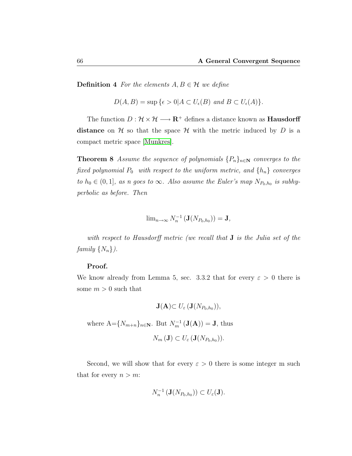**Definition 4** For the elements  $A, B \in \mathcal{H}$  we define

$$
D(A, B) = \sup \{ \epsilon > 0 | A \subset U_{\epsilon}(B) \text{ and } B \subset U_{\epsilon}(A) \}.
$$

The function  $D: \mathcal{H} \times \mathcal{H} \longrightarrow \mathbb{R}^+$  defines a distance known as **Hausdorff** distance on  $H$  so that the space  $H$  with the metric induced by  $D$  is a compact metric space [\[Munkres\]](#page-91-0).

**Theorem 8** Assume the sequence of polynomials  $\{P_n\}_{n\in\mathbb{N}}$  converges to the fixed polynomial  $P_0$  with respect to the uniform metric, and  $\{h_n\}$  converges to  $h_0 \in (0,1]$ , as n goes to  $\infty$ . Also assume the Euler's map  $N_{P_0,h_0}$  is subhyperbolic as before. Then

$$
\lim_{n\to\infty}N_n^{-1}\left(\mathbf{J}(N_{P_0,h_0})\right)=\mathbf{J},
$$

with respect to Hausdorff metric (we recall that **J** is the Julia set of the family  $\{N_n\}$ ).

### Proof.

We know already from Lemma 5, sec. 3.3.2 that for every  $\varepsilon > 0$  there is some  $m > 0$  such that

$$
\mathbf{J}(\mathbf{A}) \subset U_{\varepsilon}(\mathbf{J}(N_{P_0,h_0})),
$$

where  $A = \{N_{m+n}\}_{n \in \mathbb{N}}$ . But  $N_m^{-1}(\mathbf{J}(\mathbf{A})) = \mathbf{J}$ , thus

$$
N_m(\mathbf{J}) \subset U_{\varepsilon}(\mathbf{J}(N_{P_0,h_0})).
$$

Second, we will show that for every  $\varepsilon > 0$  there is some integer m such that for every  $n > m$ :

$$
N_n^{-1}(\mathbf{J}(N_{P_0,h_0})) \subset U_{\varepsilon}(\mathbf{J}).
$$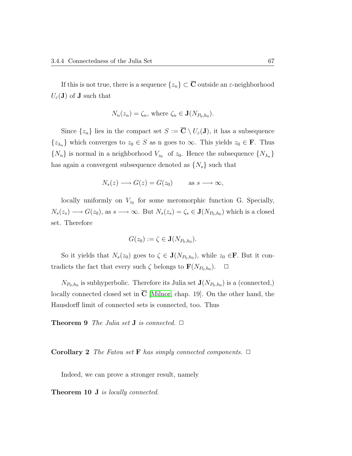If this is not true, there is a sequence  $\{z_n\} \subset \overline{C}$  outside an  $\varepsilon$ -neighborhood  $U_{\varepsilon}(\mathbf{J})$  of **J** such that

$$
N_n(z_n) = \zeta_n
$$
, where  $\zeta_n \in \mathbf{J}(N_{P_0,h_0}).$ 

Since  $\{z_n\}$  lies in the compact set  $S := \overline{\mathbf{C}} \setminus U_{\varepsilon}(\mathbf{J})$ , it has a subsequence  $\{z_{\lambda_n}\}\$  which converges to  $z_0 \in S$  as n goes to  $\infty$ . This yields  $z_0 \in \mathbf{F}$ . Thus  $\{N_n\}$  is normal in a neighborhood  $V_{z_0}$  of  $z_0$ . Hence the subsequence  $\{N_{\lambda_n}\}$ has again a convergent subsequence denoted as  $\{N_s\}$  such that

$$
N_s(z) \longrightarrow G(z) = G(z_0) \quad \text{as } s \longrightarrow \infty,
$$

locally uniformly on  $V_{z_0}$  for some meromorphic function G. Specially,  $N_s(z_s) \longrightarrow G(z_0)$ , as  $s \longrightarrow \infty$ . But  $N_s(z_s) = \zeta_s \in \mathbf{J}(N_{P_0,h_0})$  which is a closed set. Therefore

$$
G(z_0) := \zeta \in \mathbf{J}(N_{P_0,h_0}).
$$

So it yields that  $N_s(z_0)$  goes to  $\zeta \in \mathbf{J}(N_{P_0,h_0})$ , while  $z_0 \in \mathbf{F}$ . But it contradicts the fact that every such  $\zeta$  belongs to  $\mathbf{F}(N_{P_0,h_0})$ .  $\Box$ 

 $N_{P_0,h_0}$  is subhyperbolic. Therefore its Julia set  $\mathbf{J}(N_{P_0,h_0})$  is a (connected,) locally connected closed set in  $\overline{C}$  [\[Milnor,](#page-91-1) chap. 19]. On the other hand, the Hausdorff limit of connected sets is connected, too. Thus

**Theorem 9** The Julia set **J** is connected.  $\Box$ 

**Corollary 2** The Fatou set **F** has simply connected components.  $\Box$ 

Indeed, we can prove a stronger result, namely

Theorem 10 J is locally connected.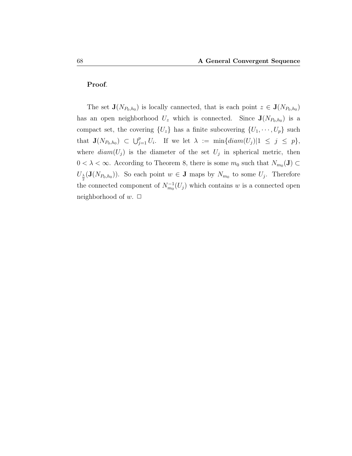## Proof.

The set  $\mathbf{J}(N_{P_0,h_0})$  is locally cannected, that is each point  $z \in \mathbf{J}(N_{P_0,h_0})$ has an open neighborhood  $U_z$  which is connected. Since  $J(N_{P_0,h_0})$  is a compact set, the covering  $\{U_z\}$  has a finite subcovering  $\{U_1, \dots, U_p\}$  such that  $\mathbf{J}(N_{P_0,h_0}) \subset \bigcup_{j=1}^p U_i$ . If we let  $\lambda := \min\{diam(U_j)|1 \leq j \leq p\},\$ where  $diam(U_j)$  is the diameter of the set  $U_j$  in spherical metric, then  $0 < \lambda < \infty$ . According to Theorem 8, there is some  $m_0$  such that  $N_{m_0}(\mathbf{J}) \subset$  $U_{\frac{\lambda}{2}}(\mathbf{J}(N_{P_0,h_0}))$ . So each point  $w \in \mathbf{J}$  maps by  $N_{m_0}$  to some  $U_j$ . Therefore the connected component of  $N_{m_0}^{-1}(U_j)$  which contains w is a connected open neighborhood of  $w$ .  $\Box$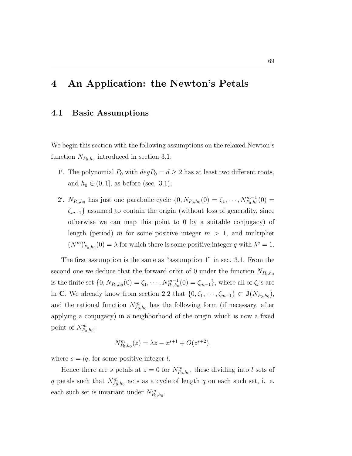# 4 An Application: the Newton's Petals

## 4.1 Basic Assumptions

We begin this section with the following assumptions on the relaxed Newton's function  $N_{P_0,h_0}$  introduced in section 3.1:

- 1'. The polynomial  $P_0$  with  $deg P_0 = d \geq 2$  has at least two different roots, and  $h_0 \in (0, 1]$ , as before (sec. 3.1);
- 2'.  $N_{P_0,h_0}$  has just one parabolic cycle  $\{0, N_{P_0,h_0}(0) = \zeta_1, \cdots, N_{P_0,h_0}^{m-1}(0) =$  $\zeta_{m-1}$ } assumed to contain the origin (without loss of generality, since otherwise we can map this point to 0 by a suitable conjugacy) of length (period) m for some positive integer  $m > 1$ , and multiplier  $(N^m)_{P_0,h_0}'(0) = \lambda$  for which there is some positive integer q with  $\lambda^q = 1$ .

The first assumption is the same as "assumption 1" in sec. 3.1. From the second one we deduce that the forward orbit of 0 under the function  $N_{P_0,h_0}$ is the finite set  $\{0, N_{P_0,h_0}(0) = \zeta_1, \cdots, N_{P_0,h_0}^{m-1}(0) = \zeta_{m-1}\}\,$ , where all of  $\zeta_i$ 's are in C. We already know from section 2.2 that  $\{0, \zeta_1, \dots, \zeta_{m-1}\} \subset \mathbf{J}(N_{P_0,h_0}),$ and the rational function  $N_{P_0,h_0}^m$  has the following form (if necessary, after applying a conjugacy) in a neighborhood of the origin which is now a fixed point of  $N_{P_0,h_0}^m$ :

$$
N_{P_0,h_0}^m(z) = \lambda z - z^{s+1} + O(z^{s+2}),
$$

where  $s = lq$ , for some positive integer l.

Hence there are s petals at  $z = 0$  for  $N_{P_0,h_0}^m$ , these dividing into l sets of q petals such that  $N_{P_0,h_0}^m$  acts as a cycle of length q on each such set, i. e. each such set is invariant under  $N_{P_0,h_0}^m$ .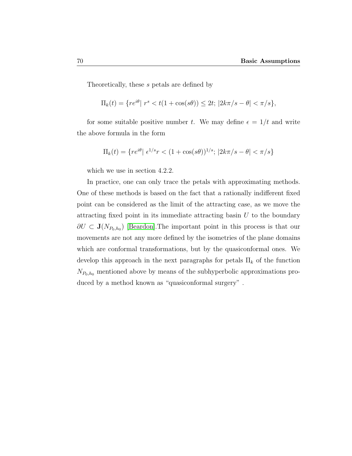Theoretically, these s petals are defined by

$$
\Pi_k(t) = \{ re^{i\theta} | r^s < t(1 + \cos(s\theta)) \le 2t; \, |2k\pi/s - \theta| < \pi/s \},
$$

for some suitable positive number t. We may define  $\epsilon = 1/t$  and write the above formula in the form

$$
\Pi_k(t) = \{ re^{i\theta} | e^{1/s}r < (1 + \cos(s\theta))^{1/s}; \, |2k\pi/s - \theta| < \pi/s \}
$$

which we use in section 4.2.2.

In practice, one can only trace the petals with approximating methods. One of these methods is based on the fact that a rationally indifferent fixed point can be considered as the limit of the attracting case, as we move the attracting fixed point in its immediate attracting basin  $U$  to the boundary  $\partial U \subset \mathbf{J}(N_{P_0,h_0})$  [\[Beardon\]](#page-90-0). The important point in this process is that our movements are not any more defined by the isometries of the plane domains which are conformal transformations, but by the quasiconformal ones. We develop this approach in the next paragraphs for petals  $\Pi_k$  of the function  $N_{P_0,h_0}$  mentioned above by means of the subhyperbolic approximations produced by a method known as "quasiconformal surgery" .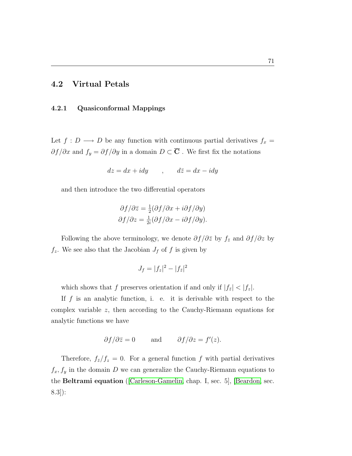# 4.2 Virtual Petals

## 4.2.1 Quasiconformal Mappings

Let  $f: D \longrightarrow D$  be any function with continuous partial derivatives  $f_x =$  $\partial f/\partial x$  and  $f_y = \partial f/\partial y$  in a domain  $D \subset \overline{C}$ . We first fix the notations

$$
dz = dx + idy \qquad , \qquad d\bar{z} = dx - idy
$$

and then introduce the two differential operators

$$
\partial f/\partial \bar{z} = \frac{1}{2} (\partial f/\partial x + i \partial f/\partial y)
$$

$$
\partial f/\partial z = \frac{1}{2i} (\partial f/\partial x - i \partial f/\partial y).
$$

Following the above terminology, we denote  $\partial f/\partial \overline{z}$  by  $f_{\overline{z}}$  and  $\partial f/\partial z$  by  $f_z$ . We see also that the Jacobian  $J_f$  of f is given by

$$
J_f=|f_z|^2-|f_{\bar{z}}|^2
$$

which shows that f preserves orientation if and only if  $|f_{\bar{z}}| < |f_z|$ .

If  $f$  is an analytic function, i. e. it is derivable with respect to the complex variable z, then according to the Cauchy-Riemann equations for analytic functions we have

$$
\partial f/\partial \overline{z} = 0
$$
 and  $\partial f/\partial z = f'(z)$ .

Therefore,  $f_{\bar{z}}/f_z = 0$ . For a general function f with partial derivatives  $f_x, f_y$  in the domain D we can generalize the Cauchy-Riemann equations to the Beltrami equation ([\[Carleson-Gamelin,](#page-90-1) chap. I, sec. 5], [\[Beardon,](#page-90-0) sec. 8.3]):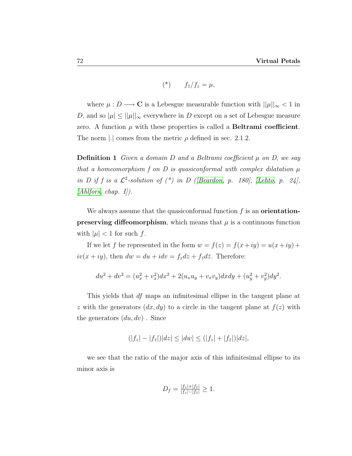$$
(*) \t f_{\bar{z}}/f_z = \mu,
$$

where  $\mu : D \longrightarrow \mathbb{C}$  is a Lebesgue measurable function with  $||\mu||_{\infty} < 1$  in D, and so  $|\mu| \leq ||\mu||_{\infty}$  everywhere in D except on a set of Lebesgue measure zero. A function  $\mu$  with these properties is called a **Beltrami coefficient**. The norm |.| comes from the metric  $\rho$  defined in sec. 2.1.2.

**Definition 1** Given a domain D and a Beltrami coefficient  $\mu$  on D, we say that a homeomorphism f on D is quasiconformal with complex dilatation  $\mu$ in D if f is a  $\mathcal{L}^2$ -solution of (\*) in D ([\[Beardon,](#page-90-0) p. 180], [\[Lehto,](#page-91-2) p. 24],  $[Ahlfors, chap. I]).$  $[Ahlfors, chap. I]).$ 

We always assume that the quasiconformal function  $f$  is an **orientationpreserving diffeomorphism**, which means that  $\mu$  is a continuous function with  $|\mu| < 1$  for such f.

If we let f be represented in the form  $w = f(z) = f(x+iy) = u(x+iy) +$  $iv(x+iy)$ , then  $dw = du + idv = f_z dz + f_{\bar{z}} d\bar{z}$ . Therefore:

$$
du^{2} + dv^{2} = (u_{x}^{2} + v_{x}^{2})dx^{2} + 2(u_{x}u_{y} + v_{x}v_{y})dxdy + (u_{y}^{2} + v_{y}^{2})dy^{2}.
$$

This yields that df maps an infinitesimal ellipse in the tangent plane at z with the generators  $(dx, dy)$  to a circle in the tangent plane at  $f(z)$  with the generators  $(du, dv)$ . Since

$$
(|f_z| - |f_{\bar{z}}|)|dz| \le |dw| \le (|f_z| + |f_{\bar{z}}|)|dz|,
$$

we see that the ratio of the major axis of this infinitesimal ellipse to its minor axis is

$$
D_f = \frac{|f_z| + |f_{\bar{z}}|}{|f_z| - |f_{\bar{z}}|} \ge 1.
$$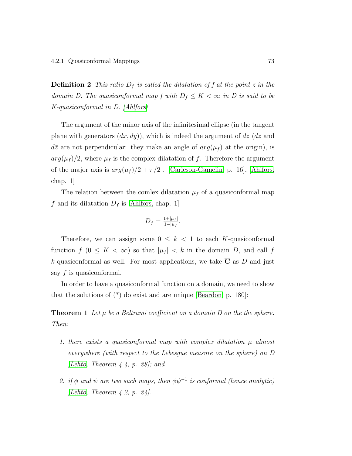**Definition 2** This ratio  $D_f$  is called the dilatation of f at the point z in the domain D. The quasiconformal map f with  $D_f \leq K < \infty$  in D is said to be K-quasiconformal in D. [\[Ahlfors\]](#page-90-2)

The argument of the minor axis of the infinitesimal ellipse (in the tangent plane with generators  $(dx, dy)$ , which is indeed the argument of dz (dz and  $d\overline{z}$  are not perpendicular: they make an angle of  $arg(\mu_f)$  at the origin), is  $arg(\mu_f)/2$ , where  $\mu_f$  is the complex dilatation of f. Therefore the argument of the major axis is  $arg(\mu_f)/2 + \pi/2$ . [\[Carleson-Gamelin,](#page-90-1) p. 16], [\[Ahlfors,](#page-90-2) chap. 1]

The relation between the comlex dilatation  $\mu_f$  of a quasiconformal map f and its dilatation  $D_f$  is [\[Ahlfors,](#page-90-2) chap. 1]

$$
D_f = \frac{1+|\mu_f|}{1-|\mu_f|}.
$$

Therefore, we can assign some  $0 \leq k < 1$  to each K-quasiconformal function  $f(0 \leq K < \infty)$  so that  $|\mu_f| < k$  in the domain D, and call f k-quasiconformal as well. For most applications, we take  $\overline{C}$  as D and just say f is quasiconformal.

In order to have a quasiconformal function on a domain, we need to show that the solutions of (\*) do exist and are unique [\[Beardon,](#page-90-0) p. 180]:

**Theorem 1** Let  $\mu$  be a Beltrami coefficient on a domain D on the the sphere. Then:

- 1. there exists a quasiconformal map with complex dilatation  $\mu$  almost everywhere (with respect to the Lebesgue measure on the sphere) on D [\[Lehto,](#page-91-2) Theorem 4.4, p. 28]; and
- 2. if  $\phi$  and  $\psi$  are two such maps, then  $\phi \psi^{-1}$  is conformal (hence analytic) [\[Lehto,](#page-91-2) Theorem  $4.2$ , p.  $24$ ].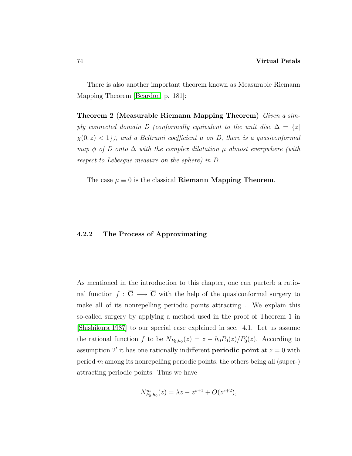There is also another important theorem known as Measurable Riemann Mapping Theorem [\[Beardon,](#page-90-0) p. 181]:

Theorem 2 (Measurable Riemann Mapping Theorem) Given a simply connected domain D (conformally equivalent to the unit disc  $\Delta = \{z \mid$  $\chi(0, z) < 1$ , and a Beltrami coefficient  $\mu$  on D, there is a quasiconformal map  $\phi$  of D onto  $\Delta$  with the complex dilatation  $\mu$  almost everywhere (with respect to Lebesgue measure on the sphere) in D.

The case  $\mu \equiv 0$  is the classical Riemann Mapping Theorem.

## 4.2.2 The Process of Approximating

As mentioned in the introduction to this chapter, one can purterb a rational function  $f : \overline{C} \longrightarrow \overline{C}$  with the help of the quasiconformal surgery to make all of its nonrepelling periodic points attracting . We explain this so-called surgery by applying a method used in the proof of Theorem 1 in [\[Shishikura 1987\]](#page-92-0) to our special case explained in sec. 4.1. Let us assume the rational function f to be  $N_{P_0,h_0}(z) = z - h_0 P_0(z)/P'_0(z)$ . According to assumption 2' it has one rationally indifferent **periodic point** at  $z = 0$  with period  $m$  among its nonrepelling periodic points, the others being all (super-) attracting periodic points. Thus we have

$$
N_{P_0,h_0}^m(z) = \lambda z - z^{s+1} + O(z^{s+2}),
$$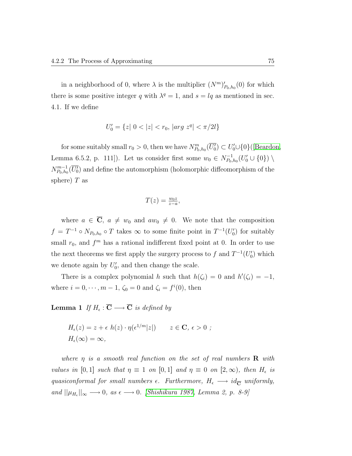in a neighborhood of 0, where  $\lambda$  is the multiplier  $(N^m)'_{P_0,h_0}(0)$  for which there is some positive integer q with  $\lambda^q = 1$ , and  $s = lq$  as mentioned in sec. 4.1. If we define

$$
U_0'=\{z|\ 0<|z|
$$

for some suitably small  $r_0 > 0$ , then we have  $N^m_{P_0,h_0}(\overline{U'_0}) \subset U'_0 \cup \{0\}$  ([\[Beardon,](#page-90-0) Lemma 6.5.2, p. 111]). Let us consider first some  $w_0 \in N_{P_0}^{-1}$  $\bar{P}_{0},_{h_0}(U'_0\cup\{0\})\setminus$  $N^{m-1}_{P_0,h_0}$  ${}_{P_0,h_0}^{m-1}(\overline{U'_0})$  and define the automorphism (holomorphic diffeomorphism of the sphere)  $T$  as

$$
T(z) = \frac{w_0 z}{z - a},
$$

where  $a \in \overline{\mathbf{C}}$ ,  $a \neq w_0$  and  $aw_0 \neq 0$ . We note that the composition  $f = T^{-1} \circ N_{P_0, h_0} \circ T$  takes  $\infty$  to some finite point in  $T^{-1}(U_0')$  for suitably small  $r_0$ , and  $f^m$  has a rational indifferent fixed point at 0. In order to use the next theorems we first apply the surgery process to f and  $T^{-1}(U_0')$  which we denote again by  $U'_0$ , and then change the scale.

There is a complex polynomial h such that  $h(\zeta_i) = 0$  and  $h'(\zeta_i) = -1$ , where  $i = 0, \dots, m - 1$ ,  $\zeta_0 = 0$  and  $\zeta_i = f^i(0)$ , then

**Lemma 1** If  $H_{\epsilon} : \overline{\mathbf{C}} \longrightarrow \overline{\mathbf{C}}$  is defined by

$$
H_{\epsilon}(z) = z + \epsilon \ h(z) \cdot \eta(\epsilon^{1/m}|z|) \qquad z \in \mathbf{C}, \ \epsilon > 0 \ ;
$$
  

$$
H_{\epsilon}(\infty) = \infty,
$$

where  $\eta$  is a smooth real function on the set of real numbers **R** with values in [0,1] such that  $\eta \equiv 1$  on [0,1] and  $\eta \equiv 0$  on [2, $\infty$ ), then  $H_{\epsilon}$  is quasiconformal for small numbers  $\epsilon$ . Furthermore,  $H_{\epsilon} \longrightarrow id_{\overline{\mathbf{C}}}$  uniformly, and  $||\mu_{H_{\epsilon}}||_{\infty} \longrightarrow 0$ , as  $\epsilon \longrightarrow 0$ . [\[Shishikura 1987,](#page-92-0) Lemma 2, p. 8-9]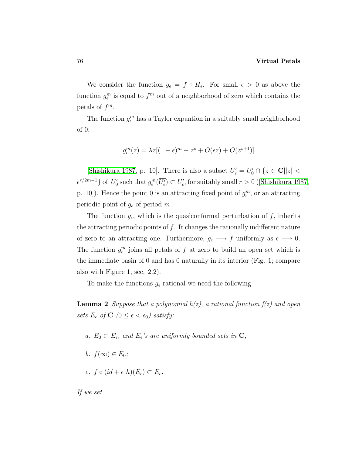We consider the function  $g_{\epsilon} = f \circ H_{\epsilon}$ . For small  $\epsilon > 0$  as above the function  $g_{\epsilon}^{m}$  is equal to  $f^{m}$  out of a neighborhood of zero which contains the petals of  $f^m$ .

The function  $g_{\epsilon}^{m}$  has a Taylor expantion in a suitably small neighborhood of 0:

$$
g_{\epsilon}^{m}(z) = \lambda z [(1 - \epsilon)^{m} - z^{s} + O(\epsilon z) + O(z^{s+1})]
$$

[\[Shishikura 1987,](#page-92-0) p. 10]. There is also a subset  $U'_{\epsilon} = U'_{0} \cap \{z \in \mathbf{C} | |z| < \epsilon \}$  $\epsilon^{r/2m-1}$ of  $U_0'$  such that  $g_{\epsilon}^m(\overline{U_{\epsilon}'}) \subset U_{\epsilon}'$ , for suitably small  $r > 0$  ([\[Shishikura 1987,](#page-92-0) p. 10]). Hence the point 0 is an attracting fixed point of  $g_{\epsilon}^{m}$ , or an attracting periodic point of  $g_{\epsilon}$  of period m.

The function  $g_{\epsilon}$ , which is the quasiconformal perturbation of f, inherits the attracting periodic points of  $f$ . It changes the rationally indifferent nature of zero to an attracting one. Furthermore,  $g_{\epsilon} \longrightarrow f$  uniformly as  $\epsilon \longrightarrow 0$ . The function  $g_{\epsilon}^{m}$  joins all petals of f at zero to build an open set which is the immediate basin of 0 and has 0 naturally in its interior (Fig. 1; compare also with Figure 1, sec. 2.2).

To make the functions  $g_{\epsilon}$  rational we need the following

**Lemma 2** Suppose that a polynomial  $h(z)$ , a rational function  $f(z)$  and open sets  $E_{\epsilon}$  of  $\overline{C}$  ( $0 \leq \epsilon < \epsilon_0$ ) satisfy:

- a.  $E_0 \subset E_{\epsilon}$ , and  $E_{\epsilon}$ 's are uniformly bounded sets in **C**;
- b.  $f(\infty) \in E_0$ ;
- c.  $f \circ (id + \epsilon \; h)(E_{\epsilon}) \subset E_{\epsilon}$ .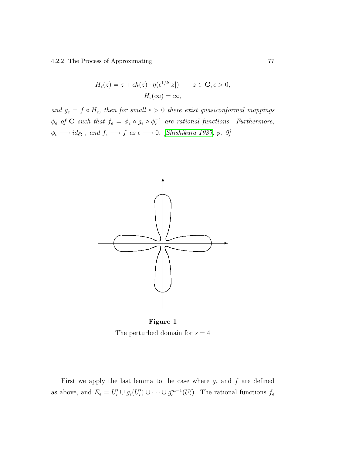$$
H_{\epsilon}(z) = z + \epsilon h(z) \cdot \eta(\epsilon^{1/k} |z|) \qquad z \in \mathbf{C}, \epsilon > 0,
$$

$$
H_{\epsilon}(\infty) = \infty,
$$

and  $g_{\epsilon} = f \circ H_{\epsilon}$ , then for small  $\epsilon > 0$  there exist quasiconformal mappings  $\phi_{\epsilon}$  of  $\overline{C}$  such that  $f_{\epsilon} = \phi_{\epsilon} \circ g_{\epsilon} \circ \phi_{\epsilon}^{-1}$  are rational functions. Furthermore,  $\phi_\epsilon \longrightarrow id_{\bar{\mathbf C}}$  , and  $f_\epsilon \longrightarrow f$  as  $\epsilon \longrightarrow 0$ . [\[Shishikura 1987,](#page-92-0) p. 9]



Figure 1 The perturbed domain for  $s = 4$ 

First we apply the last lemma to the case where  $g_{\epsilon}$  and  $f$  are defined as above, and  $E_{\epsilon} = U'_{\epsilon} \cup g_{\epsilon}(U'_{\epsilon}) \cup \cdots \cup g_{\epsilon}^{m-1}(U'_{\epsilon})$ . The rational functions  $f_{\epsilon}$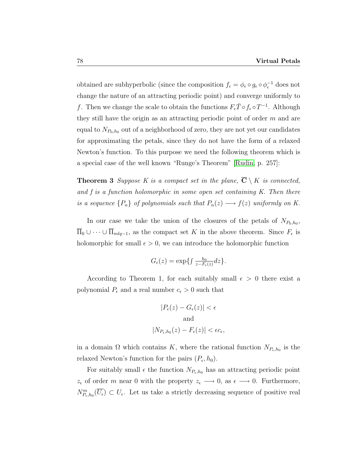obtained are subhyperbolic (since the composition  $f_{\epsilon} = \phi_{\epsilon} \circ g_{\epsilon} \circ \phi_{\epsilon}^{-1}$  does not change the nature of an attracting periodic point) and converge uniformly to f. Then we change the scale to obtain the functions  $F_{\epsilon} \bar{T} \circ f_{\epsilon} \circ T^{-1}$ . Although they still have the origin as an attracting periodic point of order  $m$  and are equal to  $N_{P_0,h_0}$  out of a neighborhood of zero, they are not yet our candidates for approximating the petals, since they do not have the form of a relaxed Newton's function. To this purpose we need the following theorem which is a special case of the well known "Runge's Theorem" [\[Rudin,](#page-91-3) p. 257]:

**Theorem 3** Suppose K is a compact set in the plane,  $\overline{C} \setminus K$  is connected, and f is a function holomorphic in some open set containing  $K$ . Then there is a sequence  $\{P_n\}$  of polynomials such that  $P_n(z) \longrightarrow f(z)$  uniformly on K.

In our case we take the union of the closures of the petals of  $N_{P_0,h_0}$ ,  $\overline{\Pi}_0 \cup \cdots \cup \overline{\Pi}_{mlq-1}$ , as the compact set K in the above theorem. Since  $F_{\epsilon}$  is holomorphic for small  $\epsilon > 0$ , we can introduce the holomorphic function

$$
G_{\epsilon}(z) = \exp\left\{\int \frac{h_0}{z - F_{\epsilon}(z)} dz\right\}.
$$

According to Theorem 1, for each suitably small  $\epsilon > 0$  there exist a polynomial  $P_{\epsilon}$  and a real number  $c_{\epsilon} > 0$  such that

$$
|P_{\epsilon}(z) - G_{\epsilon}(z)| < \epsilon
$$
\nand

\n
$$
|N_{P_{\epsilon},h_0}(z) - F_{\epsilon}(z)| < \epsilon c_{\epsilon},
$$

in a domain  $\Omega$  which contains K, where the rational function  $N_{P_{\epsilon},h_0}$  is the relaxed Newton's function for the pairs  $(P_{\epsilon}, h_0)$ .

For suitably small  $\epsilon$  the function  $N_{P_{\epsilon},h_0}$  has an attracting periodic point  $z_{\epsilon}$  of order m near 0 with the property  $z_{\epsilon} \longrightarrow 0$ , as  $\epsilon \longrightarrow 0$ . Furthermore,  $N_{P_{\epsilon},h_0}^m(\overline{U_{\epsilon}}) \subset U_{\epsilon}$ . Let us take a strictly decreasing sequence of positive real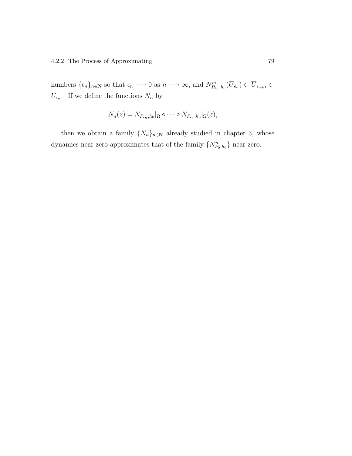numbers  $\{\epsilon_n\}_{n\in\mathbb{N}}$  so that  $\epsilon_n \longrightarrow 0$  as  $n \longrightarrow \infty$ , and  $N^m_{P_{\epsilon_n},h_0}(\overline{U}_{\epsilon_n}) \subset \overline{U}_{\epsilon_{n+1}} \subset$  $U_{\epsilon_n}$ . If we define the functions  $N_n$  by

$$
N_n(z) = N_{P_{\epsilon_n},h_0}|_{\Omega} \circ \cdots \circ N_{P_{\epsilon_1},h_0}|_{\Omega}(z),
$$

then we obtain a family  $\{N_n\}_{n\in\mathbb{N}}$  already studied in chapter 3, whose dynamics near zero approximates that of the family  $\{N_{P_0,h_0}^n\}$  near zero.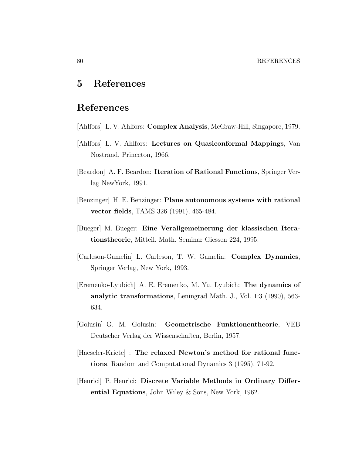# 5 References

# References

- [Ahlfors] L. V. Ahlfors: Complex Analysis, McGraw-Hill, Singapore, 1979.
- <span id="page-90-2"></span>[Ahlfors] L. V. Ahlfors: Lectures on Quasiconformal Mappings, Van Nostrand, Princeton, 1966.
- <span id="page-90-0"></span>[Beardon] A. F. Beardon: Iteration of Rational Functions, Springer Verlag NewYork, 1991.
- [Benzinger] H. E. Benzinger: Plane autonomous systems with rational vector fields, TAMS 326 (1991), 465-484.
- [Bueger] M. Bueger: Eine Verallgemeinerung der klassischen Iterationstheorie, Mitteil. Math. Seminar Giessen 224, 1995.
- <span id="page-90-1"></span>[Carleson-Gamelin] L. Carleson, T. W. Gamelin: Complex Dynamics, Springer Verlag, New York, 1993.
- [Eremenko-Lyubich] A. E. Eremenko, M. Yu. Lyubich: The dynamics of analytic transformations, Leningrad Math. J., Vol. 1:3 (1990), 563- 634.
- [Golusin] G. M. Golusin: Geometrische Funktionentheorie, VEB Deutscher Verlag der Wissenschaften, Berlin, 1957.
- [Haeseler-Kriete] : The relaxed Newton's method for rational functions, Random and Computational Dynamics 3 (1995), 71-92.
- [Henrici] P. Henrici: Discrete Variable Methods in Ordinary Differential Equations, John Wiley & Sons, New York, 1962.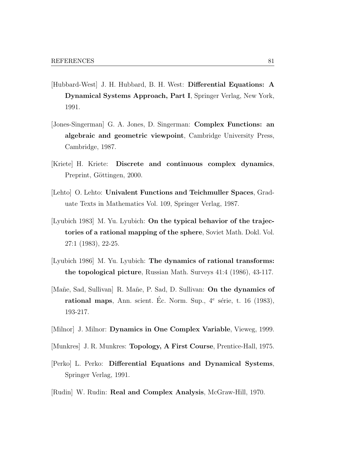- [Hubbard-West] J. H. Hubbard, B. H. West: Differential Equations: A Dynamical Systems Approach, Part I, Springer Verlag, New York, 1991.
- [Jones-Singerman] G. A. Jones, D. Singerman: Complex Functions: an algebraic and geometric viewpoint, Cambridge University Press, Cambridge, 1987.
- [Kriete] H. Kriete: Discrete and continuous complex dynamics, Preprint, Göttingen, 2000.
- <span id="page-91-2"></span>[Lehto] O. Lehto: Univalent Functions and Teichmuller Spaces, Graduate Texts in Mathematics Vol. 109, Springer Verlag, 1987.
- [Lyubich 1983] M. Yu. Lyubich: On the typical behavior of the trajectories of a rational mapping of the sphere, Soviet Math. Dokl. Vol. 27:1 (1983), 22-25.
- [Lyubich 1986] M. Yu. Lyubich: The dynamics of rational transforms: the topological picture, Russian Math. Surveys 41:4 (1986), 43-117.
- [Mañe, Sad, Sullivan] R. Mañe, P. Sad, D. Sullivan: On the dynamics of rational maps, Ann. scient. Éc. Norm. Sup.,  $4^e$  série, t. 16 (1983), 193-217.
- <span id="page-91-1"></span>[Milnor] J. Milnor: Dynamics in One Complex Variable, Vieweg, 1999.
- <span id="page-91-0"></span>[Munkres] J. R. Munkres: Topology, A First Course, Prentice-Hall, 1975.
- [Perko] L. Perko: Differential Equations and Dynamical Systems, Springer Verlag, 1991.
- <span id="page-91-3"></span>[Rudin] W. Rudin: Real and Complex Analysis, McGraw-Hill, 1970.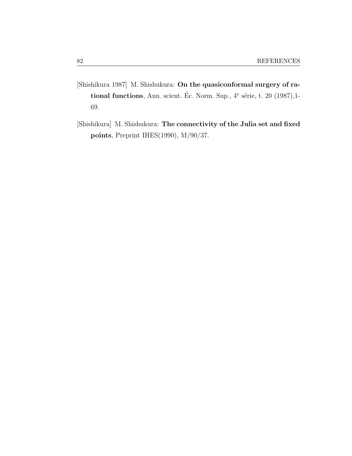- <span id="page-92-0"></span>[Shishikura 1987] M. Shishukura: On the quasiconformal surgery of rational functions, Ann. scient. Éc. Norm. Sup.,  $4^e$  série, t. 20 (1987), 1-69.
- [Shishikura] M. Shishukura: The connectivity of the Julia set and fixed points, Preprint IHES(1990), M/90/37.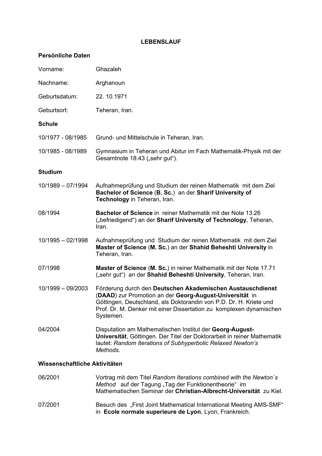# **LEBENSLAUF**

# **Persönliche Daten**

| Vorname:                      | Ghazaleh                                                                                                                                                                                                                                                                        |
|-------------------------------|---------------------------------------------------------------------------------------------------------------------------------------------------------------------------------------------------------------------------------------------------------------------------------|
| Nachname:                     | Arghanoun                                                                                                                                                                                                                                                                       |
| Geburtsdatum:                 | 22.10.1971                                                                                                                                                                                                                                                                      |
| Geburtsort:                   | Teheran, Iran.                                                                                                                                                                                                                                                                  |
| <b>Schule</b>                 |                                                                                                                                                                                                                                                                                 |
| 10/1977 - 08/1985             | Grund- und Mittelschule in Teheran, Iran.                                                                                                                                                                                                                                       |
| 10/1985 - 08/1989             | Gymnasium in Teheran und Abitur im Fach Mathematik-Physik mit der<br>Gesamtnote 18.43 ("sehr gut").                                                                                                                                                                             |
| <b>Studium</b>                |                                                                                                                                                                                                                                                                                 |
| 10/1989 - 07/1994             | Aufnahmeprüfung und Studium der reinen Mathematik mit dem Ziel<br>Bachelor of Science (B. Sc.) an der Sharif University of<br>Technology in Teheran, Iran.                                                                                                                      |
| 08/1994                       | <b>Bachelor of Science</b> in reiner Mathematik mit der Note 13.26<br>("befriedigend") an der Sharif University of Technology, Teheran,<br>Iran.                                                                                                                                |
| $10/1995 - 02/1998$           | Aufnahmeprüfung und Studium der reinen Mathematik mit dem Ziel<br>Master of Science (M. Sc.) an der Shahid Beheshti University in<br>Teheran, Iran.                                                                                                                             |
| 07/1998                       | Master of Science (M. Sc.) in reiner Mathematik mit der Note 17.71<br>("sehr gut") an der Shahid Beheshti University, Teheran, Iran.                                                                                                                                            |
| 10/1999 - 09/2003             | Förderung durch den Deutschen Akademischen Austauschdienst<br>(DAAD) zur Promotion an der Georg-August-Universität in<br>Göttingen, Deutschland, als Doktorandin von P.D. Dr. H. Kriete und<br>Prof. Dr. M. Denker mit einer Dissertation zu komplexen dynamischen<br>Systemen. |
| 04/2004                       | Disputation am Mathematischen Institut der Georg-August-<br>Universität, Göttingen. Der Titel der Doktorarbeit in reiner Mathematik<br>lautet: Random Iterations of Subhyperbolic Relaxed Newton's<br>Methods.                                                                  |
| Wissenschaftliche Aktivitäten |                                                                                                                                                                                                                                                                                 |
| 06/2001                       | Vortrag mit dem Titel Random Iterations combined with the Newton's<br>Method auf der Tagung "Tag der Funktionentheorie" im<br>Mathematischen Seminar der Christian-Albrecht-Universität zu Kiel.                                                                                |
| 07/2001                       | Besuch des "First Joint Mathematical International Meeting AMS-SMF"<br>in Ecole normale superieure de Lyon, Lyon, Frankreich.                                                                                                                                                   |